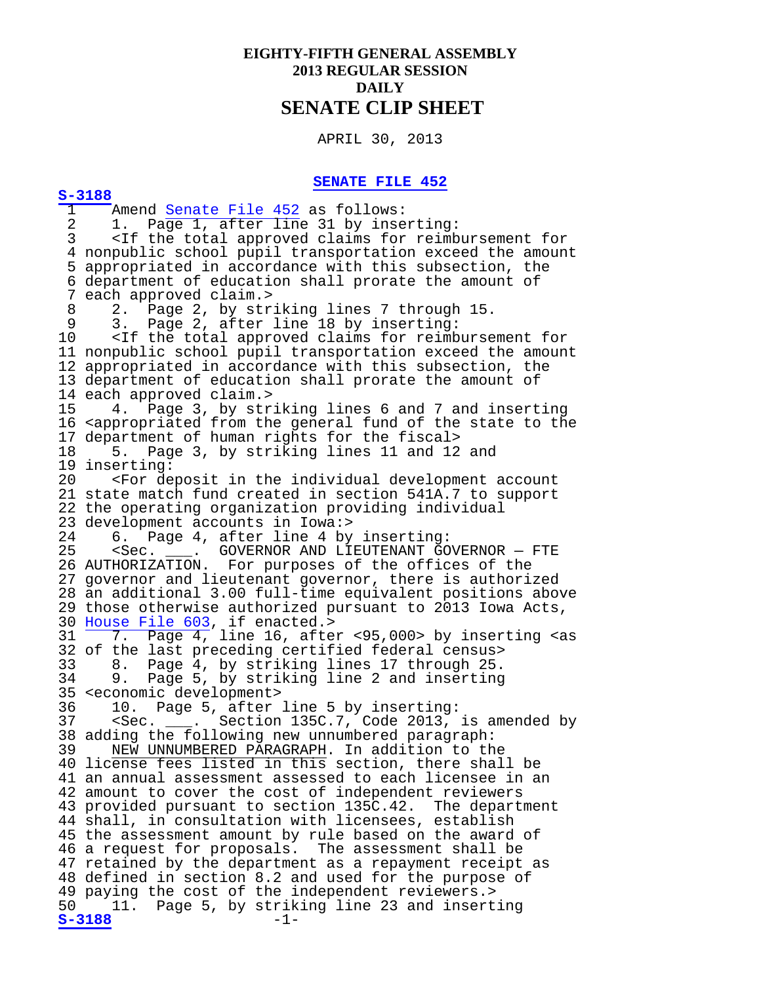# **EIGHTY-FIFTH GENERAL ASSEMBLY 2013 REGULAR SESSION DAILY SENATE CLIP SHEET**

APRIL 30, 2013

 **[SENATE FILE 452](http://coolice.legis.iowa.gov/Cool-ICE/default.asp?Category=billinfo&Service=Billbook&frame=1&GA=85&hbill=SF452) [S-3188](http://coolice.legis.iowa.gov/Cool-ICE/default.asp?Category=billinfo&Service=Billbook&frame=1&GA=85&hbill=S3188)**1 Amen Senate File 422 as follows:<br>
1 In Magnite File 121 and the strain of the conduction of the appropriated in accordance with this subsection, the operator of ederation and the conduction exceed the amount of  $\frac{3}{2}$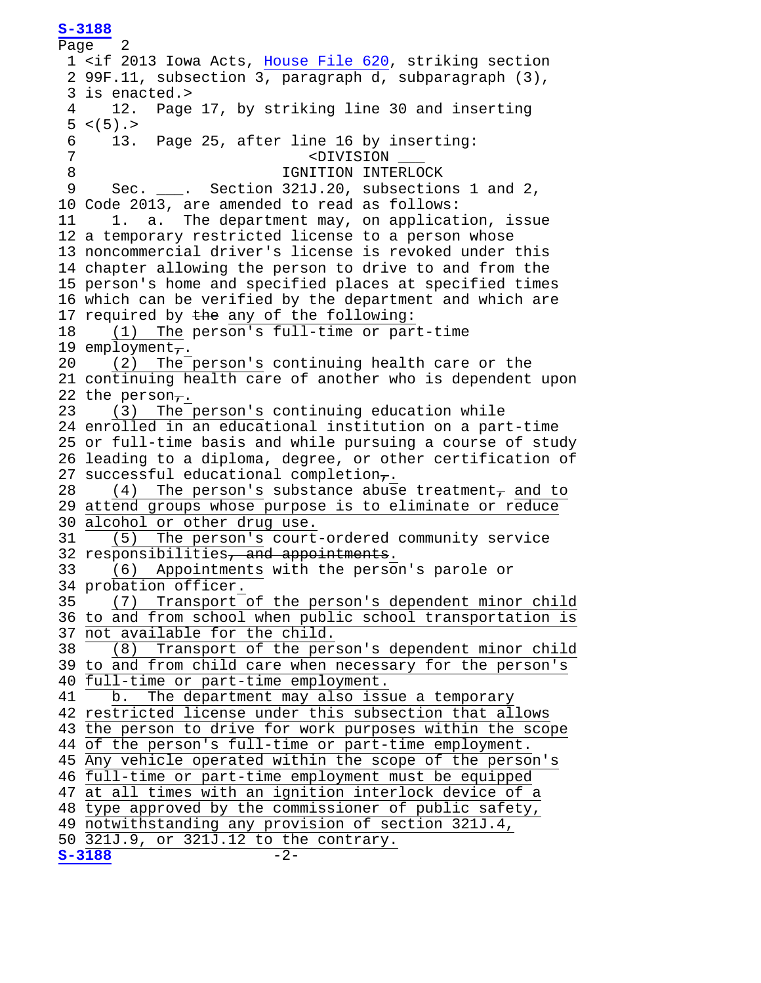**[S-3188](http://coolice.legis.iowa.gov/Cool-ICE/default.asp?Category=billinfo&Service=Billbook&frame=1&GA=85&hbill=S3188)** Page 2 1 <if 2013 Iowa Acts, [House File 620,](http://coolice.legis.iowa.gov/Cool-ICE/default.asp?Category=billinfo&Service=Billbook&frame=1&GA=85&hbill=HF620) striking section 2 99F.11, subsection 3, paragraph d, subparagraph (3), 3 is enacted.><br>4 12. Page Page 17, by striking line 30 and inserting  $5 < (5) . >$ <br>6 13. 6 13. Page 25, after line 16 by inserting: 7 <DIVISION \_\_\_ IGNITION INTERLOCK 9 Sec. \_\_\_. Section 321J.20, subsections 1 and 2, 10 Code 2013, are amended to read as follows:<br>11 1. a. The department may, on applicat 1. a. The department may, on application, issue 12 a temporary restricted license to a person whose 13 noncommercial driver's license is revoked under this 14 chapter allowing the person to drive to and from the 15 person's home and specified places at specified times 16 which can be verified by the department and which are 17 required by the any of the following:<br>18 (1) The person's full-time or par  $(1)$  The person's full-time or part-time 19 employment $\frac{1}{\sqrt{2}}$ <br>20 (2) The p  $(2)$  The person's continuing health care or the 21 continuing health care of another who is dependent upon 22 the person $\frac{1}{74}$ .<br>23 (3) The p (3) The person's continuing education while 24 enrolled in an educational institution on a part-time 25 or full-time basis and while pursuing a course of study 26 leading to a diploma, degree, or other certification of 27 successful educational completion $\frac{1}{\sqrt{2}}$ <br>28 (4) The person's substance abuse  $(4)$  The person's substance abuse treatment<sub>7</sub> and to 29 attend groups whose purpose is to eliminate or reduce  $30$  alcohol or other drug use.<br> $31$   $(5)$  The person's court  $(5)$  The person's court-ordered community service 32 responsibilities<del>, and appointments.</del><br>33 (6) Appointments with the perso 33 (6) Appointments with the person's parole or 34 probation officer.<br>35 (7) Transport (7) Transport of the person's dependent minor child 36 to and from school when public school transportation is 37 not available for the child.<br>38 (8) Transport of the per 38 (8) Transport of the person's dependent minor child 39 to and from child care when necessary for the person's 40 full-time or part-time employment.<br>41 b. The department may also issu b. The department may also issue a temporary 42 restricted license under this subsection that allows 43 the person to drive for work purposes within the scope 44 of the person's full-time or part-time employment. 45 Any vehicle operated within the scope of the person's 46 full-time or part-time employment must be equipped 47 at all times with an ignition interlock device of a 48 type approved by the commissioner of public safety, 49 notwithstanding any provision of section 321J.4, 50  $\frac{321J.9}{9}$ , or  $\frac{321J.12}{12}$  to the contrary.<br> $S-3188$  -2-**[S-3188](http://coolice.legis.iowa.gov/Cool-ICE/default.asp?Category=billinfo&Service=Billbook&frame=1&GA=85&hbill=S3188)** -2-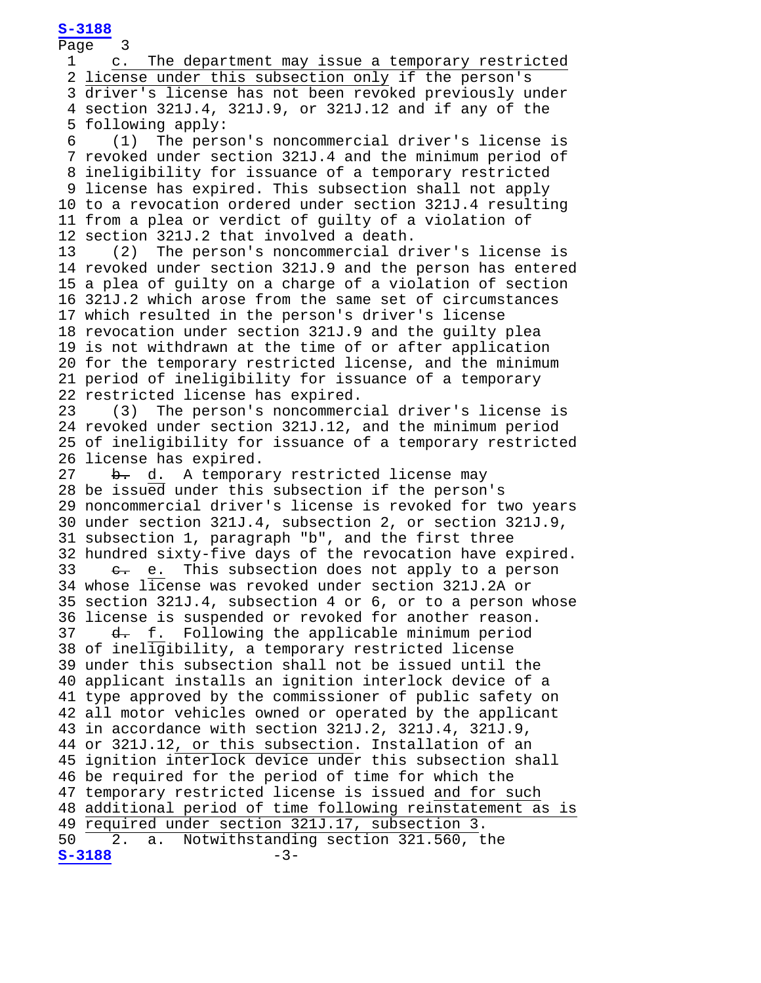**[S-3188](http://coolice.legis.iowa.gov/Cool-ICE/default.asp?Category=billinfo&Service=Billbook&frame=1&GA=85&hbill=S3188)** Page<br>1 c. The department may issue a temporary restricted 2 license under this subsection only if the person's 3 driver's license has not been revoked previously under 4 section 321J.4, 321J.9, or 321J.12 and if any of the 5 following apply:<br>6 (1) The pers 6 (1) The person's noncommercial driver's license is 7 revoked under section 321J.4 and the minimum period of 8 ineligibility for issuance of a temporary restricted 9 license has expired. This subsection shall not apply 10 to a revocation ordered under section 321J.4 resulting 11 from a plea or verdict of guilty of a violation of 12 section 321J.2 that involved a death.<br>13 (2) The person's noncommercial dr 13 (2) The person's noncommercial driver's license is 14 revoked under section 321J.9 and the person has entered 15 a plea of guilty on a charge of a violation of section 16 321J.2 which arose from the same set of circumstances 17 which resulted in the person's driver's license 18 revocation under section 321J.9 and the guilty plea 19 is not withdrawn at the time of or after application 20 for the temporary restricted license, and the minimum 21 period of ineligibility for issuance of a temporary 22 restricted license has expired.<br>23 (3) The person's noncommerc 23 (3) The person's noncommercial driver's license is 24 revoked under section 321J.12, and the minimum period 25 of ineligibility for issuance of a temporary restricted 26 license has expired. b. d. A temporary restricted license may 28 be issued under this subsection if the person's 29 noncommercial driver's license is revoked for two years 30 under section 321J.4, subsection 2, or section 321J.9, 31 subsection 1, paragraph "b", and the first three 32 hundred sixty-five days of the revocation have expired. e. e. This subsection does not apply to a person 34 whose license was revoked under section 321J.2A or 35 section 321J.4, subsection 4 or 6, or to a person whose 36 license is suspended or revoked for another reason. d. f. Following the applicable minimum period 38 of ineligibility, a temporary restricted license 39 under this subsection shall not be issued until the 40 applicant installs an ignition interlock device of a 41 type approved by the commissioner of public safety on 42 all motor vehicles owned or operated by the applicant 43 in accordance with section 321J.2, 321J.4, 321J.9, 44 or 321J.12, or this subsection. Installation of an 45 ignition interlock device under this subsection shall 46 be required for the period of time for which the 47 temporary restricted license is issued and for such 48 additional period of time following reinstatement as is 49 required under section 321J.17, subsection 3.<br>50 2. a. Notwithstanding section 321.560, t 2. a. Notwithstanding section  $321.560$ , the  $-3-$ **[S-3188](http://coolice.legis.iowa.gov/Cool-ICE/default.asp?Category=billinfo&Service=Billbook&frame=1&GA=85&hbill=S3188)** -3-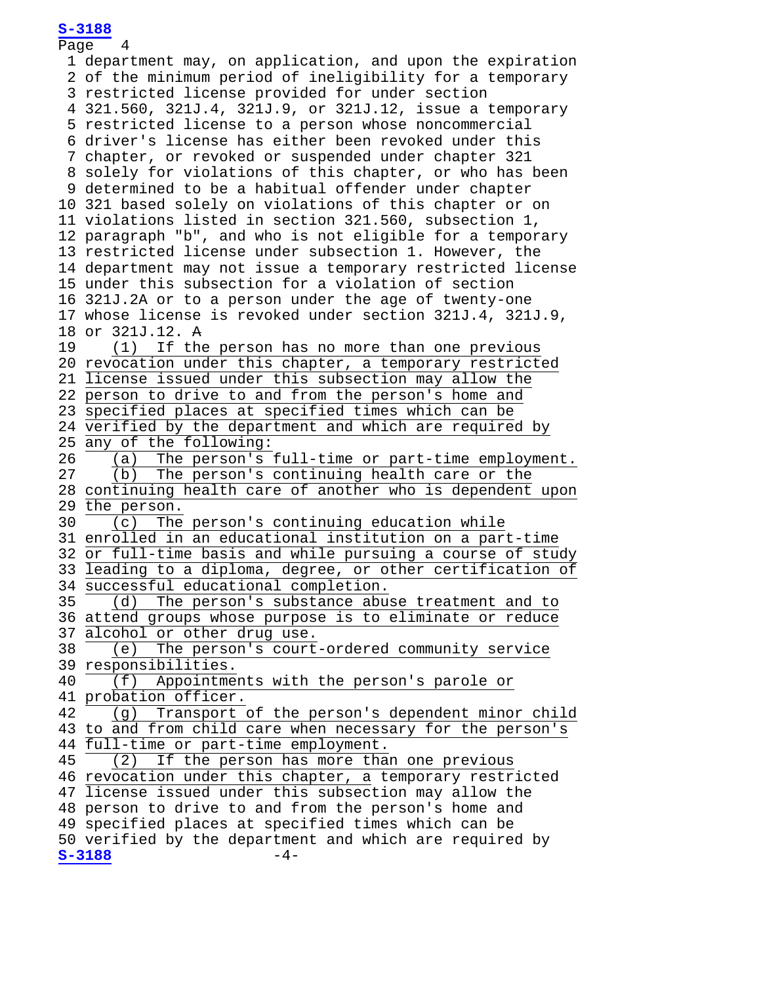Page 1 department may, on application, and upon the expiration 2 of the minimum period of ineligibility for a temporary 3 restricted license provided for under section 4 321.560, 321J.4, 321J.9, or 321J.12, issue a temporary 5 restricted license to a person whose noncommercial 6 driver's license has either been revoked under this 7 chapter, or revoked or suspended under chapter 321 8 solely for violations of this chapter, or who has been 9 determined to be a habitual offender under chapter 10 321 based solely on violations of this chapter or on 11 violations listed in section 321.560, subsection 1, 12 paragraph "b", and who is not eligible for a temporary 13 restricted license under subsection 1. However, the 14 department may not issue a temporary restricted license 15 under this subsection for a violation of section 16 321J.2A or to a person under the age of twenty-one 17 whose license is revoked under section 321J.4, 321J.9, 18 or 321J.12. A<br>19 (1) If the 19 (1) If the person has no more than one previous 20 revocation under this chapter, a temporary restricted 21 license issued under this subsection may allow the 22 person to drive to and from the person's home and 23 specified places at specified times which can be 24 verified by the department and which are required by 25 any of the following:<br>26 (a) The person's 26 (a) The person's full-time or part-time employment.<br>27 (b) The person's continuing health care or the (b) The person's continuing health care or the 28 continuing health care of another who is dependent upon  $29$  the person.<br>30 (c) The (c) The person's continuing education while 31 enrolled in an educational institution on a part-time 32 or full-time basis and while pursuing a course of study 33 leading to a diploma, degree, or other certification of 34 successful educational completion.<br>35 (d) The person's substance abus  $(d)$  The person's substance abuse treatment and to 36 attend groups whose purpose is to eliminate or reduce  $37$  alcohol or other drug use.<br> $38$  (e) The person's court (e) The person's court-ordered community service 39 responsibilities.<br>40 (f) Appointmer 40 (f) Appointments with the person's parole or 41 probation officer.<br>42 (g) Transport (g) Transport of the person's dependent minor child 43 to and from child care when necessary for the person's 44 full-time or part-time employment.<br>45 (2) If the person has more than 45 (2) If the person has more than one previous 46 revocation under this chapter, a temporary restricted 47 license issued under this subsection may allow the 48 person to drive to and from the person's home and 49 specified places at specified times which can be 50 verified by the department and which are required by  $s-3188$  -3188  $S-3188$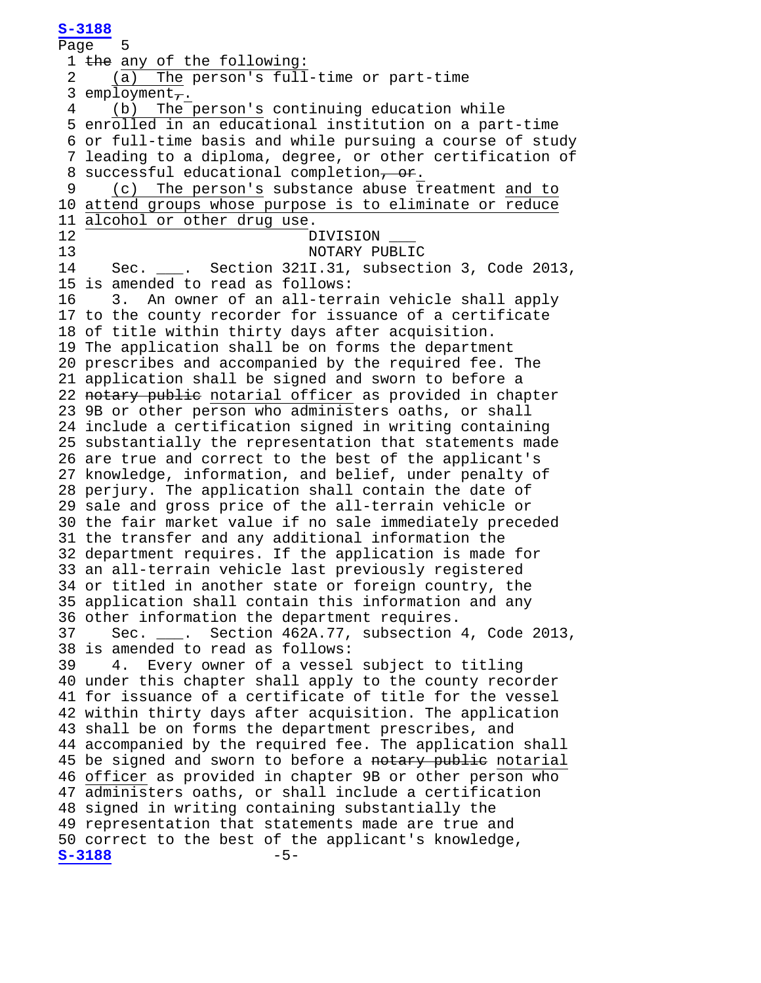**[S-3188](http://coolice.legis.iowa.gov/Cool-ICE/default.asp?Category=billinfo&Service=Billbook&frame=1&GA=85&hbill=S3188)** Page 1 the any of the following:<br>2 (a) The person's full  $\overline{a}$ ) The person's full-time or part-time 3 employment $\frac{1}{\sqrt{2}}$ .<br>4 (b) The p  $(b)$  The person's continuing education while 5 enrolled in an educational institution on a part-time 6 or full-time basis and while pursuing a course of study 7 leading to a diploma, degree, or other certification of 8 successful educational completion, or. 9 (c) The person's substance abuse treatment and to 10 attend groups whose purpose is to eliminate or reduce 11 alcohol or other drug use.<br>12 12 DIVISION \_\_\_ 13 NOTARY PUBLIC<br>14 Sec. . Section 3211.31, subsect Sec. \_\_\_. Section 321I.31, subsection 3, Code 2013, 15 is amended to read as follows:<br>16 3. An owner of an all-terr 3. An owner of an all-terrain vehicle shall apply 17 to the county recorder for issuance of a certificate 18 of title within thirty days after acquisition. 19 The application shall be on forms the department 20 prescribes and accompanied by the required fee. The 21 application shall be signed and sworn to before a 22 notary public notarial officer as provided in chapter 23 9B or other person who administers oaths, or shall 24 include a certification signed in writing containing 25 substantially the representation that statements made 26 are true and correct to the best of the applicant's 27 knowledge, information, and belief, under penalty of 28 perjury. The application shall contain the date of 29 sale and gross price of the all-terrain vehicle or 30 the fair market value if no sale immediately preceded 31 the transfer and any additional information the 32 department requires. If the application is made for 33 an all-terrain vehicle last previously registered 34 or titled in another state or foreign country, the 35 application shall contain this information and any 36 other information the department requires.<br>37 Sec. \_\_\_. Section 462A.77, subsection Sec. \_\_\_. Section 462A.77, subsection 4, Code 2013, 38 is amended to read as follows: 39 4. Every owner of a vessel subject to titling 40 under this chapter shall apply to the county recorder 41 for issuance of a certificate of title for the vessel 42 within thirty days after acquisition. The application 43 shall be on forms the department prescribes, and 44 accompanied by the required fee. The application shall 45 be signed and sworn to before a notary public notarial 46 officer as provided in chapter 9B or other person who 47 administers oaths, or shall include a certification 48 signed in writing containing substantially the 49 representation that statements made are true and 50 correct to the best of the applicant's knowledge,<br> $S-3188$  -3188 **[S-3188](http://coolice.legis.iowa.gov/Cool-ICE/default.asp?Category=billinfo&Service=Billbook&frame=1&GA=85&hbill=S3188)**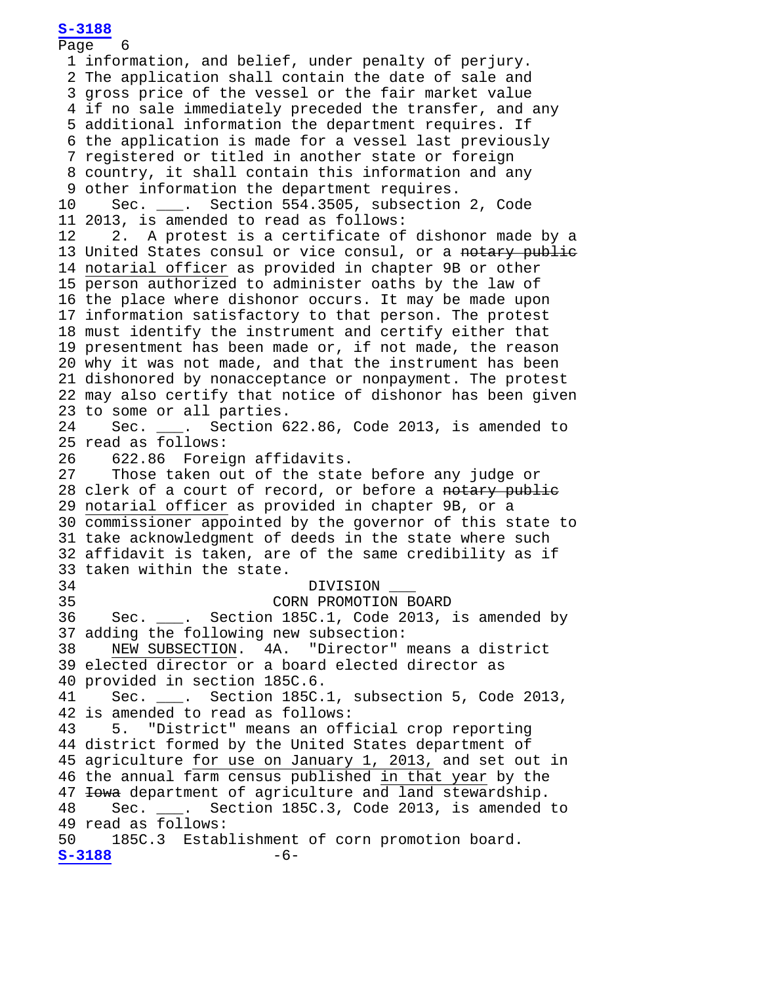Page 6 1 information, and belief, under penalty of perjury. 2 The application shall contain the date of sale and 3 gross price of the vessel or the fair market value 4 if no sale immediately preceded the transfer, and any 5 additional information the department requires. If 6 the application is made for a vessel last previously 7 registered or titled in another state or foreign 8 country, it shall contain this information and any 9 other information the department requires.<br>10 Sec. \_\_\_. Section 554.3505, subsection Sec. \_\_\_. Section 554.3505, subsection 2, Code 11 2013, is amended to read as follows:<br>12 2. A protest is a certificate of 2. A protest is a certificate of dishonor made by a 13 United States consul or vice consul, or a notary public 14 notarial officer as provided in chapter 9B or other 15 person authorized to administer oaths by the law of 16 the place where dishonor occurs. It may be made upon 17 information satisfactory to that person. The protest 18 must identify the instrument and certify either that 19 presentment has been made or, if not made, the reason 20 why it was not made, and that the instrument has been 21 dishonored by nonacceptance or nonpayment. The protest 22 may also certify that notice of dishonor has been given 23 to some or all parties.<br>24 Sec. . Section 6 Sec.  $\quad \_$ . Section 622.86, Code 2013, is amended to 25 read as follows:<br>26 622.86 Forei 26 622.86 Foreign affidavits.<br>27 Those taken out of the stat Those taken out of the state before any judge or 28 clerk of a court of record, or before a notary publie 29 notarial officer as provided in chapter 9B, or a 30 commissioner appointed by the governor of this state to 31 take acknowledgment of deeds in the state where such 32 affidavit is taken, are of the same credibility as if 33 taken within the state. 34 DIVISION \_\_\_ 35 CORN PROMOTION BOARD<br>36 Sec. . Section 185C.1, Code 2013, Sec. \_\_\_. Section 185C.1, Code 2013, is amended by 37 adding the following new subsection:<br>38 NEW SUBSECTION. 4A. "Director" NEW SUBSECTION. 4A. "Director" means a district 39 elected director or a board elected director as 40 provided in section 185C.6.<br>41 Sec. . Section 185C. Sec.  $\ldots$  Section 185C.1, subsection 5, Code 2013, 42 is amended to read as follows:<br>43 5. "District" means an off 5. "District" means an official crop reporting 44 district formed by the United States department of 45 agriculture for use on January 1, 2013, and set out in 46 the annual farm census published in that year by the 47 <del>Iowa</del> department of agriculture and land stewardship.<br>48 Sec. . Section 185C.3, Code 2013, is amended Sec. \_\_\_. Section 185C.3, Code 2013, is amended to 49 read as follows:<br>50 185C.3 Estab 185C.3 Establishment of corn promotion board.<br>8<br>-6-**[S-3188](http://coolice.legis.iowa.gov/Cool-ICE/default.asp?Category=billinfo&Service=Billbook&frame=1&GA=85&hbill=S3188)**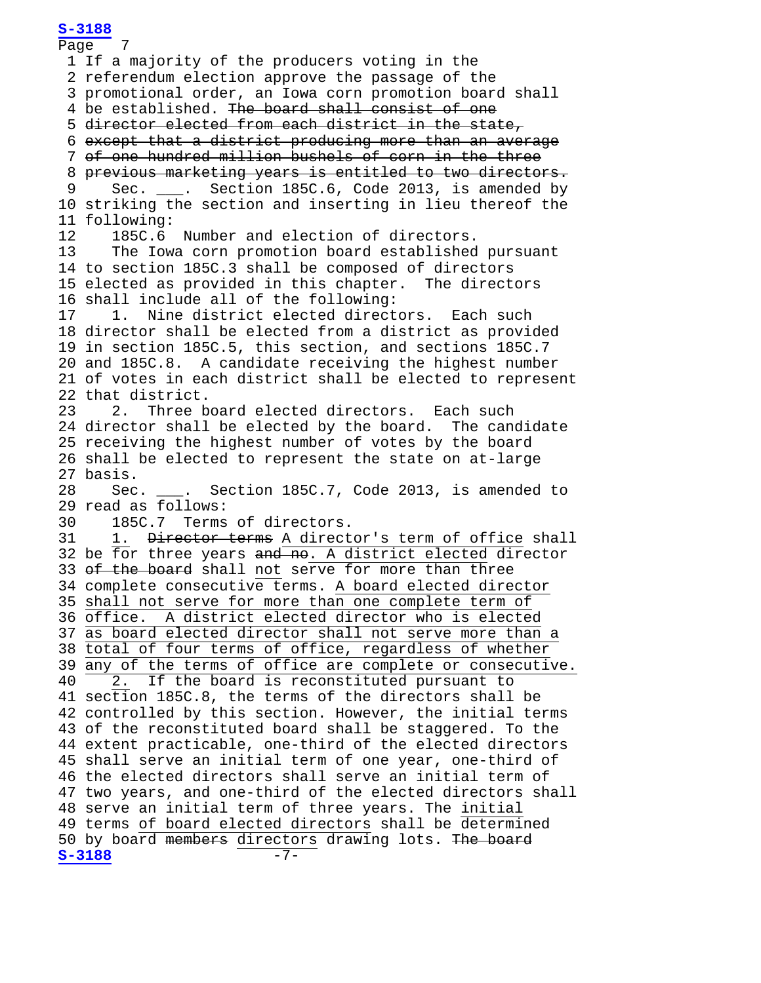Page 1 If a majority of the producers voting in the 2 referendum election approve the passage of the 3 promotional order, an Iowa corn promotion board shall 4 be established. The board shall consist of one 5 director elected from each district in the state, 6 except that a district producing more than an average 7 of one hundred million bushels of corn in the three 8 previous marketing years is entitled to two directors. 9 Sec. \_\_\_. Section 185C.6, Code 2013, is amended by 10 striking the section and inserting in lieu thereof the 11 following:<br>12 185C.6 12 185C.6 Number and election of directors.<br>13 The Iowa corn promotion board established The Iowa corn promotion board established pursuant 14 to section 185C.3 shall be composed of directors 15 elected as provided in this chapter. The directors 16 shall include all of the following:<br>17 1. Nine district elected direct 1. Nine district elected directors. Each such 18 director shall be elected from a district as provided 19 in section 185C.5, this section, and sections 185C.7 20 and 185C.8. A candidate receiving the highest number 21 of votes in each district shall be elected to represent 22 that district.<br>23 2. Three b 2. Three board elected directors. Each such 24 director shall be elected by the board. The candidate 25 receiving the highest number of votes by the board 26 shall be elected to represent the state on at-large 27 basis. Sec. \_\_\_. Section 185C.7, Code 2013, is amended to 29 read as follows:<br>30 185C.7 Terms 30 185C.7 Terms of directors.<br>31 1. <del>Director terms</del> A direct 1. Director terms A director's term of office shall 32 be for three years and no. A district elected director 33 of the board shall not serve for more than three 34 complete consecutive terms. A board elected director 35 shall not serve for more than one complete term of 36 office. A district elected director who is elected 37 as board elected director shall not serve more than a 38 total of four terms of office, regardless of whether 39 any of the terms of office are complete or consecutive.<br>40 2. If the board is reconstituted pursuant to 2. If the board is reconstituted pursuant to 41 section 185C.8, the terms of the directors shall be 42 controlled by this section. However, the initial terms 43 of the reconstituted board shall be staggered. To the 44 extent practicable, one-third of the elected directors 45 shall serve an initial term of one year, one-third of 46 the elected directors shall serve an initial term of 47 two years, and one-third of the elected directors shall 48 serve an initial term of three years. The initial 49 terms of board elected directors shall be determined 50 by board members directors drawing lots. The board  $s-3188$  $S-3188$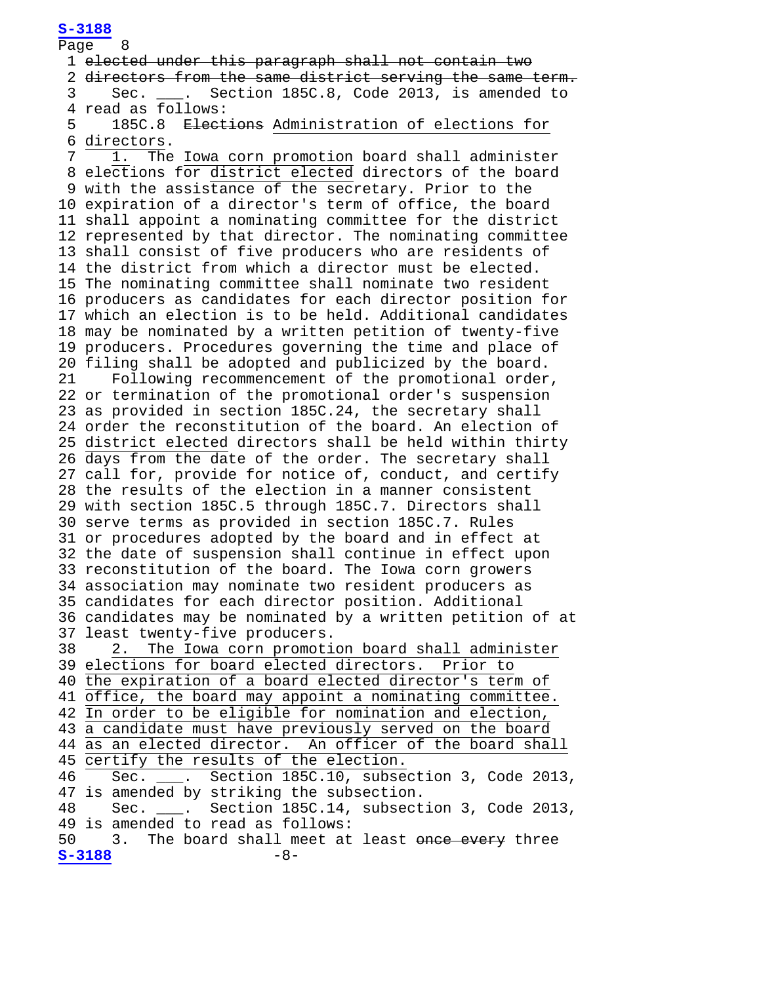Page 8 1 elected under this paragraph shall not contain two 2 <del>directors from the same district serving the same term.</del><br>3 Sec. . Section 185C.8, Code 2013, is amended to Sec. \_\_\_. Section 185C.8, Code 2013, is amended to 4 read as follows:<br>5 185C.8 <del>Elect</del> 185C.8 Elections Administration of elections for  $\frac{6 \text{ directions}}{7}$ . The 1. The Iowa corn promotion board shall administer 8 elections for district elected directors of the board 9 with the assistance of the secretary. Prior to the 10 expiration of a director's term of office, the board 11 shall appoint a nominating committee for the district 12 represented by that director. The nominating committee 13 shall consist of five producers who are residents of 14 the district from which a director must be elected. 15 The nominating committee shall nominate two resident 16 producers as candidates for each director position for 17 which an election is to be held. Additional candidates 18 may be nominated by a written petition of twenty-five 19 producers. Procedures governing the time and place of 20 filing shall be adopted and publicized by the board.<br>21 Following recommencement of the promotional order Following recommencement of the promotional order, 22 or termination of the promotional order's suspension 23 as provided in section 185C.24, the secretary shall 24 order the reconstitution of the board. An election of 25 district elected directors shall be held within thirty 26 days from the date of the order. The secretary shall 27 call for, provide for notice of, conduct, and certify 28 the results of the election in a manner consistent 29 with section 185C.5 through 185C.7. Directors shall 30 serve terms as provided in section 185C.7. Rules 31 or procedures adopted by the board and in effect at 32 the date of suspension shall continue in effect upon 33 reconstitution of the board. The Iowa corn growers 34 association may nominate two resident producers as 35 candidates for each director position. Additional 36 candidates may be nominated by a written petition of at 37 least twenty-five producers.<br>38 2. The Iowa corn promoti 2. The Iowa corn promotion board shall administer 39 elections for board elected directors. Prior to 40 the expiration of a board elected director's term of 41 office, the board may appoint a nominating committee. 42 In order to be eligible for nomination and election, 43 a candidate must have previously served on the board 44 as an elected director. An officer of the board shall 45 certify the results of the election. 46 Sec. \_\_\_. Section 185C.10, subsection 3, Code 2013, 47 is amended by striking the subsection.<br>48 Sec. . Section 185C.14, subsect Sec.  $\cdot$  Section 185C.14, subsection 3, Code 2013, 49 is amended to read as follows:<br>50 3. The board shall meet at 3. The board shall meet at least <del>once every</del> three<br>-8-**[S-3188](http://coolice.legis.iowa.gov/Cool-ICE/default.asp?Category=billinfo&Service=Billbook&frame=1&GA=85&hbill=S3188)**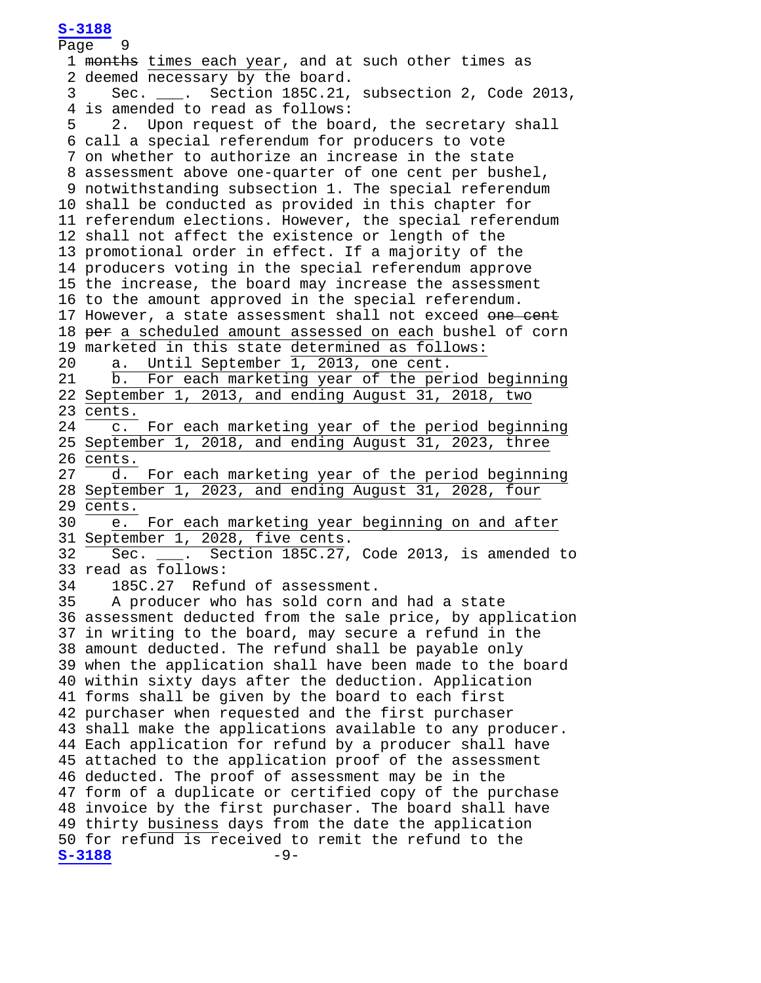**[S-3188](http://coolice.legis.iowa.gov/Cool-ICE/default.asp?Category=billinfo&Service=Billbook&frame=1&GA=85&hbill=S3188)** Page 1 months times each year, and at such other times as 2 deemed necessary by the board.<br>3 Sec. . Section 185C.21. Sec. \_\_\_. Section 185C.21, subsection 2, Code 2013, 4 is amended to read as follows:<br>5 2. Upon request of the boar 2. Upon request of the board, the secretary shall 6 call a special referendum for producers to vote 7 on whether to authorize an increase in the state 8 assessment above one-quarter of one cent per bushel, 9 notwithstanding subsection 1. The special referendum 10 shall be conducted as provided in this chapter for 11 referendum elections. However, the special referendum 12 shall not affect the existence or length of the 13 promotional order in effect. If a majority of the 14 producers voting in the special referendum approve 15 the increase, the board may increase the assessment 16 to the amount approved in the special referendum. 17 However, a state assessment shall not exceed one cent 18 per a scheduled amount assessed on each bushel of corn 19 marketed in this state determined as follows:<br>20 a. Until September 1, 2013, one cent. 20 a. Until September 1, 2013, one cent.<br>21 b. For each marketing year of the per b. For each marketing year of the period beginning 22 September 1, 2013, and ending August 31, 2018, two  $\frac{23}{24} \frac{\text{cents}}{\text{c}}$ . c. For each marketing year of the period beginning 25 September 1, 2018, and ending August 31, 2023, three  $\frac{26}{27} \frac{cents}{d}$ . d. For each marketing year of the period beginning 28 September 1, 2023, and ending August 31, 2028, four  $rac{\text{Cents.}}{30}$  $\overline{e.}$  For each marketing year beginning on and after 31 September 1, 2028, five cents.<br>32 Sec. . Section 185C.27. Sec. \_\_\_. Section 185C.27, Code 2013, is amended to 33 read as follows:<br>34 185C.27 Refu 34 185C.27 Refund of assessment.<br>35 A producer who has sold corn a A producer who has sold corn and had a state 36 assessment deducted from the sale price, by application 37 in writing to the board, may secure a refund in the 38 amount deducted. The refund shall be payable only 39 when the application shall have been made to the board 40 within sixty days after the deduction. Application 41 forms shall be given by the board to each first 42 purchaser when requested and the first purchaser 43 shall make the applications available to any producer. 44 Each application for refund by a producer shall have 45 attached to the application proof of the assessment 46 deducted. The proof of assessment may be in the 47 form of a duplicate or certified copy of the purchase 48 invoice by the first purchaser. The board shall have 49 thirty business days from the date the application 50 for refund is received to remit the refund to the<br> $S-3188$  -9- $S-3188$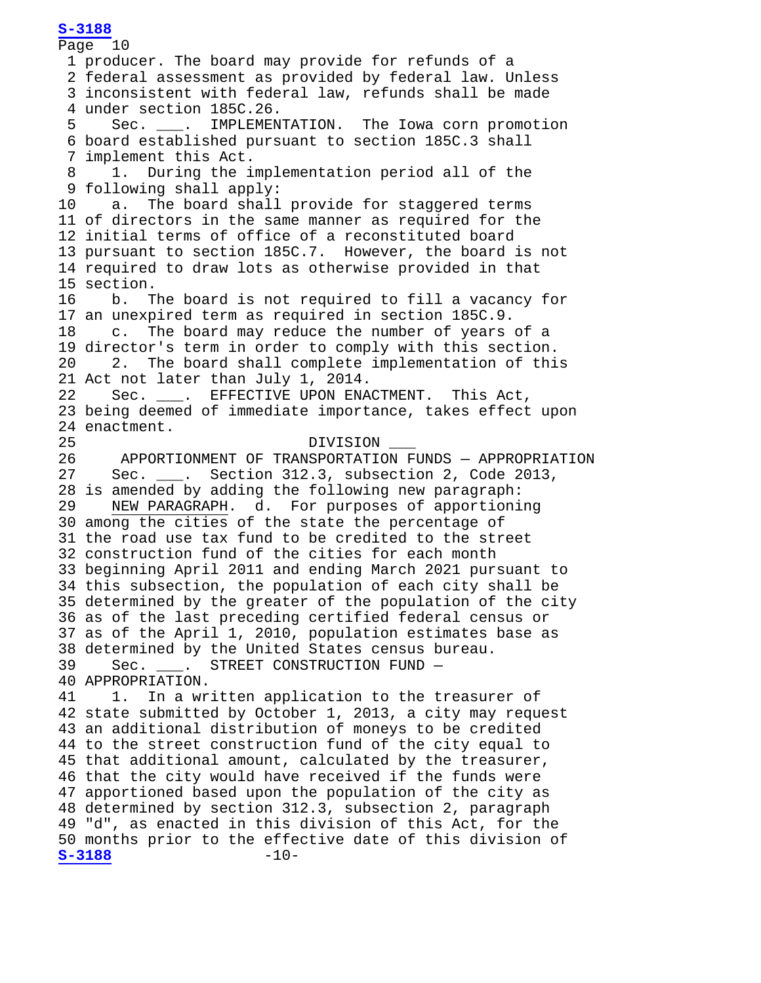Page 10 1 producer. The board may provide for refunds of a 2 federal assessment as provided by federal law. Unless 3 inconsistent with federal law, refunds shall be made 4 under section 185C.26.<br>5 Sec. . IMPLEMEN Sec. \_\_\_. IMPLEMENTATION. The Iowa corn promotion 6 board established pursuant to section 185C.3 shall 7 implement this Act. 8 1. During the implementation period all of the 9 following shall apply:<br>10 a. The board shall a. The board shall provide for staggered terms 11 of directors in the same manner as required for the 12 initial terms of office of a reconstituted board 13 pursuant to section 185C.7. However, the board is not 14 required to draw lots as otherwise provided in that 15 section.<br>16 b. T b. The board is not required to fill a vacancy for 17 an unexpired term as required in section 185C.9.<br>18 c. The board may reduce the number of years c. The board may reduce the number of years of a 19 director's term in order to comply with this section.<br>20 2. The board shall complete implementation of thi 2. The board shall complete implementation of this 21 Act not later than July 1, 2014.<br>22 Sec. . EFFECTIVE UPON ENA Sec. \_\_\_. EFFECTIVE UPON ENACTMENT. This Act, 23 being deemed of immediate importance, takes effect upon 24 enactment. 25 DIVISION DENSION DIVISION 26 APPORTIONMENT OF TRANSPORTATION B 26 APPORTIONMENT OF TRANSPORTATION FUNDS - APPROPRIATION<br>27 Sec. . Section 312.3, subsection 2, Code 2013, Sec. \_\_\_. Section 312.3, subsection 2, Code 2013, 28 is amended by adding the following new paragraph:<br>29 MEW PARAGRAPH. d. For purposes of apportioni NEW PARAGRAPH. d. For purposes of apportioning 30 among the cities of the state the percentage of 31 the road use tax fund to be credited to the street 32 construction fund of the cities for each month 33 beginning April 2011 and ending March 2021 pursuant to 34 this subsection, the population of each city shall be 35 determined by the greater of the population of the city 36 as of the last preceding certified federal census or 37 as of the April 1, 2010, population estimates base as 38 determined by the United States census bureau. 39 Sec. \_\_\_. STREET CONSTRUCTION FUND — 40 APPROPRIATION.<br>41 1. In a wr 1. In a written application to the treasurer of 42 state submitted by October 1, 2013, a city may request 43 an additional distribution of moneys to be credited 44 to the street construction fund of the city equal to 45 that additional amount, calculated by the treasurer, 46 that the city would have received if the funds were 47 apportioned based upon the population of the city as 48 determined by section 312.3, subsection 2, paragraph 49 "d", as enacted in this division of this Act, for the 50 months prior to the effective date of this division of<br> $S-3188$ <br>-10-**[S-3188](http://coolice.legis.iowa.gov/Cool-ICE/default.asp?Category=billinfo&Service=Billbook&frame=1&GA=85&hbill=S3188)**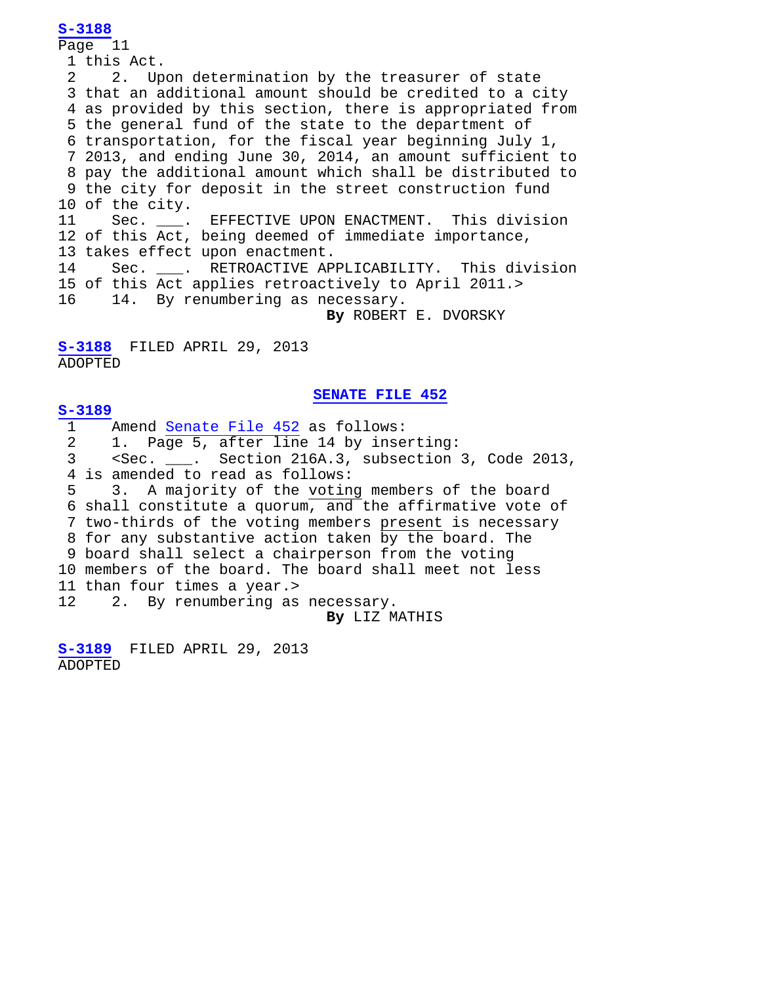Page 11 1 this Act.<br>2 2. Up 2. Upon determination by the treasurer of state 3 that an additional amount should be credited to a city 4 as provided by this section, there is appropriated from 5 the general fund of the state to the department of 6 transportation, for the fiscal year beginning July 1, 7 2013, and ending June 30, 2014, an amount sufficient to 8 pay the additional amount which shall be distributed to 9 the city for deposit in the street construction fund 10 of the city.<br>11 Sec. Sec. \_\_\_. EFFECTIVE UPON ENACTMENT. This division 12 of this Act, being deemed of immediate importance, 13 takes effect upon enactment.<br>14 Sec. . RETROACTIVE AP Sec. \_\_\_. RETROACTIVE APPLICABILITY. This division 15 of this Act applies retroactively to April 2011.><br>16 14. By renumbering as necessary. 14. By renumbering as necessary. **By** ROBERT E. DVORSKY

 **[S-3188](http://coolice.legis.iowa.gov/Cool-ICE/default.asp?Category=billinfo&Service=Billbook&frame=1&GA=85&hbill=S3188)** FILED APRIL 29, 2013 ADOPTED

**[SENATE FILE 452](http://coolice.legis.iowa.gov/Cool-ICE/default.asp?Category=billinfo&Service=Billbook&frame=1&GA=85&hbill=SF452)**

# **[S-3189](http://coolice.legis.iowa.gov/Cool-ICE/default.asp?Category=billinfo&Service=Billbook&frame=1&GA=85&hbill=S3189)**

1 Amend <u>Senate File 452</u> as follows:<br>2 1. Page 5, after line 14 by inse 2 1. Page 5, after line 14 by inserting:<br>3 <Sec. . Section 216A.3, subsection 3 <Sec. \_\_\_. Section 216A.3, subsection 3, Code 2013, 4 is amended to read as follows:<br>5 3. A majority of the votin 5 3. A majority of the voting members of the board 6 shall constitute a quorum, and the affirmative vote of 7 two-thirds of the voting members present is necessary 8 for any substantive action taken by the board. The 9 board shall select a chairperson from the voting 10 members of the board. The board shall meet not less 11 than four times a year.><br>12 2. By renumbering as 2. By renumbering as necessary. **By** LIZ MATHIS

 **[S-3189](http://coolice.legis.iowa.gov/Cool-ICE/default.asp?Category=billinfo&Service=Billbook&frame=1&GA=85&hbill=S3189)** FILED APRIL 29, 2013 ADOPTED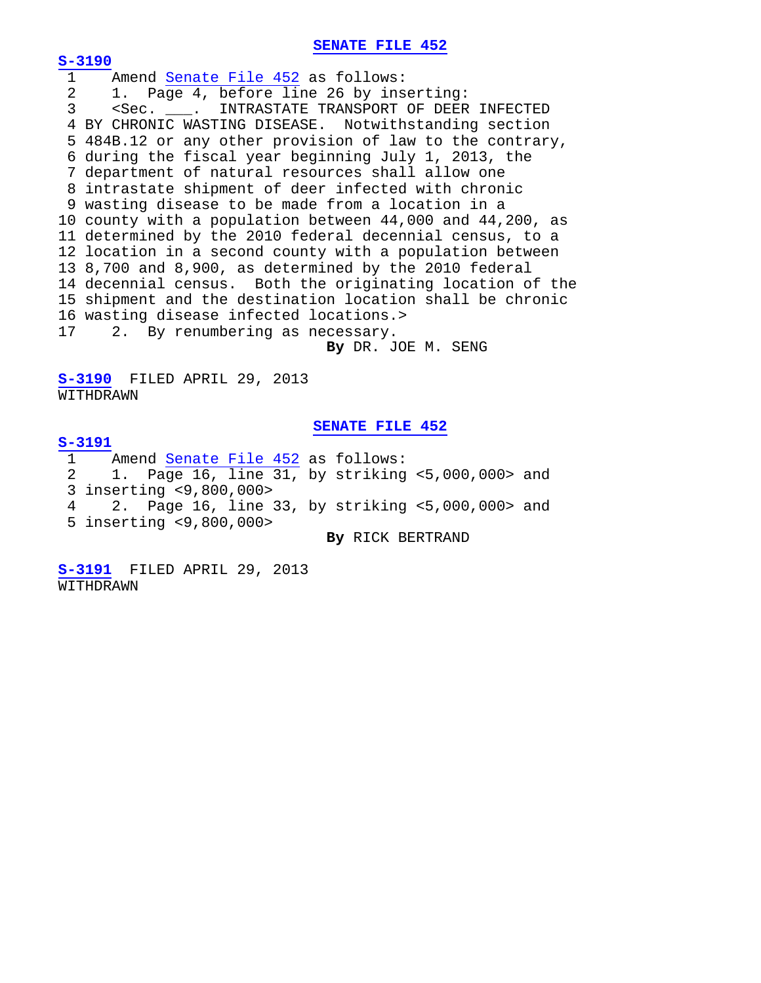# **[S-3190](http://coolice.legis.iowa.gov/Cool-ICE/default.asp?Category=billinfo&Service=Billbook&frame=1&GA=85&hbill=S3190)**

1 Amend <u>Senate File 452</u> as follows:<br>2 1. Page 4. before line 26 by ins 2 1. Page 4, before line 26 by inserting:<br>3 <Sec. . INTRASTATE TRANSPORT OF DEER <Sec. \_\_\_. INTRASTATE TRANSPORT OF DEER INFECTED 4 BY CHRONIC WASTING DISEASE. Notwithstanding section 5 484B.12 or any other provision of law to the contrary, 6 during the fiscal year beginning July 1, 2013, the 7 department of natural resources shall allow one 8 intrastate shipment of deer infected with chronic 9 wasting disease to be made from a location in a 10 county with a population between 44,000 and 44,200, as 11 determined by the 2010 federal decennial census, to a 12 location in a second county with a population between 13 8,700 and 8,900, as determined by the 2010 federal 14 decennial census. Both the originating location of the 15 shipment and the destination location shall be chronic 16 wasting disease infected locations.><br>17 2. By renumbering as necessary. 2. By renumbering as necessary.

**By** DR. JOE M. SENG

 **[S-3190](http://coolice.legis.iowa.gov/Cool-ICE/default.asp?Category=billinfo&Service=Billbook&frame=1&GA=85&hbill=S3190)** FILED APRIL 29, 2013 WITHDRAWN

### **[SENATE FILE 452](http://coolice.legis.iowa.gov/Cool-ICE/default.asp?Category=billinfo&Service=Billbook&frame=1&GA=85&hbill=SF452)**

# **[S-3191](http://coolice.legis.iowa.gov/Cool-ICE/default.asp?Category=billinfo&Service=Billbook&frame=1&GA=85&hbill=S3191)**

1 Amend <u>Senate File 452</u> as follows:<br>2 1. Page 16, line 31, by striking 2 1. Page 16, line 31, by striking <5,000,000> and 3 inserting <9,800,000> 4 2. Page 16, line 33, by striking <5,000,000> and 5 inserting <9,800,000> **By** RICK BERTRAND

 **[S-3191](http://coolice.legis.iowa.gov/Cool-ICE/default.asp?Category=billinfo&Service=Billbook&frame=1&GA=85&hbill=S3191)** FILED APRIL 29, 2013 WITHDRAWN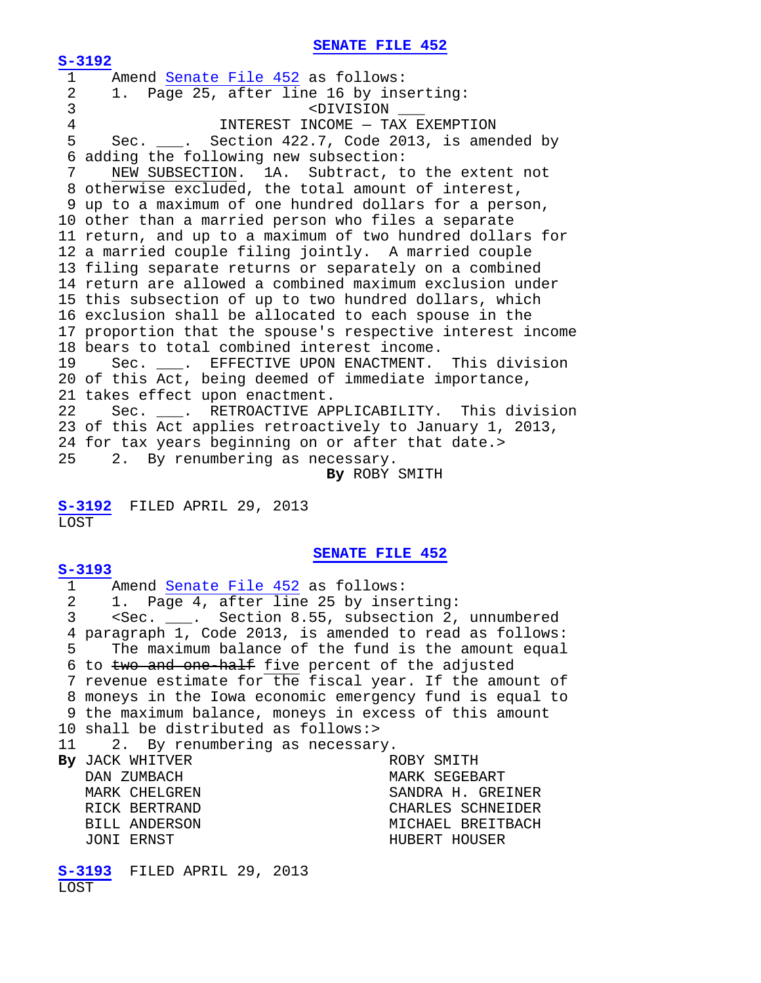**[S-3192](http://coolice.legis.iowa.gov/Cool-ICE/default.asp?Category=billinfo&Service=Billbook&frame=1&GA=85&hbill=S3192)** 1 Amend <u>Senate File 452</u> as follows:<br>2 1. Page 25, after line 16 by ins 2 1. Page 25, after line 16 by inserting: 3 <DIVISION \_\_\_ 4 INTEREST INCOME - TAX EXEMPTION<br>5 Sec. . Section 422.7. Code 2013, is ame: 5 Sec. \_\_\_. Section 422.7, Code 2013, is amended by 6 adding the following new subsection: 7 NEW SUBSECTION. 1A. Subtract, to the extent not 8 otherwise excluded, the total amount of interest, 9 up to a maximum of one hundred dollars for a person, 10 other than a married person who files a separate 11 return, and up to a maximum of two hundred dollars for 12 a married couple filing jointly. A married couple 13 filing separate returns or separately on a combined 14 return are allowed a combined maximum exclusion under 15 this subsection of up to two hundred dollars, which 16 exclusion shall be allocated to each spouse in the 17 proportion that the spouse's respective interest income 18 bears to total combined interest income.<br>19 Sec. . EFFECTIVE UPON ENACTMENT. Sec. . EFFECTIVE UPON ENACTMENT. This division 20 of this Act, being deemed of immediate importance, 21 takes effect upon enactment.<br>22 Sec. . RETROACTIVE AP Sec. \_\_\_. RETROACTIVE APPLICABILITY. This division 23 of this Act applies retroactively to January 1, 2013, 24 for tax years beginning on or after that date.><br>25 2. By renumbering as necessary. 2. By renumbering as necessary. **By** ROBY SMITH

 **[S-3192](http://coolice.legis.iowa.gov/Cool-ICE/default.asp?Category=billinfo&Service=Billbook&frame=1&GA=85&hbill=S3192)** FILED APRIL 29, 2013 LOST

**[SENATE FILE 452](http://coolice.legis.iowa.gov/Cool-ICE/default.asp?Category=billinfo&Service=Billbook&frame=1&GA=85&hbill=SF452)**

# **[S-3193](http://coolice.legis.iowa.gov/Cool-ICE/default.asp?Category=billinfo&Service=Billbook&frame=1&GA=85&hbill=S3193)**

1 Amend <u>Senate File 452</u> as follows:<br>2 1. Page 4, after line 25 by inse 2 1. Page 4, after line 25 by inserting:<br>3 <Sec. . Section 8.55, subsection 2. 3 <Sec. \_\_\_. Section 8.55, subsection 2, unnumbered 4 paragraph 1, Code 2013, is amended to read as follows:<br>5 The maximum balance of the fund is the amount equal The maximum balance of the fund is the amount equal 6 to two and one-half five percent of the adjusted 7 revenue estimate for the fiscal year. If the amount of 8 moneys in the Iowa economic emergency fund is equal to 9 the maximum balance, moneys in excess of this amount 10 shall be distributed as follows:><br>11 2. By renumbering as necessar 2. By renumbering as necessary.<br>K WHITVER ROBY SMITH **By** JACK WHITVER<br>DAN ZUMBACH DAN ZUMBACH MARK SEGEBART MARK CHELGREN SANDRA H. GREINER RICK BERTRAND CHARLES SCHNEIDER BILL ANDERSON MICHAEL BREITBACH HUBERT HOUSER

 **[S-3193](http://coolice.legis.iowa.gov/Cool-ICE/default.asp?Category=billinfo&Service=Billbook&frame=1&GA=85&hbill=S3193)** FILED APRIL 29, 2013 LOST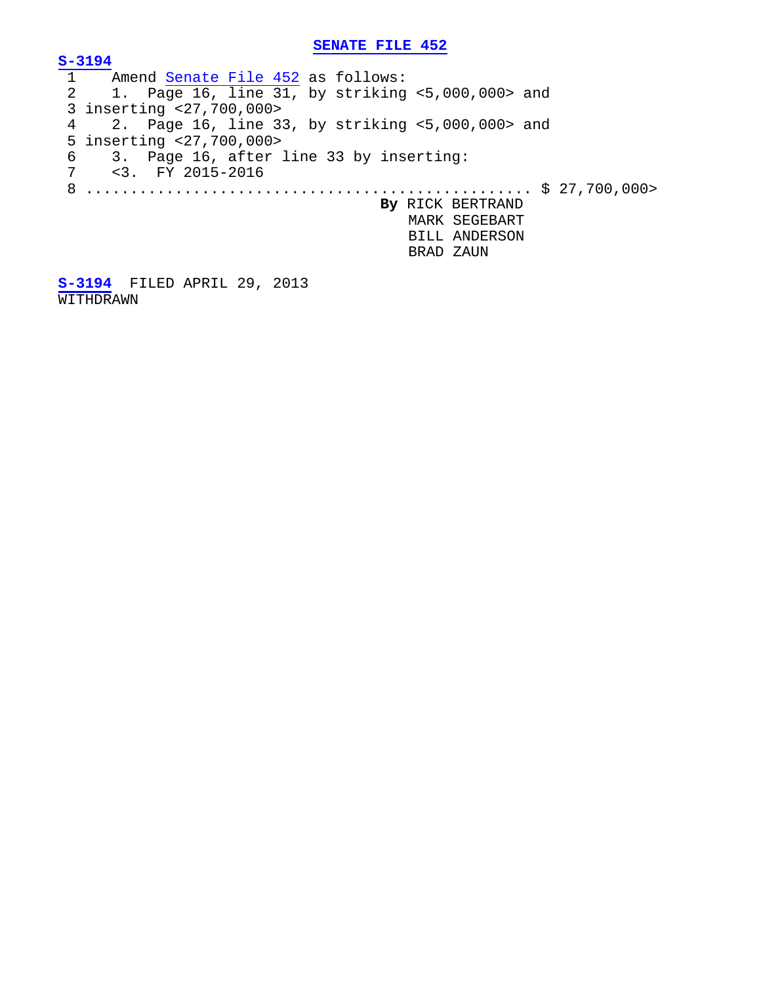$\frac{S-3194}{1}$  $\frac{S-3194}{1}$  $\frac{S-3194}{1}$ 1 Amend <u>Senate File 452</u> as follows:<br>2 1. Page 16, line 31, by striking 1. Page  $16$ , line  $31$ , by striking <5,000,000> and 3 inserting <27,700,000><br>4 2. Page 16, line 3 4 2. Page 16, line 33, by striking <5,000,000> and 5 inserting <27,700,000> 6 3. Page 16, after line 33 by inserting: 7 <3. FY 2015-2016 8 .................................................. \$ 27,700,000> **By** RICK BERTRAND MARK SEGEBART BILL ANDERSON BRAD ZAUN **[S-3194](http://coolice.legis.iowa.gov/Cool-ICE/default.asp?Category=billinfo&Service=Billbook&frame=1&GA=85&hbill=S3194)** FILED APRIL 29, 2013

WITHDRAWN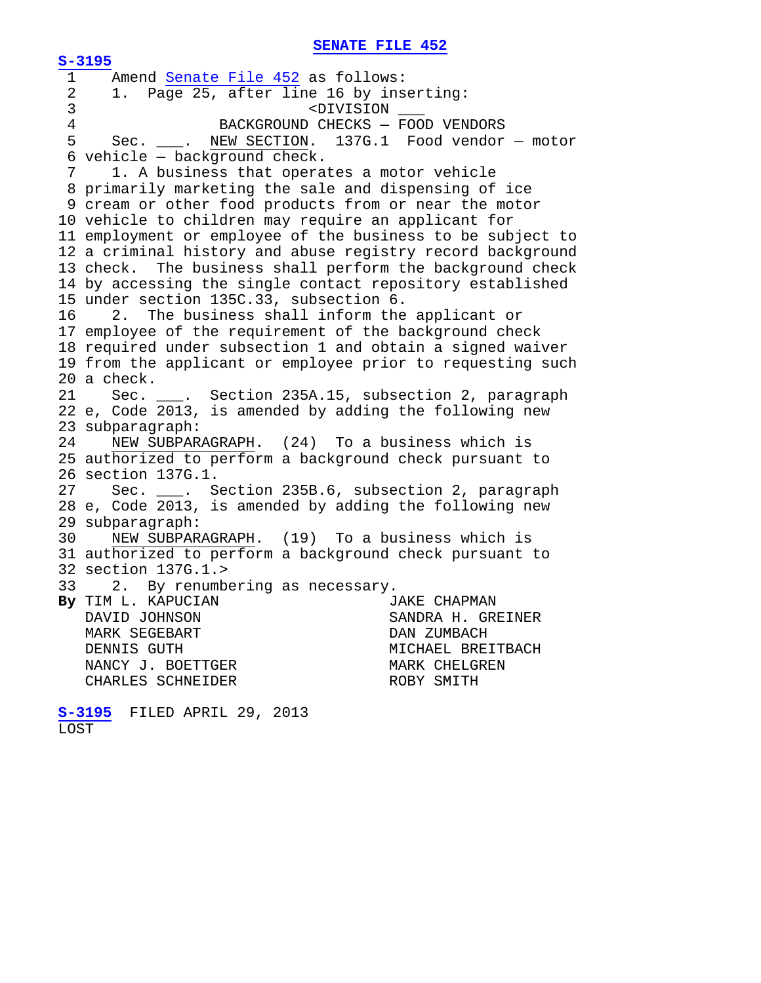**[S-3195](http://coolice.legis.iowa.gov/Cool-ICE/default.asp?Category=billinfo&Service=Billbook&frame=1&GA=85&hbill=S3195)** 1 Amend <u>Senate File 452</u> as follows:<br>2 1. Page 25, after line 16 by inse 2 1. Page 25, after line 16 by inserting:<br>3 3 <DIVISION \_\_\_ 4 BACKGROUND CHECKS – FOOD VENDORS<br>5 Sec. NEW SECTION, 137G, 1 Food vendor Sec. \_\_\_. NEW SECTION. 137G.1 Food vendor - motor 6 vehicle – background check.<br> $7 \t 1$ . A business that opera 1. A business that operates a motor vehicle 8 primarily marketing the sale and dispensing of ice 9 cream or other food products from or near the motor 10 vehicle to children may require an applicant for 11 employment or employee of the business to be subject to 12 a criminal history and abuse registry record background 13 check. The business shall perform the background check 14 by accessing the single contact repository established 15 under section 135C.33, subsection 6.<br>16 2. The business shall inform the 2. The business shall inform the applicant or 17 employee of the requirement of the background check 18 required under subsection 1 and obtain a signed waiver 19 from the applicant or employee prior to requesting such 20 a check.<br>21 Sec. Sec. \_\_\_. Section 235A.15, subsection 2, paragraph 22 e, Code 2013, is amended by adding the following new 23 subparagraph:<br>24 NEW SUBPAR NEW SUBPARAGRAPH. (24) To a business which is 25 authorized to perform a background check pursuant to 26 section 137G.1.<br>27 Sec. . . S Sec. \_\_\_. Section 235B.6, subsection 2, paragraph 28 e, Code 2013, is amended by adding the following new 29 subparagraph:<br>30 NEW SUBPAR NEW SUBPARAGRAPH. (19) To a business which is 31 authorized to perform a background check pursuant to 32 section 137G.1.><br>33 2. By renumb 2. By renumbering as necessary.<br>L. KAPUCIAN UAKE CHAPMAN **By** TIM L. KAPUCIAN<br>DAVID JOHNSON SANDRA H. GREINER<br>DAN ZUMBACH MARK SEGEBART<br>DENNIS GUTH MICHAEL BREITBACH NANCY J. BOETTGER MARK CHELGREN CHARLES SCHNEIDER MARK ROBY SMITH CHARLES SCHNEIDER **[S-3195](http://coolice.legis.iowa.gov/Cool-ICE/default.asp?Category=billinfo&Service=Billbook&frame=1&GA=85&hbill=S3195)** FILED APRIL 29, 2013

LOST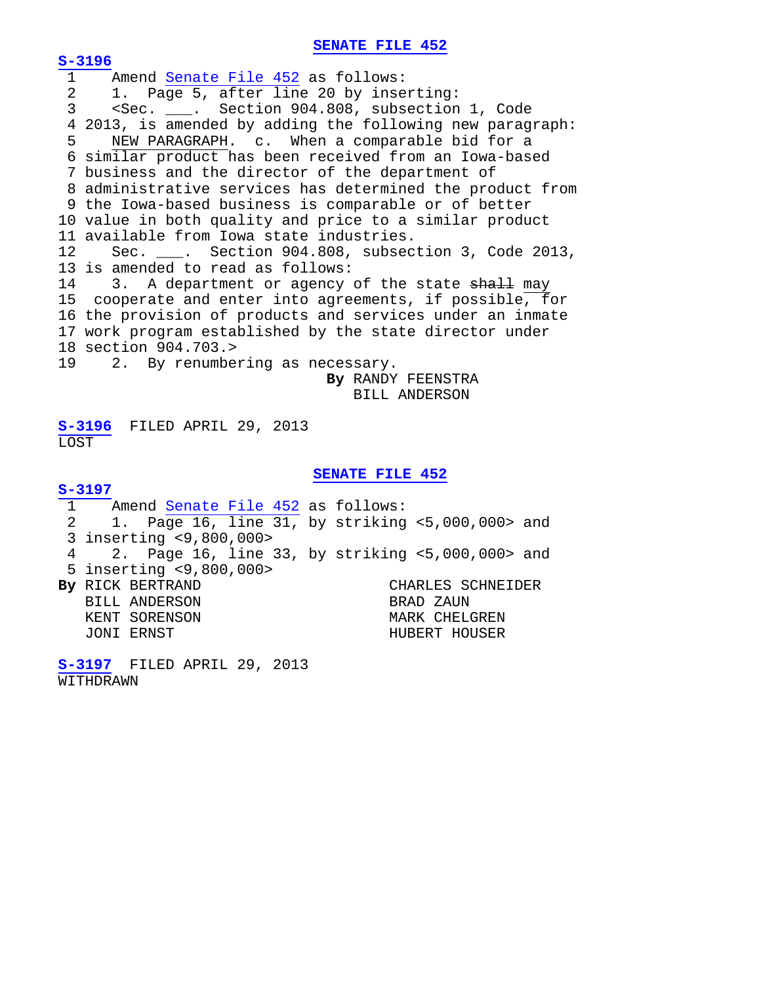**[S-3196](http://coolice.legis.iowa.gov/Cool-ICE/default.asp?Category=billinfo&Service=Billbook&frame=1&GA=85&hbill=S3196)** 1 Amend <u>Senate File 452</u> as follows:<br>2 1. Page 5. after line 20 by inse 2 1. Page 5, after line 20 by inserting:<br>3 <Sec. . Section 904.808, subsection 3 <Sec. \_\_\_. Section 904.808, subsection 1, Code 4 2013, is amended by adding the following new paragraph:<br>5 NEW PARAGRAPH. c. When a comparable bid for a NEW PARAGRAPH. c. When a comparable bid for a 6 similar product has been received from an Iowa-based 7 business and the director of the department of 8 administrative services has determined the product from 9 the Iowa-based business is comparable or of better 10 value in both quality and price to a similar product 11 available from Iowa state industries.<br>12 Sec. . Section 904.808, subsec Sec. \_\_\_. Section 904.808, subsection 3, Code 2013, 13 is amended to read as follows:<br>14 3. A department or agency 3. A department or agency of the state shall may 15 cooperate and enter into agreements, if possible, for 16 the provision of products and services under an inmate 17 work program established by the state director under 18 section 904.703.><br>19 2. By renumbe 2. By renumbering as necessary. **By** RANDY FEENSTRA BILL ANDERSON

 **[S-3196](http://coolice.legis.iowa.gov/Cool-ICE/default.asp?Category=billinfo&Service=Billbook&frame=1&GA=85&hbill=S3196)** FILED APRIL 29, 2013 LOST

### **[SENATE FILE 452](http://coolice.legis.iowa.gov/Cool-ICE/default.asp?Category=billinfo&Service=Billbook&frame=1&GA=85&hbill=SF452)**

 **[S-3197](http://coolice.legis.iowa.gov/Cool-ICE/default.asp?Category=billinfo&Service=Billbook&frame=1&GA=85&hbill=S3197)** 1 Amend <u>Senate File 452</u> as follows:<br>2 1. Page 16, line 31, by striking 2 1. Page 16, line 31, by striking <5,000,000> and 3 inserting <9,800,000><br>4 2 Page 16 line 4 2. Page 16, line 33, by striking <5,000,000> and 5 inserting <9,800,000><br>By RICK BERTRAND CHARLES SCHNEIDER<br>BRAD ZAUN BILL ANDERSON BRAD ZAUN KENT SORENSON<br>JONI ERNST HUBERT HOUSER

 **[S-3197](http://coolice.legis.iowa.gov/Cool-ICE/default.asp?Category=billinfo&Service=Billbook&frame=1&GA=85&hbill=S3197)** FILED APRIL 29, 2013 WITHDRAWN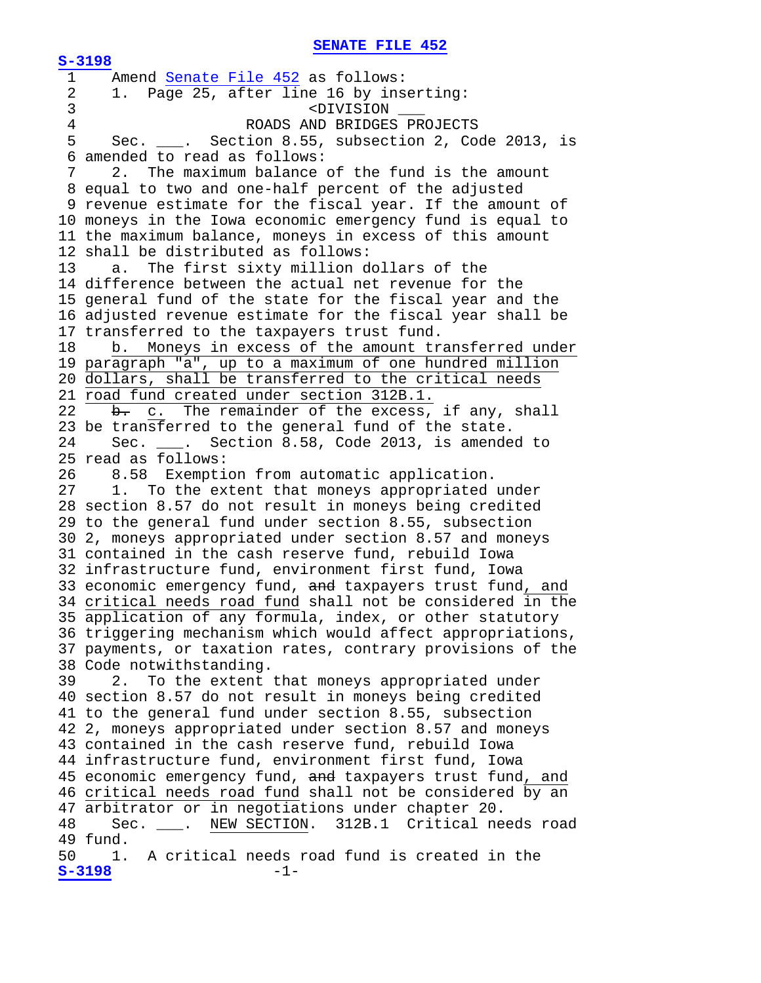**[S-3198](http://coolice.legis.iowa.gov/Cool-ICE/default.asp?Category=billinfo&Service=Billbook&frame=1&GA=85&hbill=S3198)** 1 Amend <u>Senate File 452</u> as follows:<br>2 1. Page 25, after line 16 by ins 2 1. Page 25, after line 16 by inserting: 3 <DIVISION \_\_\_ 4 ROADS AND BRIDGES PROJECTS<br>5 Sec. . Section 8.55, subsection 2, Co Section 8.55, subsection 2, Code 2013, is 6 amended to read as follows: 2. The maximum balance of the fund is the amount 8 equal to two and one-half percent of the adjusted 9 revenue estimate for the fiscal year. If the amount of 10 moneys in the Iowa economic emergency fund is equal to 11 the maximum balance, moneys in excess of this amount 12 shall be distributed as follows:<br>13 a. The first sixty million d a. The first sixty million dollars of the 14 difference between the actual net revenue for the 15 general fund of the state for the fiscal year and the 16 adjusted revenue estimate for the fiscal year shall be 17 transferred to the taxpayers trust fund.<br>18 b. Moneys in excess of the amount tr b. Moneys in excess of the amount transferred under 19 paragraph "a", up to a maximum of one hundred million 20 dollars, shall be transferred to the critical needs 21 road fund created under section  $312B.1$ .<br>22 b. c. The remainder of the excess, b. c. The remainder of the excess, if any, shall 23 be transferred to the general fund of the state.<br>24 Sec. . Section 8.58, Code 2013, is amende Sec. \_\_\_. Section 8.58, Code 2013, is amended to 25 read as follows:<br>26 8.58 Exempti 26 8.58 Exemption from automatic application.<br>27 1. To the extent that moneys appropriated 1. To the extent that moneys appropriated under 28 section 8.57 do not result in moneys being credited 29 to the general fund under section 8.55, subsection 30 2, moneys appropriated under section 8.57 and moneys 31 contained in the cash reserve fund, rebuild Iowa 32 infrastructure fund, environment first fund, Iowa 33 economic emergency fund, and taxpayers trust fund, and 34 critical needs road fund shall not be considered in the 35 application of any formula, index, or other statutory 36 triggering mechanism which would affect appropriations, 37 payments, or taxation rates, contrary provisions of the 38 Code notwithstanding.<br>39 2. To the extent To the extent that moneys appropriated under 40 section 8.57 do not result in moneys being credited 41 to the general fund under section 8.55, subsection 42 2, moneys appropriated under section 8.57 and moneys 43 contained in the cash reserve fund, rebuild Iowa 44 infrastructure fund, environment first fund, Iowa 45 economic emergency fund, and taxpayers trust fund, and 46 critical needs road fund shall not be considered  $\overline{by}$  an 47 arbitrator or in negotiations under chapter 20.<br>48 Sec. \_\_\_. NEW SECTION. 312B.1 Critical ne NEW SECTION. 312B.1 Critical needs road 49 fund.<br>50 1. 1. A critical needs road fund is created in the  $-1$ -**[S-3198](http://coolice.legis.iowa.gov/Cool-ICE/default.asp?Category=billinfo&Service=Billbook&frame=1&GA=85&hbill=S3198)**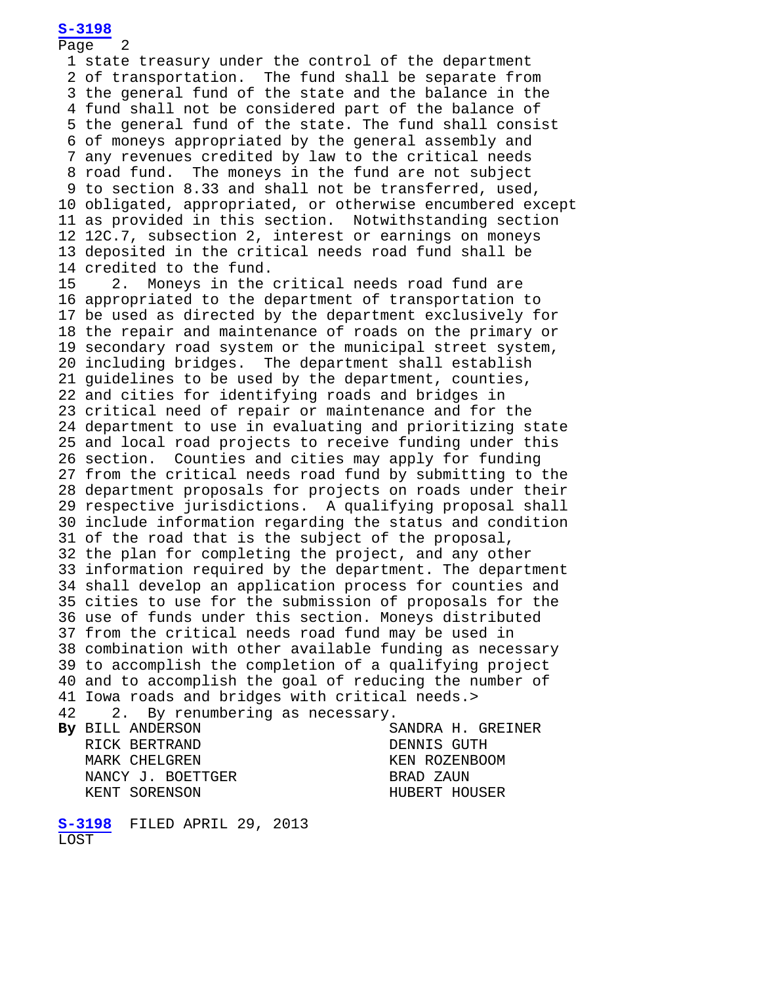Page 2 1 state treasury under the control of the department 2 of transportation. The fund shall be separate from 3 the general fund of the state and the balance in the 4 fund shall not be considered part of the balance of 5 the general fund of the state. The fund shall consist 6 of moneys appropriated by the general assembly and 7 any revenues credited by law to the critical needs 8 road fund. The moneys in the fund are not subject 9 to section 8.33 and shall not be transferred, used, 10 obligated, appropriated, or otherwise encumbered except 11 as provided in this section. Notwithstanding section 12 12C.7, subsection 2, interest or earnings on moneys 13 deposited in the critical needs road fund shall be 14 credited to the fund.<br>15 2. Monevs in the 2. Moneys in the critical needs road fund are 16 appropriated to the department of transportation to 17 be used as directed by the department exclusively for 18 the repair and maintenance of roads on the primary or 19 secondary road system or the municipal street system, 20 including bridges. The department shall establish 21 guidelines to be used by the department, counties, 22 and cities for identifying roads and bridges in 23 critical need of repair or maintenance and for the 24 department to use in evaluating and prioritizing state 25 and local road projects to receive funding under this 26 section. Counties and cities may apply for funding 27 from the critical needs road fund by submitting to the 28 department proposals for projects on roads under their 29 respective jurisdictions. A qualifying proposal shall 30 include information regarding the status and condition 31 of the road that is the subject of the proposal, 32 the plan for completing the project, and any other 33 information required by the department. The department 34 shall develop an application process for counties and 35 cities to use for the submission of proposals for the 36 use of funds under this section. Moneys distributed 37 from the critical needs road fund may be used in 38 combination with other available funding as necessary 39 to accomplish the completion of a qualifying project 40 and to accomplish the goal of reducing the number of 41 Iowa roads and bridges with critical needs.><br>42 2. By renumbering as necessary. 2. By renumbering as necessary.<br>L ANDERSON 68 SANDRA H. GREINER **By** BILL ANDERSON SANDRA H. G.<br>RICK BERTRAND DENNIS GUTH RICK BERTRAND DENNIS GUTH MARK CHELGREN KEN ROZENBOOM NANCY J. BOETTGER BRAD ZAUN KENT SORENSON

 **[S-3198](http://coolice.legis.iowa.gov/Cool-ICE/default.asp?Category=billinfo&Service=Billbook&frame=1&GA=85&hbill=S3198)** FILED APRIL 29, 2013 LOST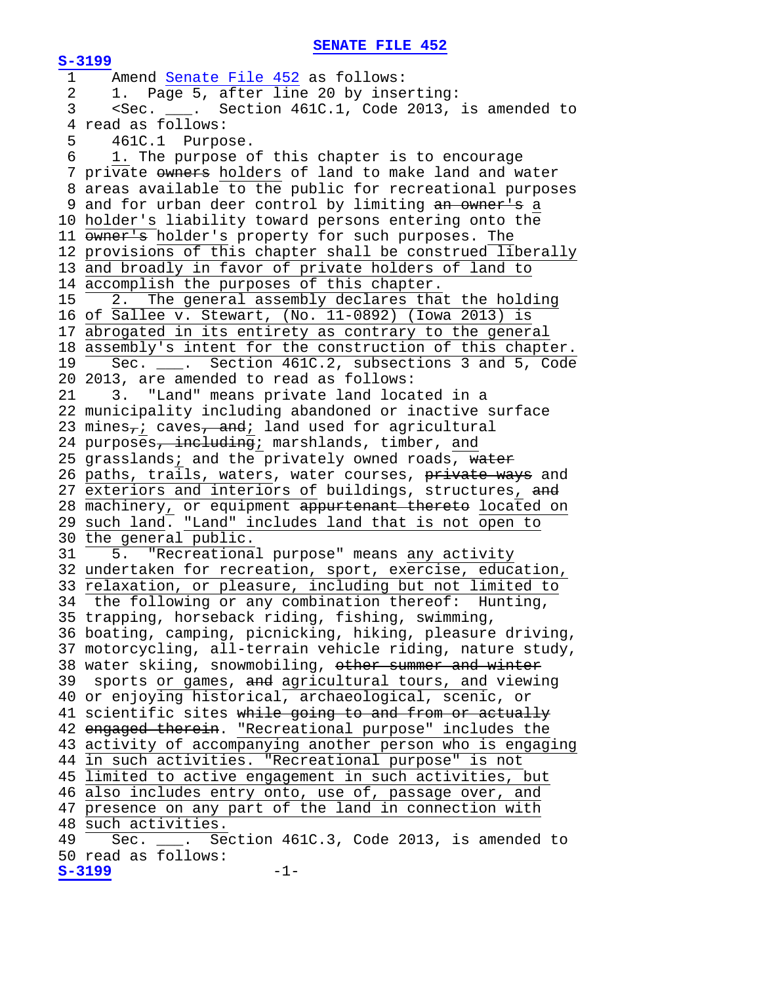**[S-3199](http://coolice.legis.iowa.gov/Cool-ICE/default.asp?Category=billinfo&Service=Billbook&frame=1&GA=85&hbill=S3199)** 1 Amend <u>Senate File 452</u> as follows:<br>2 1. Page 5. after line 20 by inse 2 1. Page 5, after line 20 by inserting:<br>3 <Sec. . Section 461C.1, Code 2013, <Sec. \_\_\_. Section 461C.1, Code 2013, is amended to 4 read as follows:<br>5 461C.1 Purpo 5 461C.1 Purpose.<br>6 1. The purpose o 1. The purpose of this chapter is to encourage 7 private owners holders of land to make land and water 8 areas available to the public for recreational purposes 9 and for urban deer control by limiting an owner's a 10 holder's liability toward persons entering onto the 11 owner's holder's property for such purposes. The 12 provisions of this chapter shall be construed liberally 13 and broadly in favor of private holders of land to 14 accomplish the purposes of this chapter.<br>15 2. The general assembly declares that 2. The general assembly declares that the holding 16 of Sallee v. Stewart, (No. 11-0892) (Iowa 2013) is 17 abrogated in its entirety as contrary to the general 18 assembly's intent for the construction of this chapter.<br>19 Sec. . Section 461C.2, subsections 3 and 5. Code Sec. \_\_\_. Section 461C.2, subsections 3 and 5, Code 20 2013, are amended to read as follows:<br>21 3. "Land" means private land loca 21 3. "Land" means private land located in a 22 municipality including abandoned or inactive surface 23 mines $\tau$ ; caves, and; land used for agricultural 24 purposes, including; marshlands, timber, and 25 grasslands; and the privately owned roads, water 26 paths, trails, waters, water courses, private ways and 27 exteriors and interiors of buildings, structures, and 28 machinery, or equipment appurtenant thereto located on 29 such land. "Land" includes land that is not open to 30 the general public.<br>31 5. "Recreationa 5. "Recreational purpose" means any activity 32 undertaken for recreation, sport, exercise, education, 33 relaxation, or pleasure, including but not limited to 34 the following or any combination thereof: Hunting, 35 trapping, horseback riding, fishing, swimming, 36 boating, camping, picnicking, hiking, pleasure driving, 37 motorcycling, all-terrain vehicle riding, nature study, 38 water skiing, snowmobiling, other summer and winter 39 sports or games, and agricultural tours, and viewing 40 or enjoying historical, archaeological, scenic, or 41 scientific sites while going to and from or actually 42 engaged therein. "Recreational purpose" includes the 43 activity of accompanying another person who is engaging 44 in such activities. "Recreational purpose" is not 45 limited to active engagement in such activities, but 46 also includes entry onto, use of, passage over, and 47 presence on any part of the land in connection with 48 such activities.<br>49 Sec. . Se Sec. \_\_\_. Section 461C.3, Code 2013, is amended to 50 read as follows: **[S-3199](http://coolice.legis.iowa.gov/Cool-ICE/default.asp?Category=billinfo&Service=Billbook&frame=1&GA=85&hbill=S3199)** -1-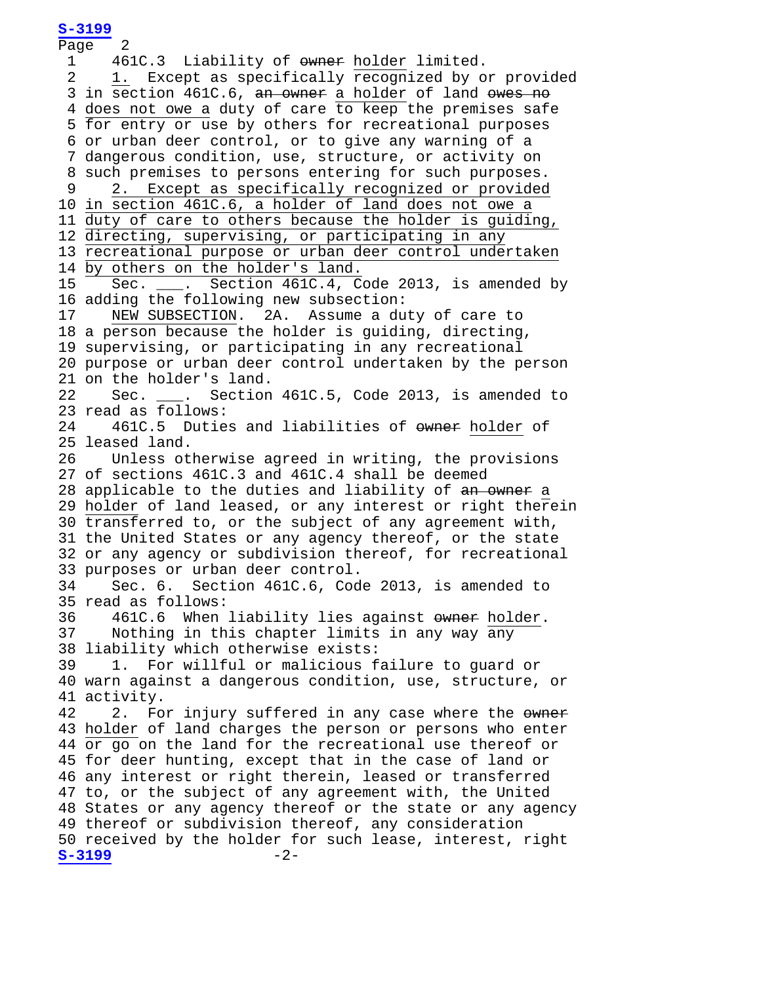Page 2<br>1 46 1 461C.3 Liability of owner holder limited.<br>2 1. Except as specifically recognized by o 1. Except as specifically recognized by or provided 3 in section 461C.6, an owner a holder of land owes no 4 does not owe a duty of care to keep the premises safe 5 for entry or use by others for recreational purposes 6 or urban deer control, or to give any warning of a 7 dangerous condition, use, structure, or activity on 8 such premises to persons entering for such purposes. 9 2. Except as specifically recognized or provided 10 in section 461C.6, a holder of land does not owe a 11 duty of care to others because the holder is guiding, 12 directing, supervising, or participating in any 13 recreational purpose or urban deer control undertaken 14 by others on the holder's land.<br>15 Sec. . Section 461C.4, C Sec. \_\_\_. Section 461C.4, Code 2013, is amended by 16 adding the following new subsection:<br>17 NEW SUBSECTION. 2A. Assume a du NEW SUBSECTION. 2A. Assume a duty of care to 18 a person because the holder is guiding, directing, 19 supervising, or participating in any recreational 20 purpose or urban deer control undertaken by the person 21 on the holder's land.<br>22 Sec. . Section Sec. \_\_\_. Section 461C.5, Code 2013, is amended to 23 read as follows:<br>24 461C.5 Dutie 461C.5 Duties and liabilities of owner holder of 25 leased land.<br>26 Unless ot Unless otherwise agreed in writing, the provisions 27 of sections 461C.3 and 461C.4 shall be deemed 28 applicable to the duties and liability of an owner a 29 holder of land leased, or any interest or right therein 30 transferred to, or the subject of any agreement with, 31 the United States or any agency thereof, or the state 32 or any agency or subdivision thereof, for recreational 33 purposes or urban deer control.<br>34 Sec. 6. Section 461C.6. Cod Sec. 6. Section 461C.6, Code 2013, is amended to 35 read as follows:<br>36 461C.6 When 36 461C.6 When liability lies against owner holder.<br>37 Nothing in this chapter limits in any way any Nothing in this chapter limits in any way any 38 liability which otherwise exists: 39 1. For willful or malicious failure to guard or 40 warn against a dangerous condition, use, structure, or 41 activity.<br>42 2. Fo 2. For injury suffered in any case where the owner 43 holder of land charges the person or persons who enter 44 or go on the land for the recreational use thereof or 45 for deer hunting, except that in the case of land or 46 any interest or right therein, leased or transferred 47 to, or the subject of any agreement with, the United 48 States or any agency thereof or the state or any agency 49 thereof or subdivision thereof, any consideration 50 received by the holder for such lease, interest, right<br> $S-3199$ <br>-2-**[S-3199](http://coolice.legis.iowa.gov/Cool-ICE/default.asp?Category=billinfo&Service=Billbook&frame=1&GA=85&hbill=S3199)** -2-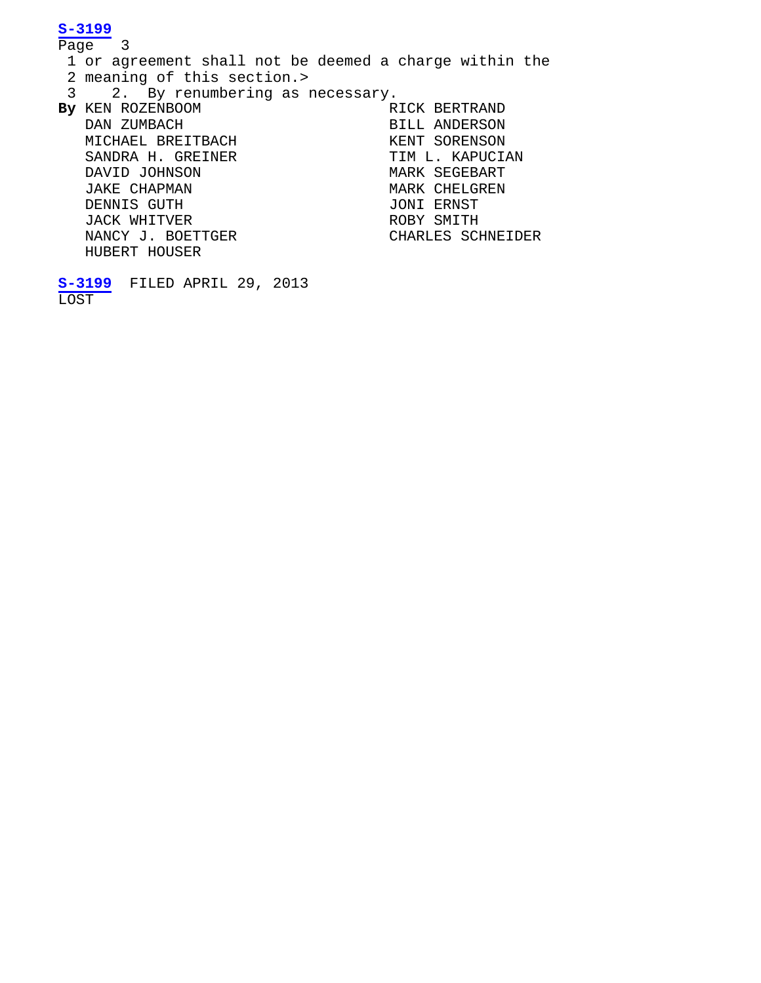Page 3 1 or agreement shall not be deemed a charge within the 2 meaning of this section.> 3 2. By renumbering as necessary.<br>y KEN ROZENBOOM RICK BERTRAND **By** KEN ROZENBOOM RICK BERTRAND DAN ZUMBACH **RICK BERTRAND** DAN ZUMBACH BILL ANDERSON MICHAEL BREITBACH GEREIT SORENSON SANDRA H. GREINER TIM L. KAPUCIAN<br>DAVID JOHNSON NARK SEGEBART DAVID JOHNSON MARK SEGEBART MARK CHELGREN<br>JONI ERNST DENNIS GUTH JONI ERNST JACK WHITVER ROBY SMITH NANCY J. BOETTGER CHARLES SCHNEIDER HUBERT HOUSER **[S-3199](http://coolice.legis.iowa.gov/Cool-ICE/default.asp?Category=billinfo&Service=Billbook&frame=1&GA=85&hbill=S3199)** FILED APRIL 29, 2013

LOST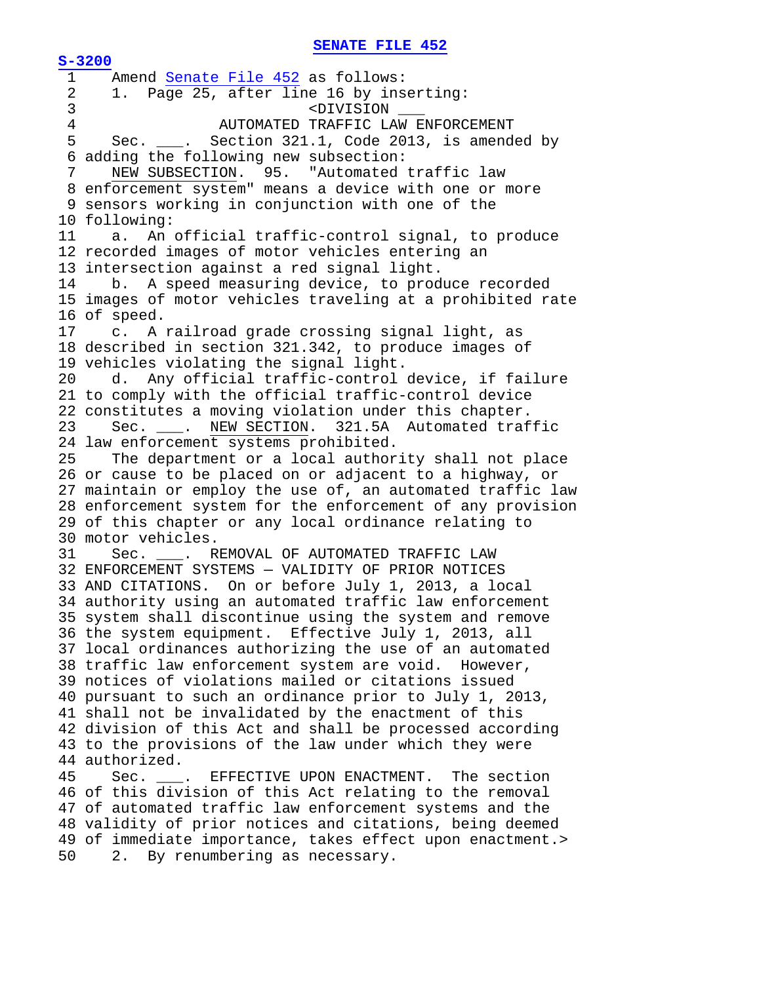**[S-3200](http://coolice.legis.iowa.gov/Cool-ICE/default.asp?Category=billinfo&Service=Billbook&frame=1&GA=85&hbill=S3200)** 1 Amend <u>Senate File 452</u> as follows:<br>2 1. Page 25, after line 16 by inse 2 1. Page 25, after line 16 by inserting:<br>3 3 <DIVISION \_\_\_ 4 AUTOMATED TRAFFIC LAW ENFORCEMENT<br>5 Sec. Section 321.1, Code 2013, is amend Sec. \_\_\_. Section 321.1, Code 2013, is amended by 6 adding the following new subsection:<br>7 NEW SUBSECTION. 95. "Automated NEW SUBSECTION. 95. "Automated traffic law 8 enforcement system" means a device with one or more 9 sensors working in conjunction with one of the 10 following:<br>11 a. An An official traffic-control signal, to produce 12 recorded images of motor vehicles entering an 13 intersection against a red signal light.<br>14 b. A speed measuring device, to prod b. A speed measuring device, to produce recorded 15 images of motor vehicles traveling at a prohibited rate 16 of speed.<br>17 c. A c. A railroad grade crossing signal light, as 18 described in section 321.342, to produce images of 19 vehicles violating the signal light.<br>20 d. Anv official traffic-control d. Any official traffic-control device, if failure 21 to comply with the official traffic-control device 22 constitutes a moving violation under this chapter.<br>23 Sec. . NEW SECTION. 321.5A Automated traf Sec. \_\_\_. NEW SECTION. 321.5A Automated traffic 24 law enforcement systems prohibited.<br>25 The department or a local author The department or a local authority shall not place 26 or cause to be placed on or adjacent to a highway, or 27 maintain or employ the use of, an automated traffic law 28 enforcement system for the enforcement of any provision 29 of this chapter or any local ordinance relating to 30 motor vehicles.<br>31 Sec. . R Sec. \_\_\_. REMOVAL OF AUTOMATED TRAFFIC LAW 32 ENFORCEMENT SYSTEMS — VALIDITY OF PRIOR NOTICES 33 AND CITATIONS. On or before July 1, 2013, a local 34 authority using an automated traffic law enforcement 35 system shall discontinue using the system and remove 36 the system equipment. Effective July 1, 2013, all 37 local ordinances authorizing the use of an automated 38 traffic law enforcement system are void. However, 39 notices of violations mailed or citations issued 40 pursuant to such an ordinance prior to July 1, 2013, 41 shall not be invalidated by the enactment of this 42 division of this Act and shall be processed according 43 to the provisions of the law under which they were 44 authorized.<br>45 Sec. Sec. \_\_\_. EFFECTIVE UPON ENACTMENT. The section 46 of this division of this Act relating to the removal 47 of automated traffic law enforcement systems and the 48 validity of prior notices and citations, being deemed 49 of immediate importance, takes effect upon enactment.><br>50 2. By renumbering as necessary. 2. By renumbering as necessary.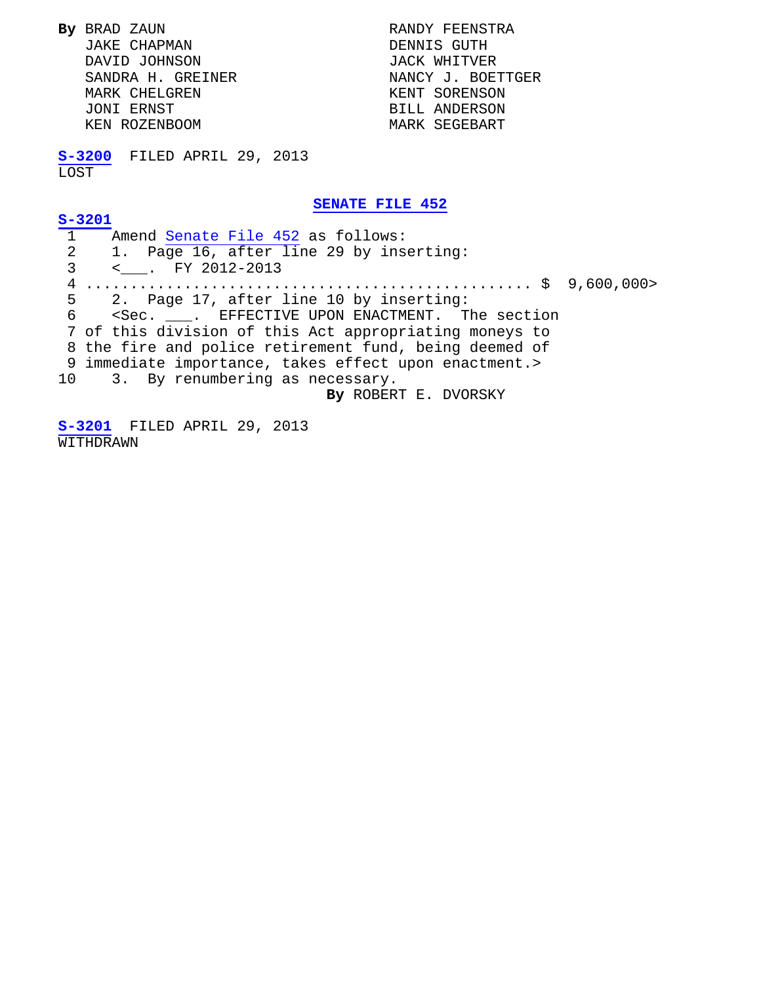**By** BRAD ZAUN **RANDY FEENSTRA**  JAKE CHAPMAN DENNIS GUTH SANDRA H. GREINER NANCY J. BOETTGER MARK CHELGREN<br>JONI ERNST KEN ROZENBOOM

 DAVID JOHNSON JACK WHITVER BILL ANDERSON<br>MARK SEGEBART

 **[S-3200](http://coolice.legis.iowa.gov/Cool-ICE/default.asp?Category=billinfo&Service=Billbook&frame=1&GA=85&hbill=S3200)** FILED APRIL 29, 2013 LOST<sub>1</sub>

**[SENATE FILE 452](http://coolice.legis.iowa.gov/Cool-ICE/default.asp?Category=billinfo&Service=Billbook&frame=1&GA=85&hbill=SF452)**

 $\frac{\mathbf{S}-3201}{1}$ 1 Amend <u>Senate File 452</u> as follows:<br>2 1. Page 16, after line 29 by ins 2 1. Page 16, after line 29 by inserting: <\_\_\_. FY 2012-2013 4 .................................................. \$ 9,600,000> 5 2. Page 17, after line 10 by inserting: 6 <Sec. \_\_\_. EFFECTIVE UPON ENACTMENT. The section 7 of this division of this Act appropriating moneys to 8 the fire and police retirement fund, being deemed of 9 immediate importance, takes effect upon enactment.><br>10 3. By renumbering as necessary. 3. By renumbering as necessary. **By** ROBERT E. DVORSKY

 **[S-3201](http://coolice.legis.iowa.gov/Cool-ICE/default.asp?Category=billinfo&Service=Billbook&frame=1&GA=85&hbill=S3201)** FILED APRIL 29, 2013 WITHDRAWN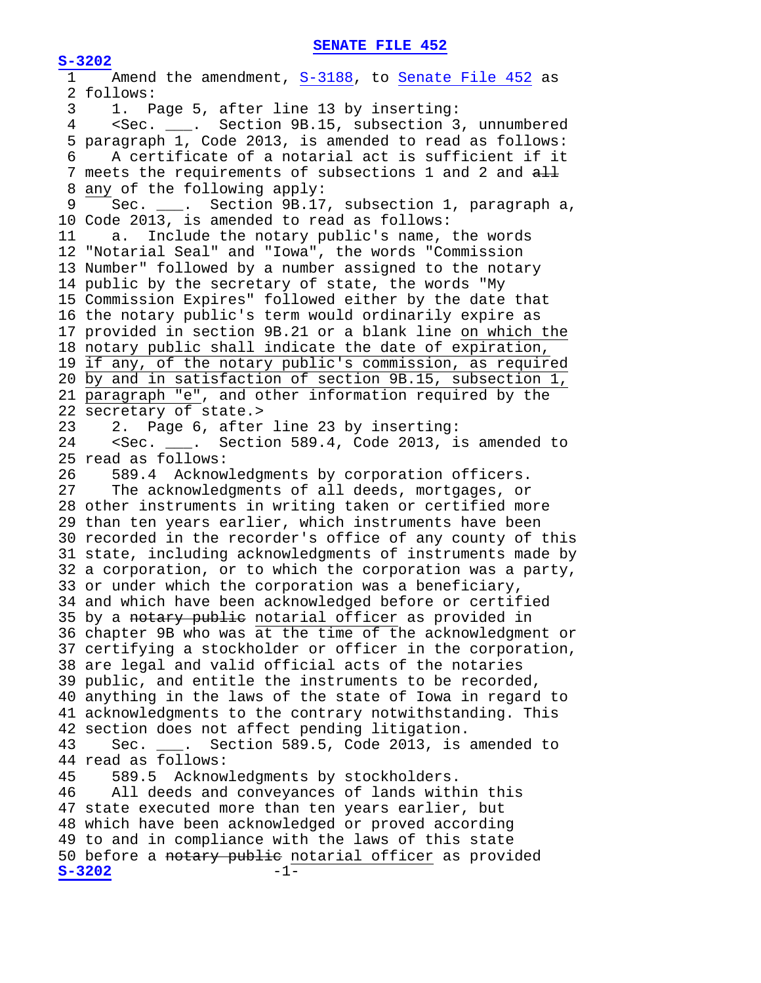**[S-3202](http://coolice.legis.iowa.gov/Cool-ICE/default.asp?Category=billinfo&Service=Billbook&frame=1&GA=85&hbill=S3202)** 1 Amend the amendment, [S-3188,](http://coolice.legis.iowa.gov/Cool-ICE/default.asp?Category=billinfo&Service=Billbook&frame=1&GA=85&hbill=S3188) to [Senate File 452](http://coolice.legis.iowa.gov/Cool-ICE/default.asp?Category=billinfo&Service=Billbook&frame=1&GA=85&hbill=SF452) as 2 follows:<br>3 1. P 3 1. Page 5, after line 13 by inserting:<br>4 <Sec. . Section 9B.15, subsection 3 4 <Sec. \_\_\_. Section 9B.15, subsection 3, unnumbered 5 paragraph 1, Code 2013, is amended to read as follows: 6 A certificate of a notarial act is sufficient if it 7 meets the requirements of subsections 1 and 2 and all 8 any of the following apply:<br>9 Sec. . Section 9B.17 Sec. \_\_\_. Section 9B.17, subsection 1, paragraph a, 10 Code 2013, is amended to read as follows:<br>11 a. Include the notary public's name, a. Include the notary public's name, the words 12 "Notarial Seal" and "Iowa", the words "Commission 13 Number" followed by a number assigned to the notary 14 public by the secretary of state, the words "My 15 Commission Expires" followed either by the date that 16 the notary public's term would ordinarily expire as 17 provided in section 9B.21 or a blank line on which the 18 notary public shall indicate the date of expiration, 19 if any, of the notary public's commission, as required 20 by and in satisfaction of section 9B.15, subsection 1, 21 paragraph "e", and other information required by the 22 secretary of state.><br>23 2. Page 6, after 23 2. Page 6, after line 23 by inserting:<br>24 <Sec. . Section 589.4, Code 2013, i <Sec. \_\_\_. Section 589.4, Code 2013, is amended to 25 read as follows:<br>26 589.4 Acknow 26 589.4 Acknowledgments by corporation officers. The acknowledgments of all deeds, mortgages, or 28 other instruments in writing taken or certified more 29 than ten years earlier, which instruments have been 30 recorded in the recorder's office of any county of this 31 state, including acknowledgments of instruments made by 32 a corporation, or to which the corporation was a party, 33 or under which the corporation was a beneficiary, 34 and which have been acknowledged before or certified 35 by a notary public notarial officer as provided in 36 chapter 9B who was at the time of the acknowledgment or 37 certifying a stockholder or officer in the corporation, 38 are legal and valid official acts of the notaries 39 public, and entitle the instruments to be recorded, 40 anything in the laws of the state of Iowa in regard to 41 acknowledgments to the contrary notwithstanding. This 42 section does not affect pending litigation.<br>43 Sec. . Section 589.5, Code 2013, is Sec. \_\_\_. Section 589.5, Code 2013, is amended to 44 read as follows:<br>45 589.5 Acknow 45 589.5 Acknowledgments by stockholders.<br>46 All deeds and convevances of lands with All deeds and conveyances of lands within this 47 state executed more than ten years earlier, but 48 which have been acknowledged or proved according 49 to and in compliance with the laws of this state 50 before a notary public notarial officer as provided<br> $S-3202$ <br>-1-**[S-3202](http://coolice.legis.iowa.gov/Cool-ICE/default.asp?Category=billinfo&Service=Billbook&frame=1&GA=85&hbill=S3202)**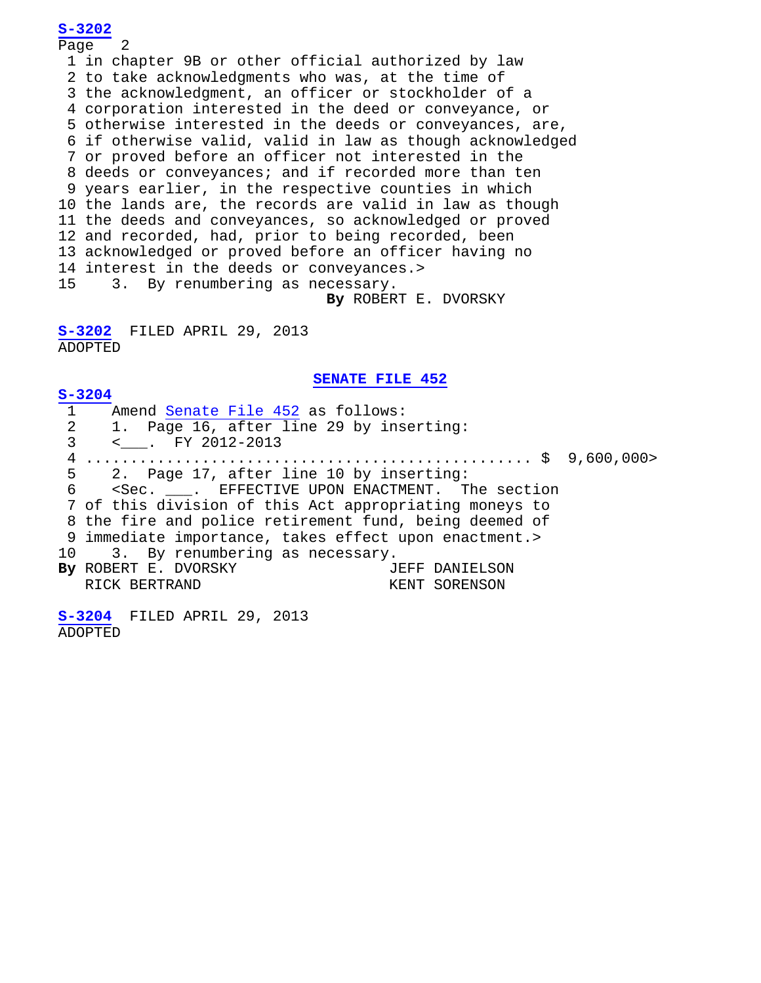$P_4$ age 2 1 in chapter 9B or other official authorized by law 2 to take acknowledgments who was, at the time of 3 the acknowledgment, an officer or stockholder of a 4 corporation interested in the deed or conveyance, or 5 otherwise interested in the deeds or conveyances, are, 6 if otherwise valid, valid in law as though acknowledged 7 or proved before an officer not interested in the 8 deeds or conveyances; and if recorded more than ten 9 years earlier, in the respective counties in which 10 the lands are, the records are valid in law as though 11 the deeds and conveyances, so acknowledged or proved 12 and recorded, had, prior to being recorded, been 13 acknowledged or proved before an officer having no 14 interest in the deeds or conveyances.><br>15 3. By renumbering as necessary. 3. By renumbering as necessary.

**By** ROBERT E. DVORSKY

 **[S-3202](http://coolice.legis.iowa.gov/Cool-ICE/default.asp?Category=billinfo&Service=Billbook&frame=1&GA=85&hbill=S3202)** FILED APRIL 29, 2013 ADOPTED

**[SENATE FILE 452](http://coolice.legis.iowa.gov/Cool-ICE/default.asp?Category=billinfo&Service=Billbook&frame=1&GA=85&hbill=SF452)**

 **[S-3204](http://coolice.legis.iowa.gov/Cool-ICE/default.asp?Category=billinfo&Service=Billbook&frame=1&GA=85&hbill=S3204)** 1 Amend <u>Senate File 452</u> as follows:<br>2 1. Page 16, after line 29 by ins 2 1. Page 16, after line 29 by inserting:<br>3 < . FY 2012-2013 3 <\_\_\_. FY 2012-2013 4 .................................................. \$ 9,600,000> 5 2. Page 17, after line 10 by inserting:<br>6 <Sec. . EFFECTIVE UPON ENACTMENT T <Sec. \_\_\_. EFFECTIVE UPON ENACTMENT. The section 7 of this division of this Act appropriating moneys to 8 the fire and police retirement fund, being deemed of 9 immediate importance, takes effect upon enactment.><br>10 3. By renumbering as necessary. 3. By renumbering as necessary.<br>ERT E. DVORSKY JEFF DANIELSON **By** ROBERT E. DVORSKY<br>RICK BERTRAND KENT SORENSON

 **[S-3204](http://coolice.legis.iowa.gov/Cool-ICE/default.asp?Category=billinfo&Service=Billbook&frame=1&GA=85&hbill=S3204)** FILED APRIL 29, 2013 ADOPTED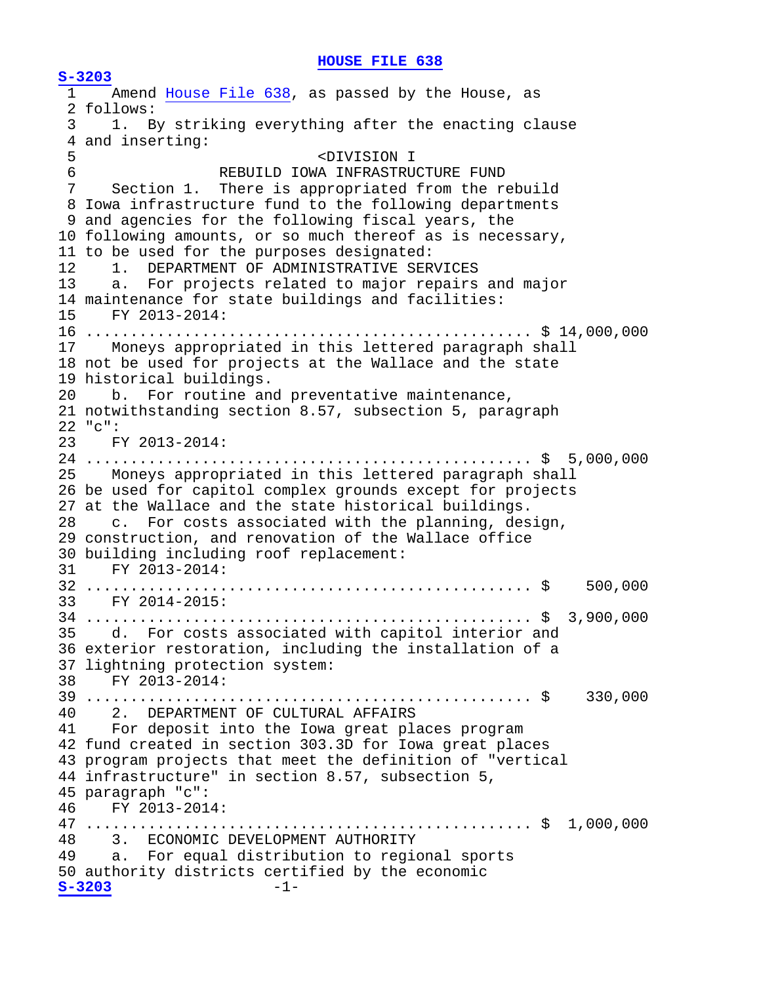# **HOUSE [FILE 638](http://coolice.legis.iowa.gov/Cool-ICE/default.asp?Category=billinfo&Service=Billbook&frame=1&GA=85&hbill=HF638)**

```
 S-3203
  1 Amend House File 638, as passed by the House, as 
 2 follows:<br>3 1. By
      1. By striking everything after the enacting clause
  4 and inserting: 
 5 <DIVISION I<br>6 REBUILD IOWA INFRASTRU
 6 REBUILD IOWA INFRASTRUCTURE FUND<br>7 Section 1. There is appropriated from the r
      Section 1. There is appropriated from the rebuild
  8 Iowa infrastructure fund to the following departments 
 9 and agencies for the following fiscal years, the 
 10 following amounts, or so much thereof as is necessary, 
11 to be used for the purposes designated:<br>12 1. DEPARTMENT OF ADMINISTRATIVE SER
12 1. DEPARTMENT OF ADMINISTRATIVE SERVICES<br>13 a. For projects related to major repairs
      a. For projects related to major repairs and major
 14 maintenance for state buildings and facilities:
 15 FY 2013-2014:
 16 .................................................. $ 14,000,000
      Moneys appropriated in this lettered paragraph shall
 18 not be used for projects at the Wallace and the state 
19 historical buildings.<br>20 b. For routine an
      b. For routine and preventative maintenance,
 21 notwithstanding section 8.57, subsection 5, paragraph 
22 "c":<br>23 F
      23 FY 2013-2014:
 24 .................................................. $ 5,000,000
 25 Moneys appropriated in this lettered paragraph shall 
 26 be used for capitol complex grounds except for projects 
27 at the Wallace and the state historical buildings.<br>28 c. For costs associated with the planning, des
    28 c. For costs associated with the planning, design, 
 29 construction, and renovation of the Wallace office 
30 building including roof replacement:<br>31 FY 2013-2014:
     FY 2013-2014:
 32 .................................................. $ 500,000
 33 FY 2014-2015:
 34 .................................................. $ 3,900,000
 35 d. For costs associated with capitol interior and 
 36 exterior restoration, including the installation of a 
 37 lightning protection system:
 38 FY 2013-2014:
 39 .................................................. $ 330,000
40 2. DEPARTMENT OF CULTURAL AFFAIRS<br>41 For deposit into the Iowa great pla
      For deposit into the Iowa great places program
 42 fund created in section 303.3D for Iowa great places 
 43 program projects that meet the definition of "vertical 
 44 infrastructure" in section 8.57, subsection 5, 
 45 paragraph "c":
 46 FY 2013-2014:
 47 .................................................. $ 1,000,000
 48 3. ECONOMIC DEVELOPMENT AUTHORITY
 49 a. For equal distribution to regional sports 
50 authority districts certified by the economic<br>S-3203 -1-S-3203
```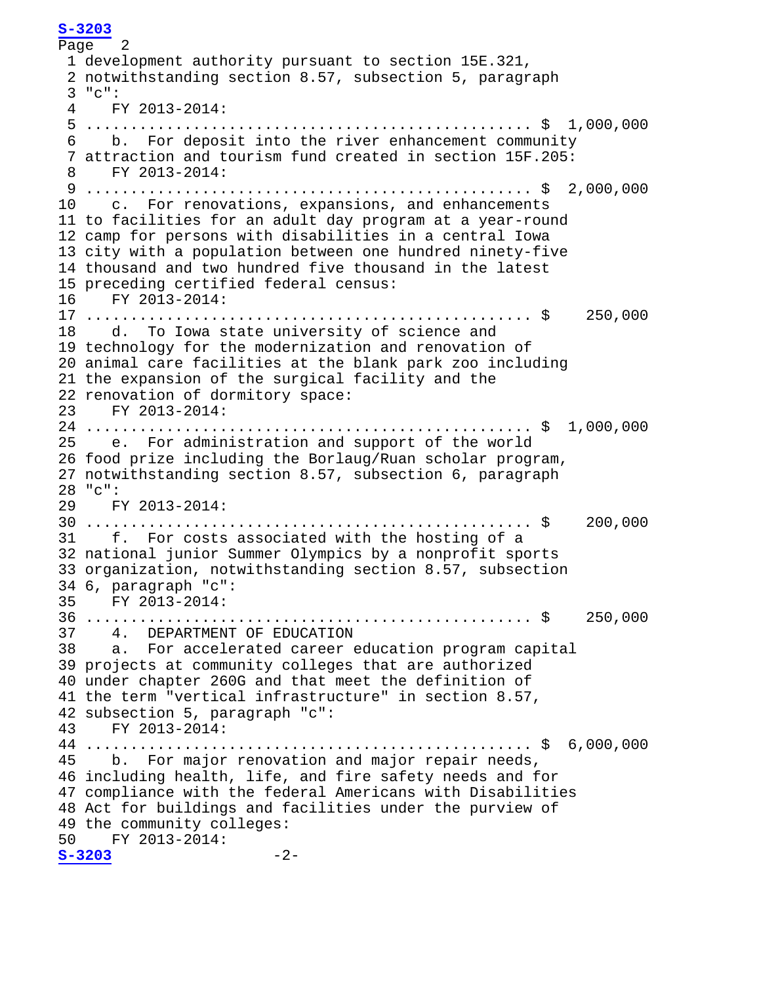```
 S-3203
   Page 2 1 development authority pursuant to section 15E.321, 
     2 notwithstanding section 8.57, subsection 5, paragraph 
     3 "c":
     4 FY 2013-2014:
     5 .................................................. $ 1,000,000
     6 b. For deposit into the river enhancement community 
     7 attraction and tourism fund created in section 15F.205:
     8 FY 2013-2014:
     9 .................................................. $ 2,000,000
    10 c. For renovations, expansions, and enhancements 
    11 to facilities for an adult day program at a year-round 
    12 camp for persons with disabilities in a central Iowa 
    13 city with a population between one hundred ninety-five 
    14 thousand and two hundred five thousand in the latest 
    15 preceding certified federal census:
    16 FY 2013-2014:
    17 .................................................. $ 250,000
    18 d. To Iowa state university of science and 
    19 technology for the modernization and renovation of 
    20 animal care facilities at the blank park zoo including 
    21 the expansion of the surgical facility and the 
    22 renovation of dormitory space:
    23 FY 2013-2014:
    24 .................................................. $ 1,000,000
    25 e. For administration and support of the world 
    26 food prize including the Borlaug/Ruan scholar program, 
    27 notwithstanding section 8.57, subsection 6, paragraph 
    28 "c":
    29 FY 2013-2014:
    30 .................................................. $ 200,000
    31 f. For costs associated with the hosting of a 
    32 national junior Summer Olympics by a nonprofit sports 
    33 organization, notwithstanding section 8.57, subsection 
    34 6, paragraph "c":
    35 FY 2013-2014:
    36 .................................................. $ 250,000
 37 4. DEPARTMENT OF EDUCATION
 38 a. For accelerated career education program capital 
    39 projects at community colleges that are authorized 
    40 under chapter 260G and that meet the definition of 
    41 the term "vertical infrastructure" in section 8.57, 
    42 subsection 5, paragraph "c":
    43 FY 2013-2014:
    44 .................................................. $ 6,000,000
    45 b. For major renovation and major repair needs, 
    46 including health, life, and fire safety needs and for 
    47 compliance with the federal Americans with Disabilities 
    48 Act for buildings and facilities under the purview of 
    49 the community colleges:
    50 FY 2013-2014:
    S-3203 -2-
```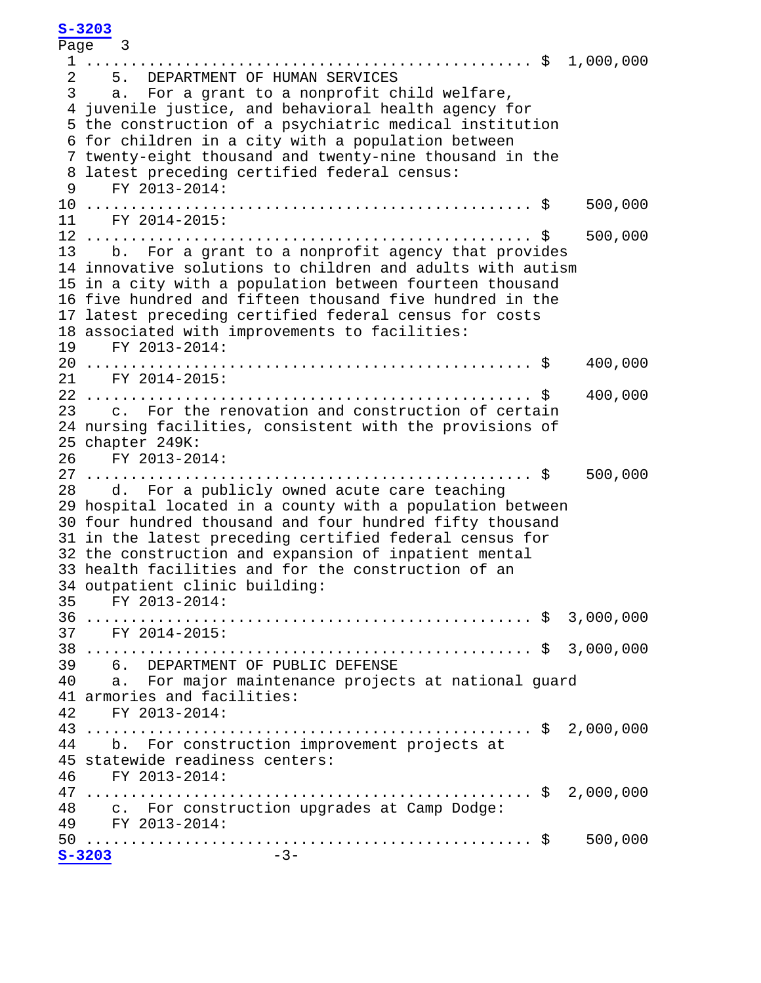Page 3 1 .................................................. \$ 1,000,000 2 5. DEPARTMENT OF HUMAN SERVICES<br>3 a. For a grant to a nonprofit ch a. For a grant to a nonprofit child welfare, 4 juvenile justice, and behavioral health agency for 5 the construction of a psychiatric medical institution 6 for children in a city with a population between 7 twenty-eight thousand and twenty-nine thousand in the 8 latest preceding certified federal census: 9 FY 2013-2014: 10 .................................................. \$ 500,000 FY 2014-2015: 12 .................................................. \$ 500,000 13 b. For a grant to a nonprofit agency that provides 14 innovative solutions to children and adults with autism 15 in a city with a population between fourteen thousand 16 five hundred and fifteen thousand five hundred in the 17 latest preceding certified federal census for costs 18 associated with improvements to facilities: 19 FY 2013-2014: 20 .................................................. \$ 400,000 21 FY 2014-2015: 22 .................................................. \$ 400,000 23 c. For the renovation and construction of certain 24 nursing facilities, consistent with the provisions of 25 chapter 249K: 26 FY 2013-2014: 27 .................................................. \$ 500,000 28 d. For a publicly owned acute care teaching 29 hospital located in a county with a population between 30 four hundred thousand and four hundred fifty thousand 31 in the latest preceding certified federal census for 32 the construction and expansion of inpatient mental 33 health facilities and for the construction of an 34 outpatient clinic building: 35 FY 2013-2014: 36 .................................................. \$ 3,000,000 37 FY 2014-2015: 38 .................................................. \$ 3,000,000 39 6. DEPARTMENT OF PUBLIC DEFENSE<br>40 a. For major maintenance project a. For major maintenance projects at national guard 41 armories and facilities: 42 FY 2013-2014: 43 .................................................. \$ 2,000,000 44 b. For construction improvement projects at 45 statewide readiness centers: 46 FY 2013-2014: 47 .................................................. \$ 2,000,000 48 c. For construction upgrades at Camp Dodge:<br>49 FY 2013-2014: 49 FY 2013-2014: 50 .................................................. \$ 500,000 **[S-3203](http://coolice.legis.iowa.gov/Cool-ICE/default.asp?Category=billinfo&Service=Billbook&frame=1&GA=85&hbill=S3203)** -3-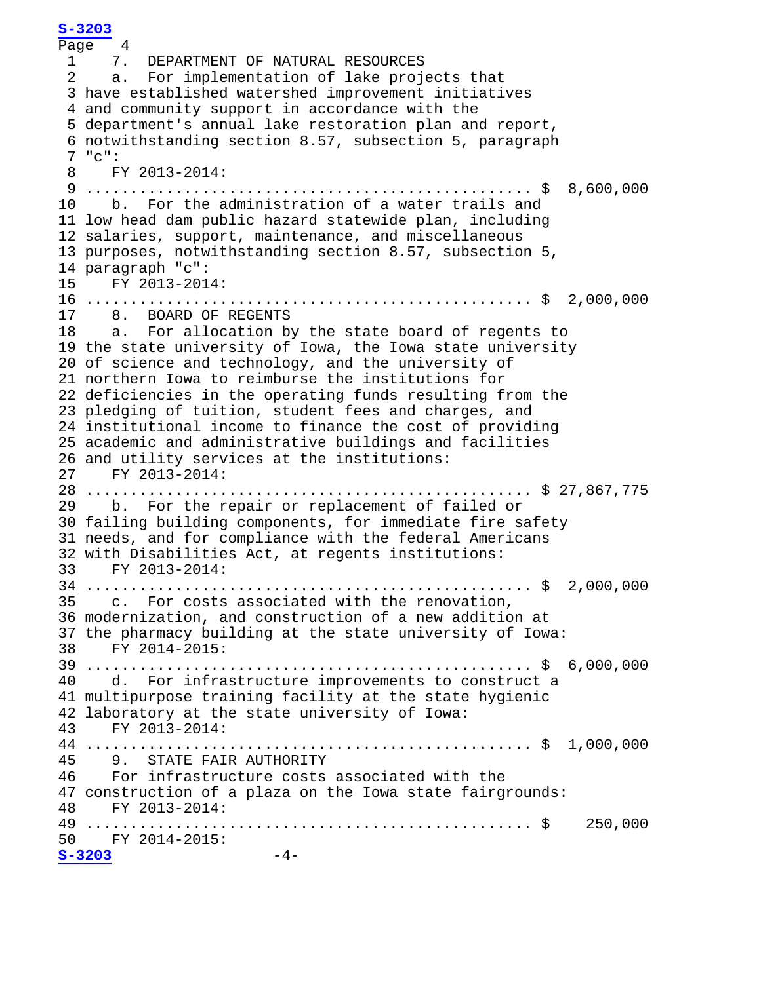```
 S-3203
Page \begin{array}{c} 4 \overline{)1} \end{array}1 7. DEPARTMENT OF NATURAL RESOURCES<br>2 a. For implementation of lake proje
     a. For implementation of lake projects that
 3 have established watershed improvement initiatives 
 4 and community support in accordance with the 
 5 department's annual lake restoration plan and report, 
 6 notwithstanding section 8.57, subsection 5, paragraph 
 7 "c":
 8 FY 2013-2014:
 9 .................................................. $ 8,600,000
 10 b. For the administration of a water trails and 
 11 low head dam public hazard statewide plan, including 
 12 salaries, support, maintenance, and miscellaneous 
 13 purposes, notwithstanding section 8.57, subsection 5, 
 14 paragraph "c":
 15 FY 2013-2014:
 16 .................................................. $ 2,000,000
 17 8. BOARD OF REGENTS
 18 a. For allocation by the state board of regents to 
 19 the state university of Iowa, the Iowa state university 
 20 of science and technology, and the university of 
 21 northern Iowa to reimburse the institutions for 
 22 deficiencies in the operating funds resulting from the 
 23 pledging of tuition, student fees and charges, and 
 24 institutional income to finance the cost of providing 
 25 academic and administrative buildings and facilities 
 26 and utility services at the institutions:
 27 FY 2013-2014:
 28 .................................................. $ 27,867,775
 29 b. For the repair or replacement of failed or 
 30 failing building components, for immediate fire safety 
 31 needs, and for compliance with the federal Americans 
 32 with Disabilities Act, at regents institutions:
 33 FY 2013-2014:
 34 .................................................. $ 2,000,000
 35 c. For costs associated with the renovation, 
 36 modernization, and construction of a new addition at 
 37 the pharmacy building at the state university of Iowa:
 38 FY 2014-2015:
 39 .................................................. $ 6,000,000
 40 d. For infrastructure improvements to construct a 
 41 multipurpose training facility at the state hygienic 
 42 laboratory at the state university of Iowa:
 43 FY 2013-2014:
 44 .................................................. $ 1,000,000
 45 9. STATE FAIR AUTHORITY
 46 For infrastructure costs associated with the 
 47 construction of a plaza on the Iowa state fairgrounds:
 48 FY 2013-2014:
 49 .................................................. $ 250,000
 50 FY 2014-2015:
 S-3203 -4-
```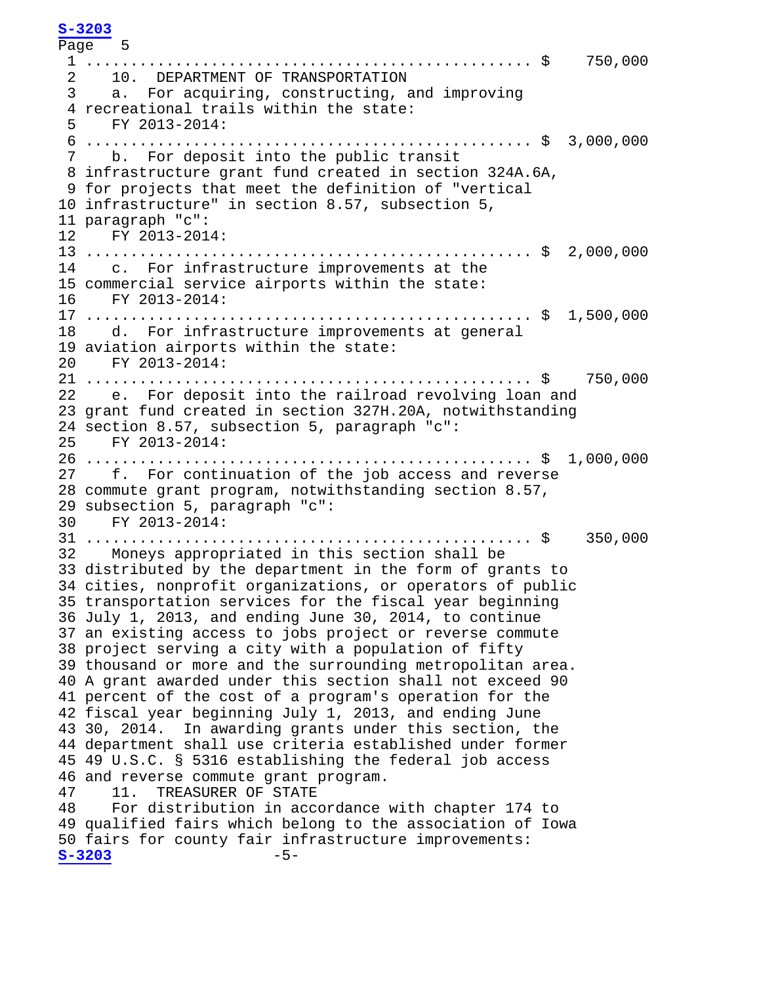Page 5 1 .................................................. \$ 750,000 2 10. DEPARTMENT OF TRANSPORTATION<br>3 a. For acquiring, constructing, a a. For acquiring, constructing, and improving 4 recreational trails within the state: 5 FY 2013-2014: 6 .................................................. \$ 3,000,000 7 b. For deposit into the public transit 8 infrastructure grant fund created in section 324A.6A, 9 for projects that meet the definition of "vertical 10 infrastructure" in section 8.57, subsection 5, 11 paragraph "c": 12 FY 2013-2014: 13 .................................................. \$ 2,000,000 14 c. For infrastructure improvements at the 15 commercial service airports within the state: 16 FY 2013-2014: 17 .................................................. \$ 1,500,000 18 d. For infrastructure improvements at general 19 aviation airports within the state: 20 FY 2013-2014: 21 .................................................. \$ 750,000 22 e. For deposit into the railroad revolving loan and 23 grant fund created in section 327H.20A, notwithstanding 24 section 8.57, subsection 5, paragraph "c": 25 FY 2013-2014: 26 .................................................. \$ 1,000,000 27 f. For continuation of the job access and reverse 28 commute grant program, notwithstanding section 8.57, 29 subsection 5, paragraph "c": 30 FY 2013-2014: 31 .................................................. \$ 350,000 32 Moneys appropriated in this section shall be 33 distributed by the department in the form of grants to 34 cities, nonprofit organizations, or operators of public 35 transportation services for the fiscal year beginning 36 July 1, 2013, and ending June 30, 2014, to continue 37 an existing access to jobs project or reverse commute 38 project serving a city with a population of fifty 39 thousand or more and the surrounding metropolitan area. 40 A grant awarded under this section shall not exceed 90 41 percent of the cost of a program's operation for the 42 fiscal year beginning July 1, 2013, and ending June 43 30, 2014. In awarding grants under this section, the 44 department shall use criteria established under former 45 49 U.S.C. § 5316 establishing the federal job access 46 and reverse commute grant program. 47 11. TREASURER OF STATE<br>48 For distribution in acce 48 For distribution in accordance with chapter 174 to 49 qualified fairs which belong to the association of Iowa 50 fairs for county fair infrastructure improvements:<br> $S-3203$  -5-**[S-3203](http://coolice.legis.iowa.gov/Cool-ICE/default.asp?Category=billinfo&Service=Billbook&frame=1&GA=85&hbill=S3203)** 

**[S-3203](http://coolice.legis.iowa.gov/Cool-ICE/default.asp?Category=billinfo&Service=Billbook&frame=1&GA=85&hbill=S3203)**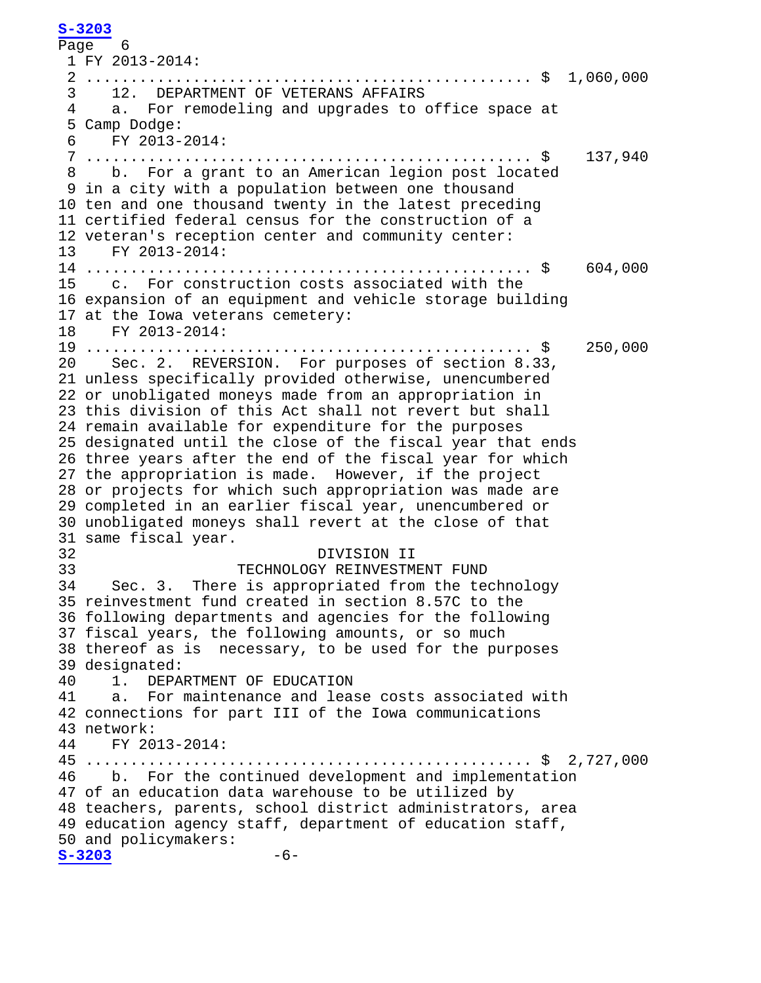```
 S-3203
Page 6
 1 FY 2013-2014:
 2 .................................................. $ 1,060,000
3 12. DEPARTMENT OF VETERANS AFFAIRS<br>4 a. For remodeling and upgrades to d
    a. For remodeling and upgrades to office space at
 5 Camp Dodge:
 6 FY 2013-2014:
 7 .................................................. $ 137,940
 8 b. For a grant to an American legion post located 
 9 in a city with a population between one thousand 
 10 ten and one thousand twenty in the latest preceding 
 11 certified federal census for the construction of a 
 12 veteran's reception center and community center:
 13 FY 2013-2014:
 14 .................................................. $ 604,000
 15 c. For construction costs associated with the 
 16 expansion of an equipment and vehicle storage building 
 17 at the Iowa veterans cemetery:
 18 FY 2013-2014:
 19 .................................................. $ 250,000
 20 Sec. 2. REVERSION. For purposes of section 8.33, 
 21 unless specifically provided otherwise, unencumbered 
 22 or unobligated moneys made from an appropriation in 
 23 this division of this Act shall not revert but shall 
 24 remain available for expenditure for the purposes 
 25 designated until the close of the fiscal year that ends 
 26 three years after the end of the fiscal year for which 
 27 the appropriation is made. However, if the project 
 28 or projects for which such appropriation was made are 
 29 completed in an earlier fiscal year, unencumbered or 
 30 unobligated moneys shall revert at the close of that 
 31 same fiscal year.
32 DIVISION II<br>33 TECHNOLOGY REINVESTM
33 TECHNOLOGY REINVESTMENT FUND<br>34 Sec. 3. There is appropriated from the te
      Sec. 3. There is appropriated from the technology
 35 reinvestment fund created in section 8.57C to the 
 36 following departments and agencies for the following 
 37 fiscal years, the following amounts, or so much 
 38 thereof as is necessary, to be used for the purposes 
39 designated:<br>40 1. DEPA
40 1. DEPARTMENT OF EDUCATION<br>41 a. For maintenance and leas
      a. For maintenance and lease costs associated with
 42 connections for part III of the Iowa communications 
 43 network:
 44 FY 2013-2014:
 45 .................................................. $ 2,727,000
 46 b. For the continued development and implementation 
 47 of an education data warehouse to be utilized by 
 48 teachers, parents, school district administrators, area 
 49 education agency staff, department of education staff, 
 50 and policymakers:
S-3203 -6-
```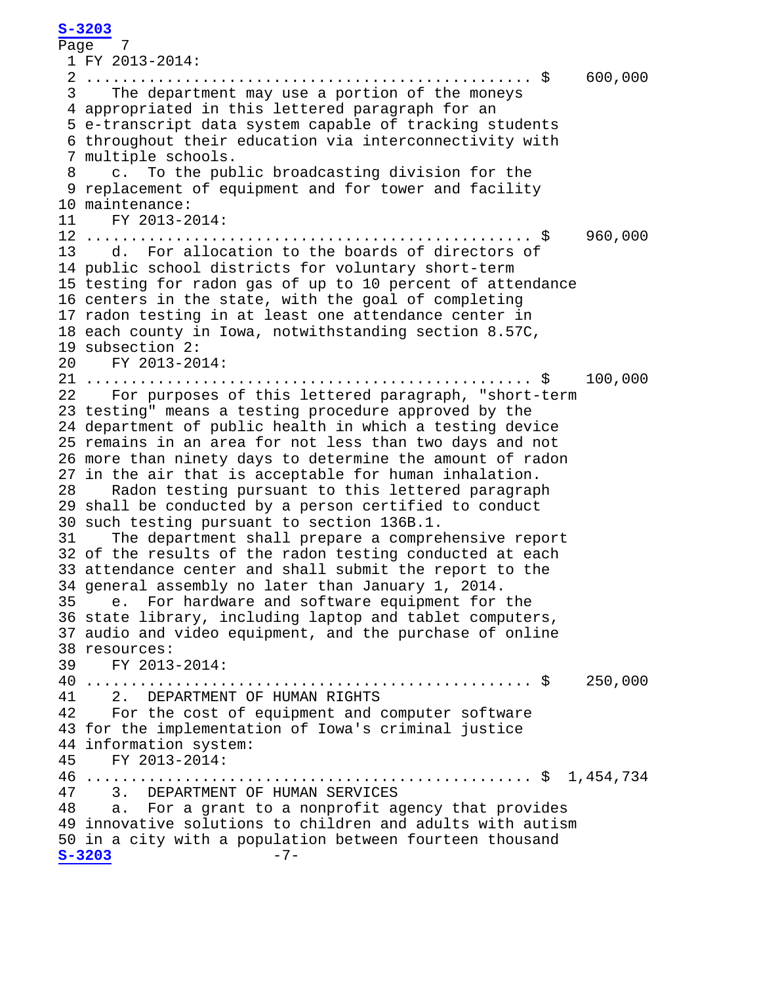```
 S-3203
    Page 7
      1 FY 2013-2014:
      2 .................................................. $ 600,000
      3 The department may use a portion of the moneys 
      4 appropriated in this lettered paragraph for an 
      5 e-transcript data system capable of tracking students 
      6 throughout their education via interconnectivity with 
      7 multiple schools.
      8 c. To the public broadcasting division for the 
      9 replacement of equipment and for tower and facility 
     10 maintenance:
     11 FY 2013-2014:
     12 .................................................. $ 960,000
     13 d. For allocation to the boards of directors of 
     14 public school districts for voluntary short-term 
     15 testing for radon gas of up to 10 percent of attendance 
     16 centers in the state, with the goal of completing 
     17 radon testing in at least one attendance center in 
     18 each county in Iowa, notwithstanding section 8.57C, 
     19 subsection 2:
     20 FY 2013-2014:
     21 .................................................. $ 100,000
     22 For purposes of this lettered paragraph, "short-term 
     23 testing" means a testing procedure approved by the 
     24 department of public health in which a testing device 
     25 remains in an area for not less than two days and not 
     26 more than ninety days to determine the amount of radon 
    27 in the air that is acceptable for human inhalation.<br>28 Radon testing pursuant to this lettered paragrap
          Radon testing pursuant to this lettered paragraph
     29 shall be conducted by a person certified to conduct 
    30 such testing pursuant to section 136B.1.<br>31 The department shall prepare a compre
         The department shall prepare a comprehensive report
     32 of the results of the radon testing conducted at each 
     33 attendance center and shall submit the report to the 
    34 general assembly no later than January 1, 2014.<br>35 e. For hardware and software equipment for
          e. For hardware and software equipment for the
     36 state library, including laptop and tablet computers, 
     37 audio and video equipment, and the purchase of online 
     38 resources:
     39 FY 2013-2014:
     40 .................................................. $ 250,000
    41 2. DEPARTMENT OF HUMAN RIGHTS<br>42 For the cost of equipment and o
          For the cost of equipment and computer software
     43 for the implementation of Iowa's criminal justice 
     44 information system:
     45 FY 2013-2014:
     46 .................................................. $ 1,454,734
 47 3. DEPARTMENT OF HUMAN SERVICES
 48 a. For a grant to a nonprofit agency that provides 
     49 innovative solutions to children and adults with autism 
    50 in a city with a population between fourteen thousand<br>S-3203 -7-
    S-3203
```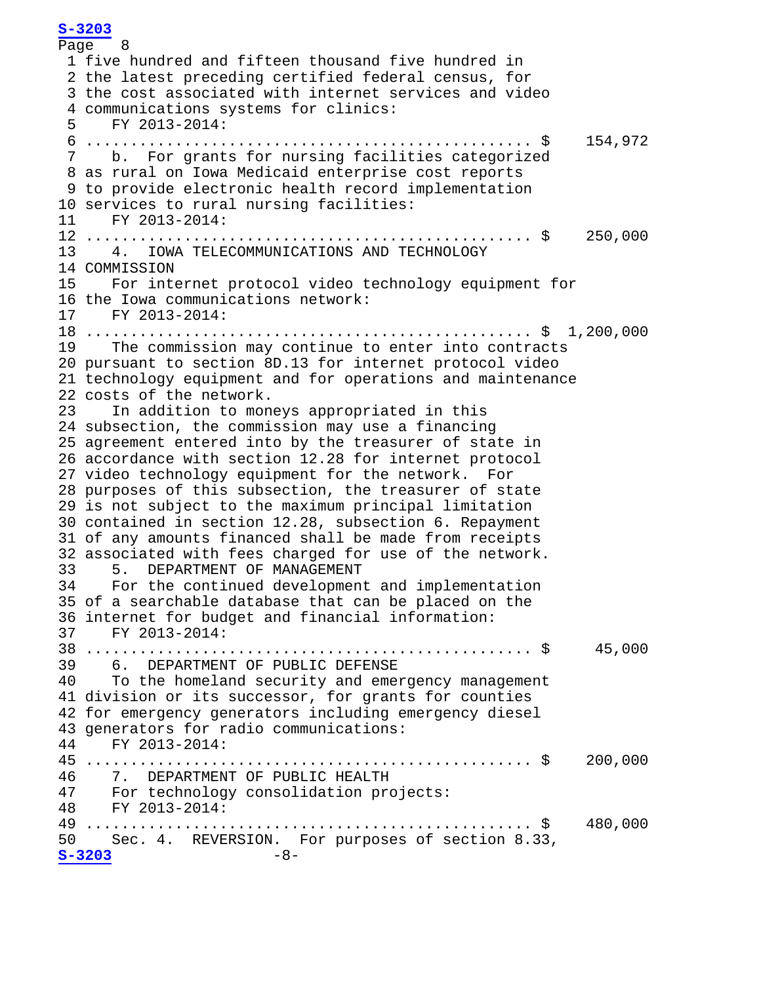```
 S-3203
    Page 8 1 five hundred and fifteen thousand five hundred in 
      2 the latest preceding certified federal census, for 
      3 the cost associated with internet services and video 
     4 communications systems for clinics:<br>5 FY 2013-2014:
           5 FY 2013-2014:
      6 .................................................. $ 154,972
      7 b. For grants for nursing facilities categorized 
      8 as rural on Iowa Medicaid enterprise cost reports 
      9 to provide electronic health record implementation 
     10 services to rural nursing facilities:
     11 FY 2013-2014:
     12 .................................................. $ 250,000
     13 4. IOWA TELECOMMUNICATIONS AND TECHNOLOGY 
     14 COMMISSION
     15 For internet protocol video technology equipment for 
     16 the Iowa communications network:
     17 FY 2013-2014:
     18 .................................................. $ 1,200,000
     19 The commission may continue to enter into contracts 
     20 pursuant to section 8D.13 for internet protocol video 
     21 technology equipment and for operations and maintenance 
    22 costs of the network.<br>23 In addition to mon
          In addition to moneys appropriated in this
     24 subsection, the commission may use a financing 
     25 agreement entered into by the treasurer of state in 
     26 accordance with section 12.28 for internet protocol 
     27 video technology equipment for the network. For 
     28 purposes of this subsection, the treasurer of state 
     29 is not subject to the maximum principal limitation 
     30 contained in section 12.28, subsection 6. Repayment 
     31 of any amounts financed shall be made from receipts 
    32 associated with fees charged for use of the network.<br>33 5. DEPARTMENT OF MANAGEMENT
    33 5. DEPARTMENT OF MANAGEMENT<br>34 For the continued development
         For the continued development and implementation
     35 of a searchable database that can be placed on the 
     36 internet for budget and financial information:
     37 FY 2013-2014:
     38 .................................................. $ 45,000
    39 6. DEPARTMENT OF PUBLIC DEFENSE<br>40 To the homeland security and emer
          To the homeland security and emergency management
     41 division or its successor, for grants for counties 
     42 for emergency generators including emergency diesel 
     43 generators for radio communications:
     44 FY 2013-2014:
     45 .................................................. $ 200,000
 46 7. DEPARTMENT OF PUBLIC HEALTH
 47 For technology consolidation projects:
 48 FY 2013-2014:
     49 .................................................. $ 480,000
    50 Sec. 4. REVERSION. For purposes of section 8.33,<br>S-3203 -8-
    S-3203
```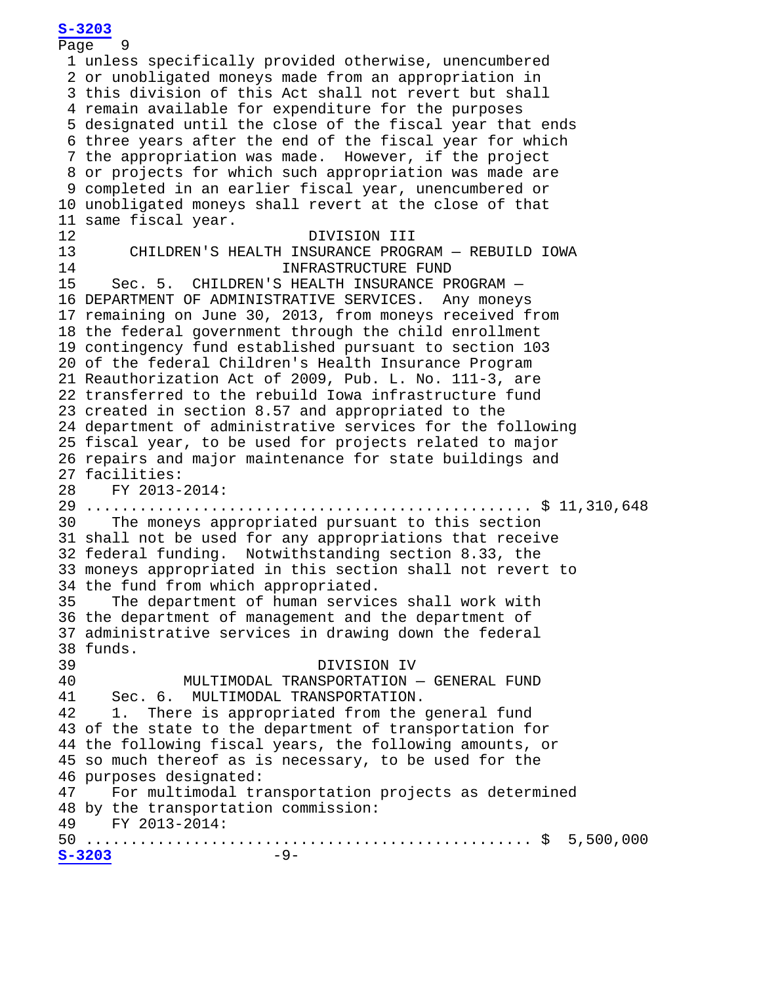```
P_4ge 9
  1 unless specifically provided otherwise, unencumbered 
  2 or unobligated moneys made from an appropriation in 
  3 this division of this Act shall not revert but shall 
  4 remain available for expenditure for the purposes 
  5 designated until the close of the fiscal year that ends 
  6 three years after the end of the fiscal year for which 
  7 the appropriation was made. However, if the project 
  8 or projects for which such appropriation was made are 
  9 completed in an earlier fiscal year, unencumbered or 
 10 unobligated moneys shall revert at the close of that 
 11 same fiscal year.
12 DIVISION III<br>13 CHILDREN'S HEALTH INSURANCE PROG
 13 CHILDREN'S HEALTH INSURANCE PROGRAM — REBUILD IOWA 
 14 INFRASTRUCTURE FUND
      Sec. 5. CHILDREN'S HEALTH INSURANCE PROGRAM -
 16 DEPARTMENT OF ADMINISTRATIVE SERVICES. Any moneys 
 17 remaining on June 30, 2013, from moneys received from 
 18 the federal government through the child enrollment 
 19 contingency fund established pursuant to section 103 
 20 of the federal Children's Health Insurance Program 
 21 Reauthorization Act of 2009, Pub. L. No. 111-3, are 
 22 transferred to the rebuild Iowa infrastructure fund 
 23 created in section 8.57 and appropriated to the 
 24 department of administrative services for the following 
 25 fiscal year, to be used for projects related to major 
 26 repairs and major maintenance for state buildings and 
 27 facilities:
       28 FY 2013-2014:
 29 .................................................. $ 11,310,648
      The moneys appropriated pursuant to this section
 31 shall not be used for any appropriations that receive 
 32 federal funding. Notwithstanding section 8.33, the 
 33 moneys appropriated in this section shall not revert to 
34 the fund from which appropriated.<br>35 The department of human servic
      The department of human services shall work with
 36 the department of management and the department of 
 37 administrative services in drawing down the federal 
 38 funds.
39 DIVISION IV<br>40 MULTIMODAL TRANSPORTATION
 40 MULTIMODAL TRANSPORTATION — GENERAL FUND
41 Sec. 6. MULTIMODAL TRANSPORTATION.<br>42 1. There is appropriated from the
      1. There is appropriated from the general fund
 43 of the state to the department of transportation for 
 44 the following fiscal years, the following amounts, or 
 45 so much thereof as is necessary, to be used for the 
46 purposes designated:<br>47 For multimodal tra
      For multimodal transportation projects as determined
 48 by the transportation commission:
 49 FY 2013-2014:
 50 .................................................. $ 5,500,000
```
**[S-3203](http://coolice.legis.iowa.gov/Cool-ICE/default.asp?Category=billinfo&Service=Billbook&frame=1&GA=85&hbill=S3203)**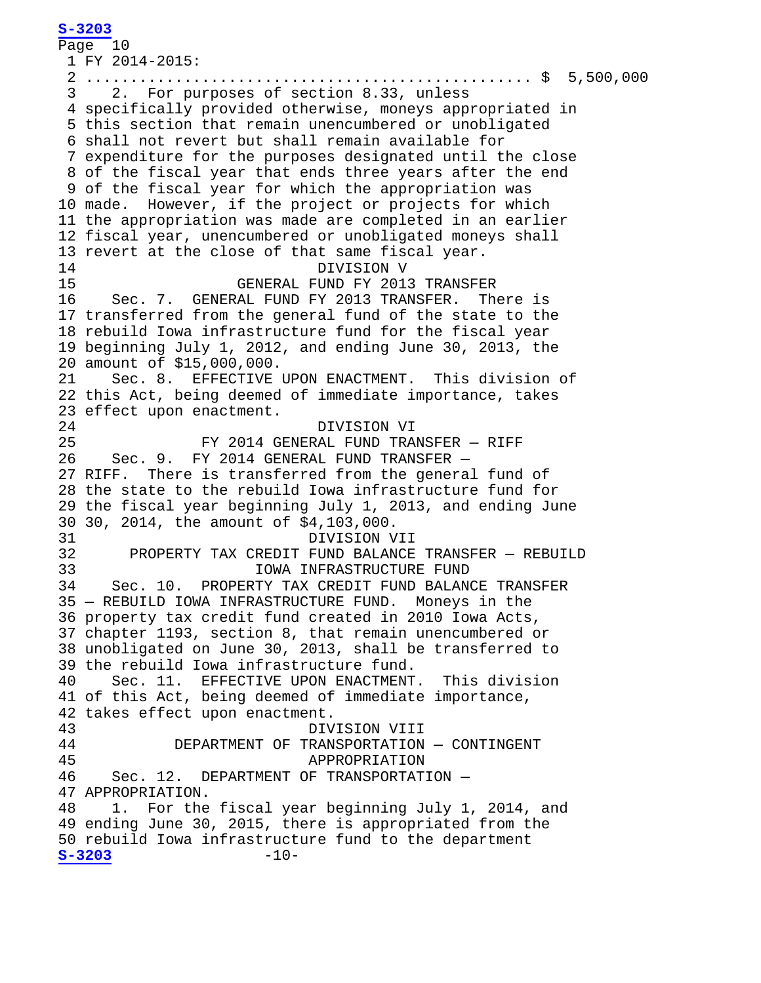**[S-3203](http://coolice.legis.iowa.gov/Cool-ICE/default.asp?Category=billinfo&Service=Billbook&frame=1&GA=85&hbill=S3203)** Page 10 1 FY 2014-2015: 2 .................................................. \$ 5,500,000 2. For purposes of section 8.33, unless 4 specifically provided otherwise, moneys appropriated in 5 this section that remain unencumbered or unobligated 6 shall not revert but shall remain available for 7 expenditure for the purposes designated until the close 8 of the fiscal year that ends three years after the end 9 of the fiscal year for which the appropriation was 10 made. However, if the project or projects for which 11 the appropriation was made are completed in an earlier 12 fiscal year, unencumbered or unobligated moneys shall 13 revert at the close of that same fiscal year.<br>14 DIVISION V 14 DIVISION V<br>15 CENERAL FUND FY 201 15 GENERAL FUND FY 2013 TRANSFER<br>16 Sec. 7. GENERAL FUND FY 2013 TRANSFER. The Sec. 7. GENERAL FUND FY 2013 TRANSFER. There is 17 transferred from the general fund of the state to the 18 rebuild Iowa infrastructure fund for the fiscal year 19 beginning July 1, 2012, and ending June 30, 2013, the 20 amount of \$15,000,000.<br>21 Sec. 8. EFFECTIVE Sec. 8. EFFECTIVE UPON ENACTMENT. This division of 22 this Act, being deemed of immediate importance, takes 23 effect upon enactment. 24 DIVISION VI 25 FY 2014 GENERAL FUND TRANSFER - RIFF 26 Sec. 9. FY 2014 GENERAL FUND TRANSFER  $FY$  2014 GENERAL FUND TRANSFER  $-$  27 RIFF. There is transferred from the general fund of 28 the state to the rebuild Iowa infrastructure fund for 29 the fiscal year beginning July 1, 2013, and ending June 30 30, 2014, the amount of \$4,103,000. 31 DIVISION VII<br>32 DROPERTY TAX CREDIT FUND BALANCE 32 PROPERTY TAX CREDIT FUND BALANCE TRANSFER — REBUILD 33 IOWA INFRASTRUCTURE FUND PROPERTY TAX CREDIT FUND BALANCE TRANSFER 35 — REBUILD IOWA INFRASTRUCTURE FUND. Moneys in the 36 property tax credit fund created in 2010 Iowa Acts, 37 chapter 1193, section 8, that remain unencumbered or 38 unobligated on June 30, 2013, shall be transferred to 39 the rebuild Iowa infrastructure fund.<br>40 Sec. 11. EFFECTIVE UPON ENACTMENT Sec. 11. EFFECTIVE UPON ENACTMENT. This division 41 of this Act, being deemed of immediate importance, 42 takes effect upon enactment. 43 DIVISION VIII<br>44 DEPARTMENT OF TRANSPORTATION 44 DEPARTMENT OF TRANSPORTATION — CONTINGENT 45 APPROPRIATION Sec. 12. DEPARTMENT OF TRANSPORTATION -47 APPROPRIATION.<br>48 1. For the 1. For the fiscal year beginning July 1, 2014, and 49 ending June 30, 2015, there is appropriated from the 50 rebuild Iowa infrastructure fund to the department<br> $S-3203$  -10-**[S-3203](http://coolice.legis.iowa.gov/Cool-ICE/default.asp?Category=billinfo&Service=Billbook&frame=1&GA=85&hbill=S3203)** -10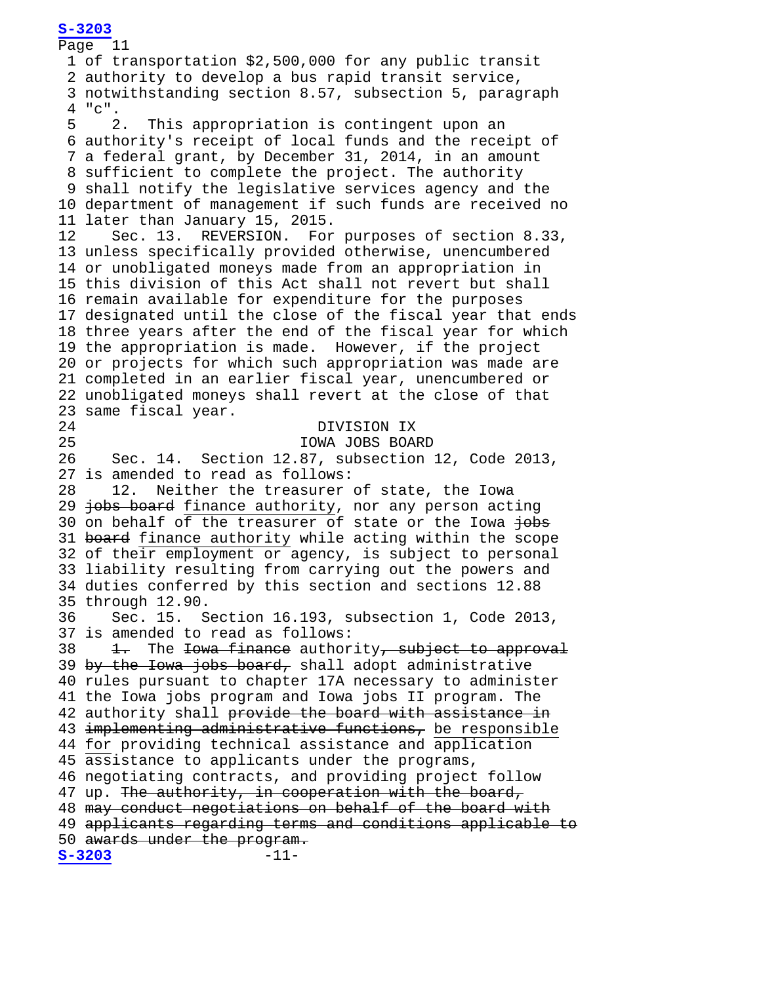**[S-3203](http://coolice.legis.iowa.gov/Cool-ICE/default.asp?Category=billinfo&Service=Billbook&frame=1&GA=85&hbill=S3203)** Page 11 1 of transportation \$2,500,000 for any public transit 2 authority to develop a bus rapid transit service, 3 notwithstanding section 8.57, subsection 5, paragraph  $\frac{4}{5}$  "c".<br>5 2. This appropriation is contingent upon an 6 authority's receipt of local funds and the receipt of 7 a federal grant, by December 31, 2014, in an amount 8 sufficient to complete the project. The authority 9 shall notify the legislative services agency and the 10 department of management if such funds are received no 11 later than January 15, 2015.<br>12 Sec. 13. REVERSION. For Sec. 13. REVERSION. For purposes of section 8.33, 13 unless specifically provided otherwise, unencumbered 14 or unobligated moneys made from an appropriation in 15 this division of this Act shall not revert but shall 16 remain available for expenditure for the purposes 17 designated until the close of the fiscal year that ends 18 three years after the end of the fiscal year for which 19 the appropriation is made. However, if the project 20 or projects for which such appropriation was made are 21 completed in an earlier fiscal year, unencumbered or 22 unobligated moneys shall revert at the close of that 23 same fiscal year. 24 DIVISION IX<br>25 DIVISION DES BOA 25 IOWA JOBS BOARD<br>26 Sec. 14. Section 12.87, subsection Section 12.87, subsection 12, Code 2013, 27 is amended to read as follows:<br>28 12. Neither the treasurer 12. Neither the treasurer of state, the Iowa 29 jobs board finance authority, nor any person acting 30 on behalf of the treasurer of state or the Iowa jobs 31 board finance authority while acting within the scope 32 of their employment or agency, is subject to personal 33 liability resulting from carrying out the powers and 34 duties conferred by this section and sections 12.88 35 through 12.90.<br>36 Sec. 15. S 36 Sec. 15. Section 16.193, subsection 1, Code 2013, 37 is amended to read as follows:<br>38 <del>1.</del> The <del>Iowa finance</del> author 1. The Iowa finance authority, subject to approval 39 by the Iowa jobs board, shall adopt administrative 40 rules pursuant to chapter 17A necessary to administer 41 the Iowa jobs program and Iowa jobs II program. The 42 authority shall provide the board with assistance in 43 implementing administrative functions, be responsible 44 for providing technical assistance and application 45 assistance to applicants under the programs, 46 negotiating contracts, and providing project follow 47 up. The authority, in cooperation with the board, 48 may conduct negotiations on behalf of the board with 49 applicants regarding terms and conditions applicable to 50 awards under the program.<br>S-3203 -11- $S-3203$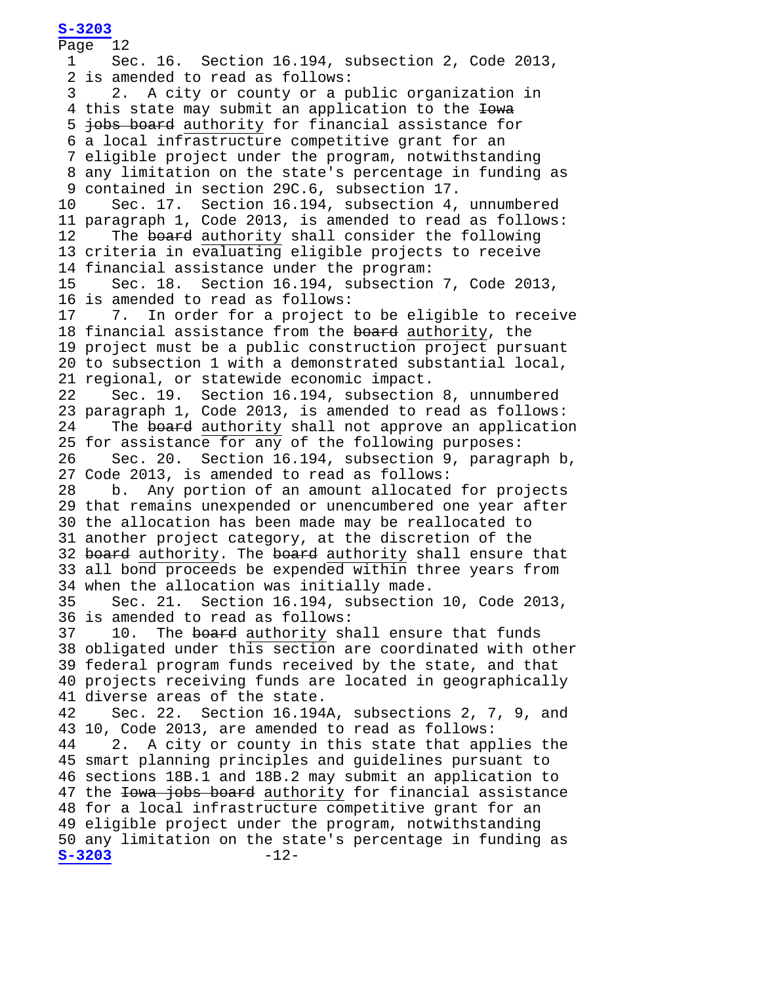Page 12<br>1 Se Sec. 16. Section 16.194, subsection 2, Code 2013, 2 is amended to read as follows:<br>3 2. A city or county or a p 2. A city or county or a public organization in 4 this state may submit an application to the Howa 5 jobs board authority for financial assistance for 6 a local infrastructure competitive grant for an 7 eligible project under the program, notwithstanding 8 any limitation on the state's percentage in funding as 9 contained in section 29C.6, subsection 17.<br>10 Sec. 17. Section 16.194, subsection 4, Sec. 17. Section 16.194, subsection 4, unnumbered 11 paragraph 1, Code 2013, is amended to read as follows:<br>12 The board authority shall consider the following The board authority shall consider the following 13 criteria in evaluating eligible projects to receive 14 financial assistance under the program:<br>15 Sec. 18. Section 16.194, subsection Sec. 18. Section 16.194, subsection 7, Code 2013, 16 is amended to read as follows:<br>17 7. In order for a project 7. In order for a project to be eligible to receive 18 financial assistance from the board authority, the 19 project must be a public construction project pursuant 20 to subsection 1 with a demonstrated substantial local, 21 regional, or statewide economic impact.<br>22 Sec. 19. Section 16.194, subsection Sec. 19. Section 16.194, subsection 8, unnumbered 23 paragraph 1, Code 2013, is amended to read as follows: 24 The board authority shall not approve an application 25 for assistance for any of the following purposes:<br>26 Sec. 20. Section 16.194, subsection 9, paragr Sec. 20. Section 16.194, subsection 9, paragraph b, 27 Code 2013, is amended to read as follows:<br>28 b. Any portion of an amount allocated b. Any portion of an amount allocated for projects 29 that remains unexpended or unencumbered one year after 30 the allocation has been made may be reallocated to 31 another project category, at the discretion of the 32 board authority. The board authority shall ensure that 33 all bond proceeds be expended within three years from 34 when the allocation was initially made.<br>35 Sec. 21. Section 16.194, subsection 35 Sec. 21. Section 16.194, subsection 10, Code 2013, 36 is amended to read as follows:<br>37 10. The board authority sh 10. The board authority shall ensure that funds 38 obligated under this section are coordinated with other 39 federal program funds received by the state, and that 40 projects receiving funds are located in geographically 41 diverse areas of the state.<br>42 Sec. 22. Section 16.194 Sec. 22. Section 16.194A, subsections 2, 7, 9, and 43 10, Code 2013, are amended to read as follows:<br>44 2. A city or county in this state that app 2. A city or county in this state that applies the 45 smart planning principles and guidelines pursuant to 46 sections 18B.1 and 18B.2 may submit an application to 47 the <del>Iowa jobs board</del> authority for financial assistance 48 for a local infrastructure competitive grant for an 49 eligible project under the program, notwithstanding 50 any limitation on the state's percentage in funding as<br> $-12-$ **[S-3203](http://coolice.legis.iowa.gov/Cool-ICE/default.asp?Category=billinfo&Service=Billbook&frame=1&GA=85&hbill=S3203)**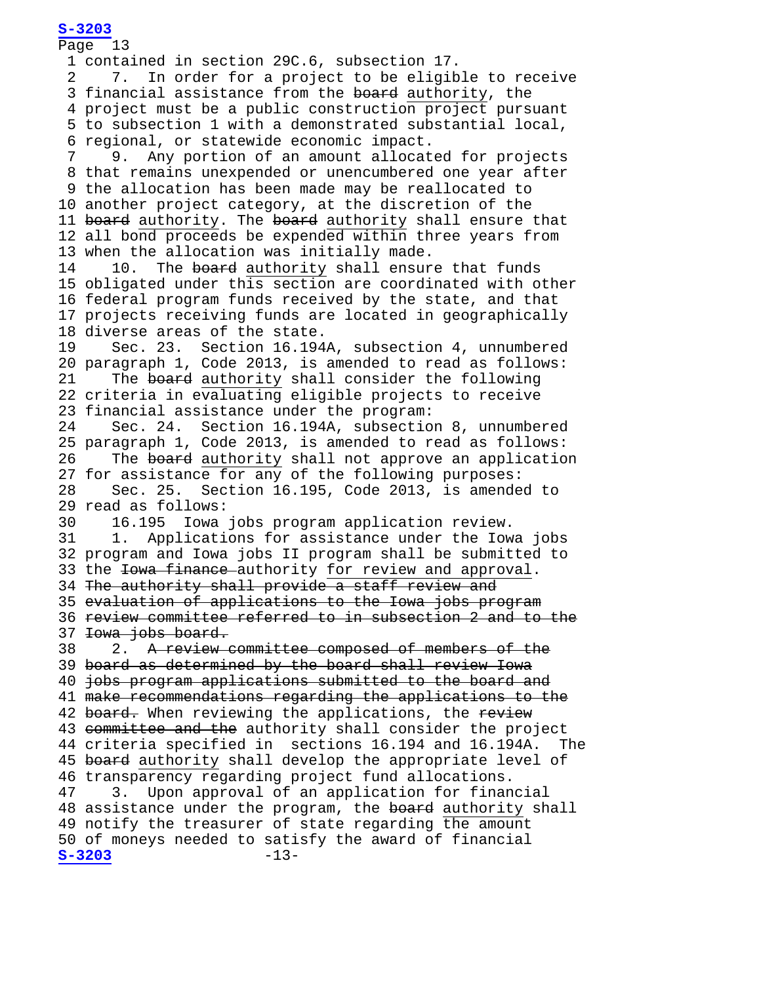Page 13 1 contained in section 29C.6, subsection 17.<br>2 7. In order for a project to be eligib 7. In order for a project to be eligible to receive 3 financial assistance from the board authority, the 4 project must be a public construction project pursuant 5 to subsection 1 with a demonstrated substantial local, 6 regional, or statewide economic impact. 9. Any portion of an amount allocated for projects 8 that remains unexpended or unencumbered one year after 9 the allocation has been made may be reallocated to 10 another project category, at the discretion of the 11 board authority. The board authority shall ensure that 12 all bond proceeds be expended within three years from 13 when the allocation was initially made.<br>14 10. The board authority shall ensur The board authority shall ensure that funds 15 obligated under this section are coordinated with other 16 federal program funds received by the state, and that 17 projects receiving funds are located in geographically 18 diverse areas of the state.<br>19 Sec. 23. Section 16.194 Sec. 23. Section 16.194A, subsection 4, unnumbered 20 paragraph 1, Code 2013, is amended to read as follows:<br>21 The board authority shall consider the following The board authority shall consider the following 22 criteria in evaluating eligible projects to receive 23 financial assistance under the program:<br>24 Sec. 24. Section 16.194A, subsection Sec. 24. Section 16.194A, subsection 8, unnumbered 25 paragraph 1, Code 2013, is amended to read as follows:<br>26 The <del>board</del> authority shall not approve an applicatio The board authority shall not approve an application 27 for assistance for any of the following purposes:<br>28 Sec. 25. Section 16.195, Code 2013, is amende Sec. 25. Section 16.195, Code 2013, is amended to 29 read as follows:<br>30 16.195 Iowa 30 16.195 Iowa jobs program application review.<br>31 1. Applications for assistance under the Iow 1. Applications for assistance under the Iowa jobs 32 program and Iowa jobs II program shall be submitted to 33 the <del>Iowa finance a</del>uthority for review and approval. 34 The authority shall provide a staff review and 35 evaluation of applications to the Iowa jobs program 36 review committee referred to in subsection 2 and to the 37 <del>Iowa jobs board.</del><br>38 2. <del>A review (</del> 2. A review committee composed of members of the 39 board as determined by the board shall review Iowa 40 jobs program applications submitted to the board and 41 make recommendations regarding the applications to the 42 board. When reviewing the applications, the review 43 committee and the authority shall consider the project<br>44 criteria specified in sections 16.194 and 16.194A. The 44 criteria specified in sections 16.194 and 16.194A. 45 board authority shall develop the appropriate level of 46 transparency regarding project fund allocations.<br>47 3. Upon approval of an application for finan 3. Upon approval of an application for financial 48 assistance under the program, the board authority shall 49 notify the treasurer of state regarding the amount 50 of moneys needed to satisfy the award of financial<br> $S-3203$  -13- $S-3203$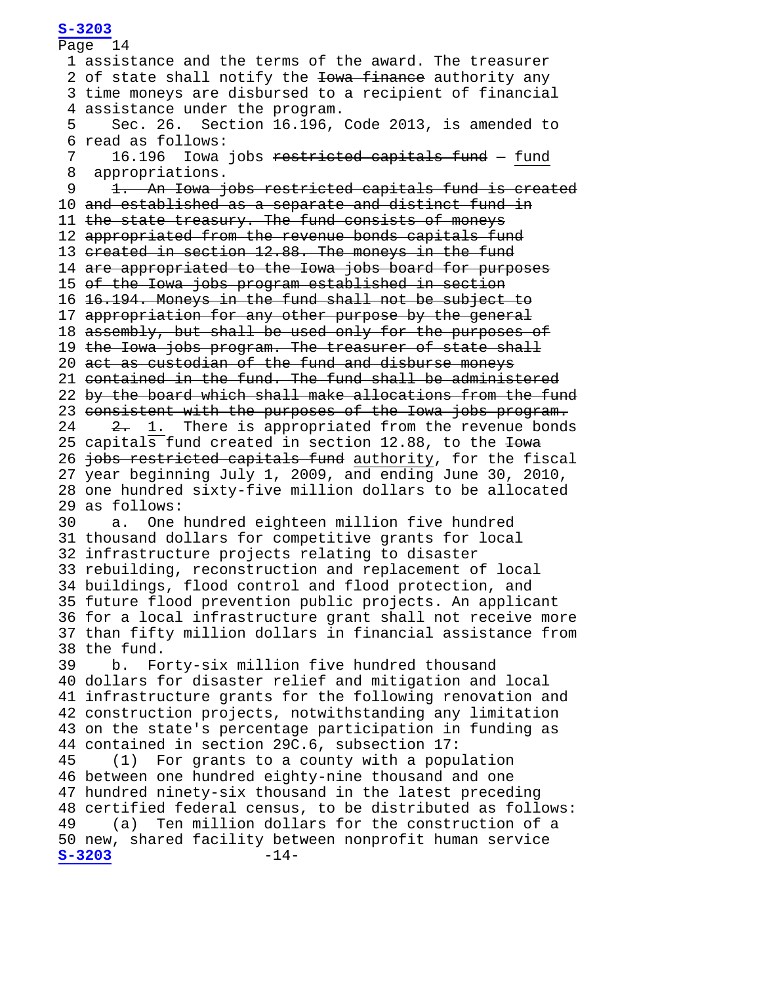Page 14 1 assistance and the terms of the award. The treasurer 2 of state shall notify the <del>Iowa finance</del> authority any 3 time moneys are disbursed to a recipient of financial 4 assistance under the program.<br>5 Sec. 26. Section 16.196. 5 Sec. 26. Section 16.196, Code 2013, is amended to 6 read as follows:<br>7 16.196 Iowa 16.196 Iowa jobs restricted capitals fund - fund 8 appropriations. 9 1. An Iowa jobs restricted capitals fund is created 10 and established as a separate and distinct fund in 11 the state treasury. The fund consists of moneys 12 appropriated from the revenue bonds capitals fund 13 created in section 12.88. The moneys in the fund 14 are appropriated to the Iowa jobs board for purposes 15 of the Iowa jobs program established in section 16 16.194. Moneys in the fund shall not be subject to 17 appropriation for any other purpose by the general 18 assembly, but shall be used only for the purposes of 19 the Iowa jobs program. The treasurer of state shall 20 act as custodian of the fund and disburse moneys 21 contained in the fund. The fund shall be administered 22 by the board which shall make allocations from the fund 23 consistent with the purposes of the Iowa jobs program.<br>24 2. 1. There is appropriated from the revenue bond: 2. 1. There is appropriated from the revenue bonds 25 capitals fund created in section 12.88, to the Howa 26 jobs restricted capitals fund authority, for the fiscal 27 year beginning July 1, 2009, and ending June 30, 2010, 28 one hundred sixty-five million dollars to be allocated 29 as follows:<br>30 a. One a. One hundred eighteen million five hundred 31 thousand dollars for competitive grants for local 32 infrastructure projects relating to disaster 33 rebuilding, reconstruction and replacement of local 34 buildings, flood control and flood protection, and 35 future flood prevention public projects. An applicant 36 for a local infrastructure grant shall not receive more 37 than fifty million dollars in financial assistance from 38 the fund. 39 b. Forty-six million five hundred thousand 40 dollars for disaster relief and mitigation and local 41 infrastructure grants for the following renovation and 42 construction projects, notwithstanding any limitation 43 on the state's percentage participation in funding as 44 contained in section 29C.6, subsection 17:<br>45 (1) For grants to a county with a popu  $(1)$  For grants to a county with a population 46 between one hundred eighty-nine thousand and one 47 hundred ninety-six thousand in the latest preceding 48 certified federal census, to be distributed as follows:<br>49 (a) Ten million dollars for the construction of a (a) Ten million dollars for the construction of a 50 new, shared facility between nonprofit human service<br> $S-3203$ <br>-14-**[S-3203](http://coolice.legis.iowa.gov/Cool-ICE/default.asp?Category=billinfo&Service=Billbook&frame=1&GA=85&hbill=S3203)**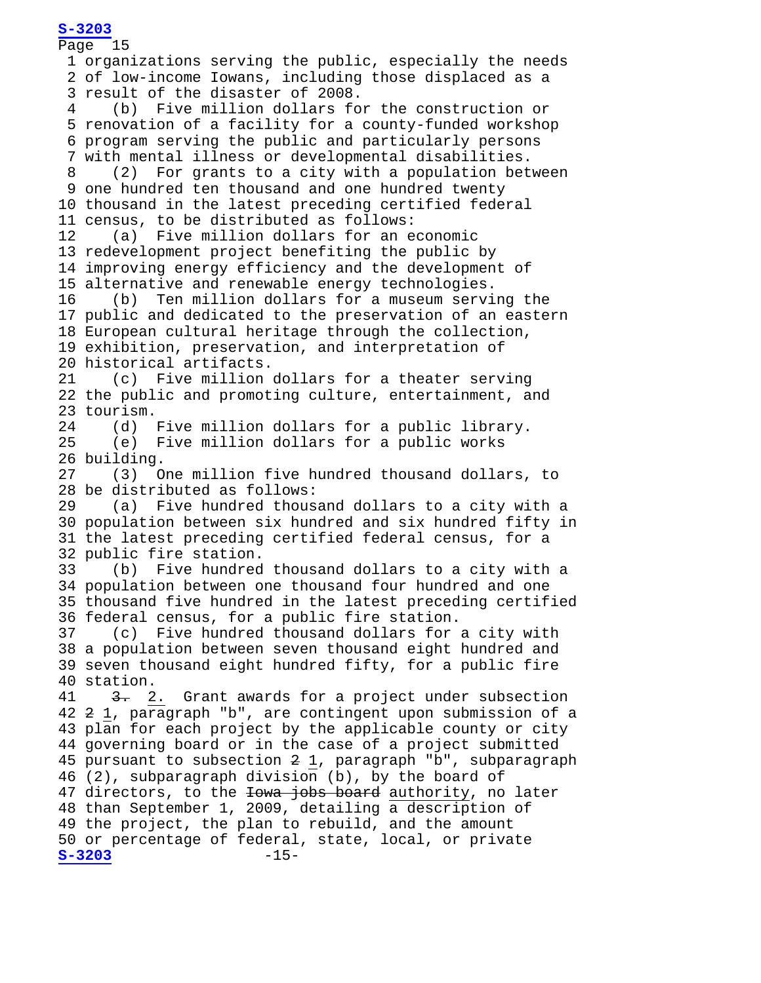Page 15 1 organizations serving the public, especially the needs 2 of low-income Iowans, including those displaced as a 3 result of the disaster of 2008.<br>4 (b) Five million dollars for (b) Five million dollars for the construction or 5 renovation of a facility for a county-funded workshop 6 program serving the public and particularly persons 7 with mental illness or developmental disabilities. 8 (2) For grants to a city with a population between 9 one hundred ten thousand and one hundred twenty 10 thousand in the latest preceding certified federal 11 census, to be distributed as follows:<br>12 (a) Five million dollars for an e (a) Five million dollars for an economic 13 redevelopment project benefiting the public by 14 improving energy efficiency and the development of 15 alternative and renewable energy technologies.<br>16 (b) Ten million dollars for a museum servi (b) Ten million dollars for a museum serving the 17 public and dedicated to the preservation of an eastern 18 European cultural heritage through the collection, 19 exhibition, preservation, and interpretation of 20 historical artifacts.<br>21 (c) Five million (c) Five million dollars for a theater serving 22 the public and promoting culture, entertainment, and  $23$  tourism.<br> $24$   $(d)$ 24 (d) Five million dollars for a public library.<br>25 (e) Five million dollars for a public works 25 (e) Five million dollars for a public works 26 building.<br>27 (3) 0 (3) One million five hundred thousand dollars, to 28 be distributed as follows:<br>29 (a) Five hundred thous (a) Five hundred thousand dollars to a city with a 30 population between six hundred and six hundred fifty in 31 the latest preceding certified federal census, for a 32 public fire station.<br>33 (b) Five hundred (b) Five hundred thousand dollars to a city with a 34 population between one thousand four hundred and one 35 thousand five hundred in the latest preceding certified 36 federal census, for a public fire station.<br>37 (c) Five hundred thousand dollars for (c) Five hundred thousand dollars for a city with 38 a population between seven thousand eight hundred and 39 seven thousand eight hundred fifty, for a public fire 40 station.<br>41 3. 2 3. 2. Grant awards for a project under subsection 42 2 1, paragraph "b", are contingent upon submission of a 43 plan for each project by the applicable county or city 44 governing board or in the case of a project submitted 45 pursuant to subsection 2 1, paragraph "b", subparagraph 46 (2), subparagraph division (b), by the board of 47 directors, to the <del>Iowa jobs board</del> authority, no later 48 than September 1, 2009, detailing a description of 49 the project, the plan to rebuild, and the amount 50 or percentage of federal, state, local, or private<br> $S-3203$  -15-**[S-3203](http://coolice.legis.iowa.gov/Cool-ICE/default.asp?Category=billinfo&Service=Billbook&frame=1&GA=85&hbill=S3203)**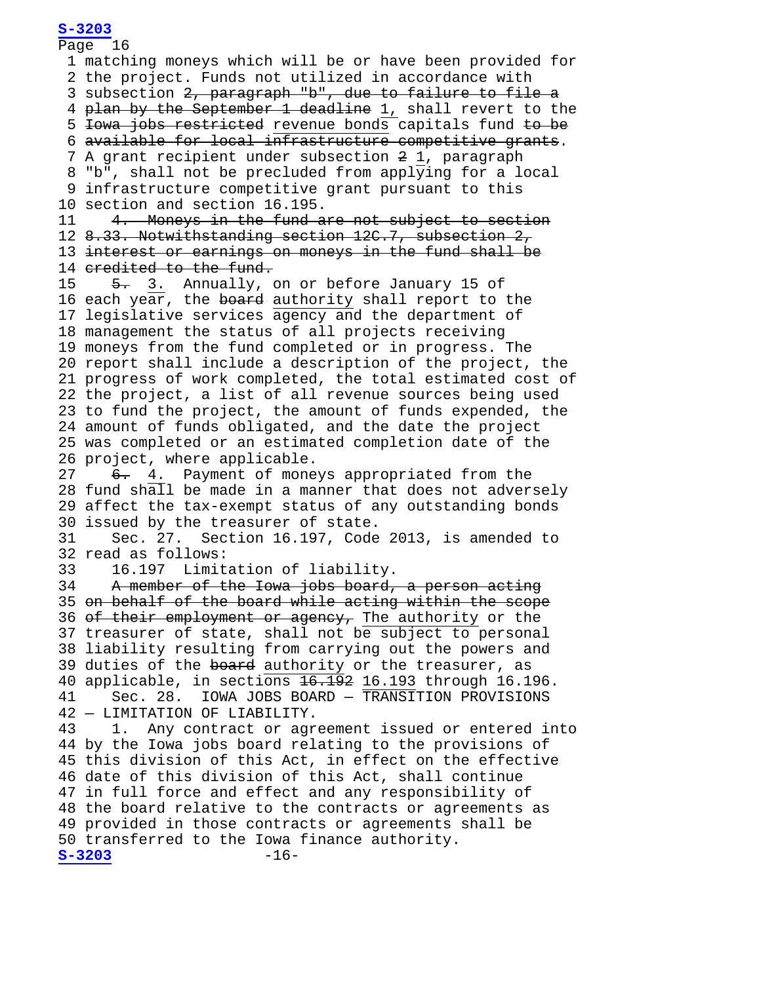Page 16 1 matching moneys which will be or have been provided for 2 the project. Funds not utilized in accordance with 3 subsection 2, paragraph "b", due to failure to file a 4 plan by the September 1 deadline 1, shall revert to the 5 <del>Iowa jobs restricted</del> revenue bonds capitals fund to be 6 available for local infrastructure competitive grants. 7 A grant recipient under subsection 2 1, paragraph 8 "b", shall not be precluded from applying for a local 9 infrastructure competitive grant pursuant to this 10 section and section 16.195.<br>11 4. Monevs in the fund a 4. Moneys in the fund are not subject to section 12 8.33. Notwithstanding section 12C.7, subsection 2, 13 interest or earnings on moneys in the fund shall be 14 <del>credited to the fund.</del><br>15 5. 3. Annually, 5. 3. Annually, on or before January 15 of 16 each year, the board authority shall report to the 17 legislative services agency and the department of 18 management the status of all projects receiving 19 moneys from the fund completed or in progress. The 20 report shall include a description of the project, the 21 progress of work completed, the total estimated cost of 22 the project, a list of all revenue sources being used 23 to fund the project, the amount of funds expended, the 24 amount of funds obligated, and the date the project 25 was completed or an estimated completion date of the 26 project, where applicable.<br>27 <del>6.</del> 4. Payment of mone 6. 4. Payment of moneys appropriated from the 28 fund shall be made in a manner that does not adversely 29 affect the tax-exempt status of any outstanding bonds 30 issued by the treasurer of state.<br>31 Sec. 27. Section 16.197, Code Sec. 27. Section 16.197, Code 2013, is amended to 32 read as follows:<br>33 16.197 Limit 33 16.197 Limitation of liability.<br>34 A member of the Iowa iobs board. A member of the Iowa jobs board, a person acting 35 on behalf of the board while acting within the scope 36 of their employment or agency, The authority or the 37 treasurer of state, shall not be subject to personal 38 liability resulting from carrying out the powers and 39 duties of the board authority or the treasurer, as 40 applicable, in sections <del>16.192</del> 16.193 through 16.196.<br>41 Sec. 28. IOWA JOBS BOARD - TRANSITION PROVISIONS 41 Sec. 28. IOWA JOBS BOARD — TRANSITION PROVISIONS 42 - LIMITATION OF LIABILITY.<br>43 1. Any contract or agr 1. Any contract or agreement issued or entered into 44 by the Iowa jobs board relating to the provisions of 45 this division of this Act, in effect on the effective 46 date of this division of this Act, shall continue 47 in full force and effect and any responsibility of 48 the board relative to the contracts or agreements as 49 provided in those contracts or agreements shall be 50 transferred to the Iowa finance authority.<br> $S-3203$  -16-**[S-3203](http://coolice.legis.iowa.gov/Cool-ICE/default.asp?Category=billinfo&Service=Billbook&frame=1&GA=85&hbill=S3203)**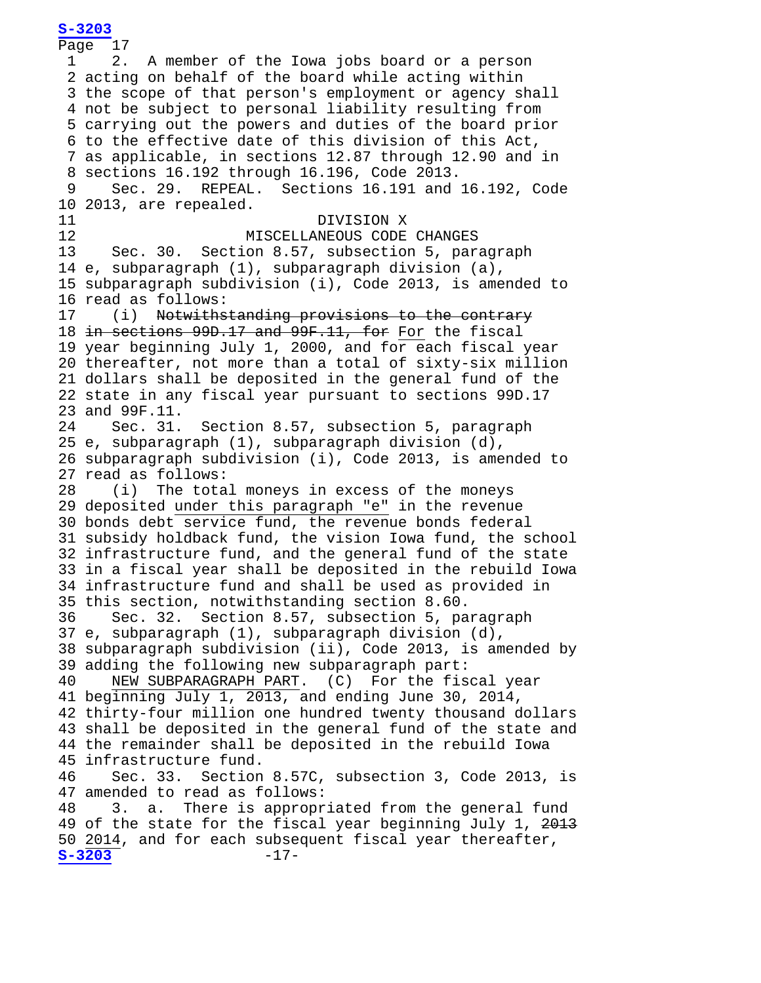**[S-3203](http://coolice.legis.iowa.gov/Cool-ICE/default.asp?Category=billinfo&Service=Billbook&frame=1&GA=85&hbill=S3203)** Page 17<br>1 2. A member of the Iowa jobs board or a person 2 acting on behalf of the board while acting within 3 the scope of that person's employment or agency shall 4 not be subject to personal liability resulting from 5 carrying out the powers and duties of the board prior 6 to the effective date of this division of this Act, 7 as applicable, in sections 12.87 through 12.90 and in 8 sections 16.192 through 16.196, Code 2013. 9 Sec. 29. REPEAL. Sections 16.191 and 16.192, Code 10 2013, are repealed. 11 DIVISION X<br>12 MISCELLANEOUS CODE 12 MISCELLANEOUS CODE CHANGES<br>13 Sec. 30. Section 8.57, subsection 5, par Section 8.57, subsection 5, paragraph 14 e, subparagraph (1), subparagraph division (a), 15 subparagraph subdivision (i), Code 2013, is amended to 16 read as follows:<br>17 (i) Notwiths (i) Notwithstanding provisions to the contrary 18 in sections 99D.17 and 99F.11, for For the fiscal 19 year beginning July 1, 2000, and for each fiscal year 20 thereafter, not more than a total of sixty-six million 21 dollars shall be deposited in the general fund of the 22 state in any fiscal year pursuant to sections 99D.17 23 and 99F.11.<br>24 Sec. 31. Sec. 31. Section 8.57, subsection 5, paragraph 25 e, subparagraph (1), subparagraph division (d), 26 subparagraph subdivision (i), Code 2013, is amended to 27 read as follows:<br>28 (i) The tota (i) The total moneys in excess of the moneys 29 deposited under this paragraph "e" in the revenue 30 bonds debt service fund, the revenue bonds federal 31 subsidy holdback fund, the vision Iowa fund, the school 32 infrastructure fund, and the general fund of the state 33 in a fiscal year shall be deposited in the rebuild Iowa 34 infrastructure fund and shall be used as provided in 35 this section, notwithstanding section 8.60.<br>36 Sec. 32. Section 8.57, subsection 5, pa Sec. 32. Section 8.57, subsection 5, paragraph 37 e, subparagraph (1), subparagraph division (d), 38 subparagraph subdivision (ii), Code 2013, is amended by 39 adding the following new subparagraph part:<br>40 NEW SUBPARAGRAPH PART. (C) For the fis (C) For the fiscal year. 41 beginning July 1, 2013, and ending June 30, 2014, 42 thirty-four million one hundred twenty thousand dollars 43 shall be deposited in the general fund of the state and 44 the remainder shall be deposited in the rebuild Iowa 45 infrastructure fund.<br>46 Sec. 33. Section Sec. 33. Section 8.57C, subsection 3, Code 2013, is 47 amended to read as follows:<br>48 3. a. There is appropr 48 3. a. There is appropriated from the general fund 49 of the state for the fiscal year beginning July 1, 2013 50  $2014$ , and for each subsequent fiscal year thereafter,<br> $5-3203$  $S-3203$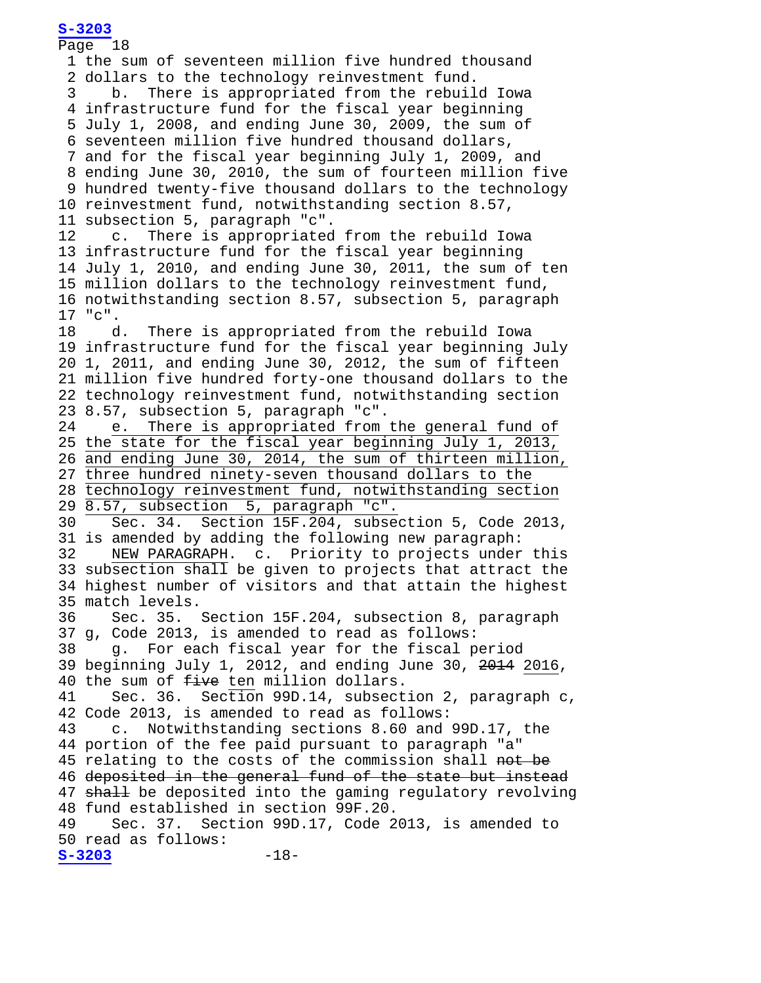Page 18 1 the sum of seventeen million five hundred thousand 2 dollars to the technology reinvestment fund.<br>3 b. There is appropriated from the rebuil b. There is appropriated from the rebuild Iowa 4 infrastructure fund for the fiscal year beginning 5 July 1, 2008, and ending June 30, 2009, the sum of 6 seventeen million five hundred thousand dollars, 7 and for the fiscal year beginning July 1, 2009, and 8 ending June 30, 2010, the sum of fourteen million five 9 hundred twenty-five thousand dollars to the technology 10 reinvestment fund, notwithstanding section 8.57, 11 subsection 5, paragraph "c".<br>12 c. There is appropriated c. There is appropriated from the rebuild Iowa 13 infrastructure fund for the fiscal year beginning 14 July 1, 2010, and ending June 30, 2011, the sum of ten 15 million dollars to the technology reinvestment fund, 16 notwithstanding section 8.57, subsection 5, paragraph 17 "c". 18 d. There is appropriated from the rebuild Iowa 19 infrastructure fund for the fiscal year beginning July 20 1, 2011, and ending June 30, 2012, the sum of fifteen 21 million five hundred forty-one thousand dollars to the 22 technology reinvestment fund, notwithstanding section 23 8.57, subsection 5, paragraph "c".<br>24 e. There is appropriated from e. There is appropriated from the general fund of 25 the state for the fiscal year beginning July 1, 2013, 26 and ending June 30, 2014, the sum of thirteen million, 27 three hundred ninety-seven thousand dollars to the 28 technology reinvestment fund, notwithstanding section 29  $\overline{8.57}$ , subsection 5, paragraph "c".<br>30 Sec. 34. Section 15F.204, subse Sec. 34. Section 15F.204, subsection 5, Code 2013, 31 is amended by adding the following new paragraph:<br>32 MEW PARAGRAPH. c. Priority to projects under NEW PARAGRAPH. c. Priority to projects under this 33 subsection shall be given to projects that attract the 34 highest number of visitors and that attain the highest 35 match levels.<br>36 Sec. 35. Sec. 35. Section 15F.204, subsection 8, paragraph 37 g, Code 2013, is amended to read as follows: 38 g. For each fiscal year for the fiscal period 39 beginning July 1, 2012, and ending June 30, 2014 2016, 40 the sum of <del>five</del> ten million dollars.<br>41 Sec. 36. Section 99D.14, subsect Sec. 36. Section 99D.14, subsection 2, paragraph c, 42 Code 2013, is amended to read as follows:<br>43 c. Notwithstanding sections 8.60 and c. Notwithstanding sections 8.60 and 99D.17, the 44 portion of the fee paid pursuant to paragraph "a" 45 relating to the costs of the commission shall not be 46 deposited in the general fund of the state but instead 47 shall be deposited into the gaming regulatory revolving 48 fund established in section 99F.20.<br>49 Sec. 37. Section 99D.17. Code 2 Sec. 37. Section 99D.17, Code 2013, is amended to 50 read as follows: **[S-3203](http://coolice.legis.iowa.gov/Cool-ICE/default.asp?Category=billinfo&Service=Billbook&frame=1&GA=85&hbill=S3203)** -18-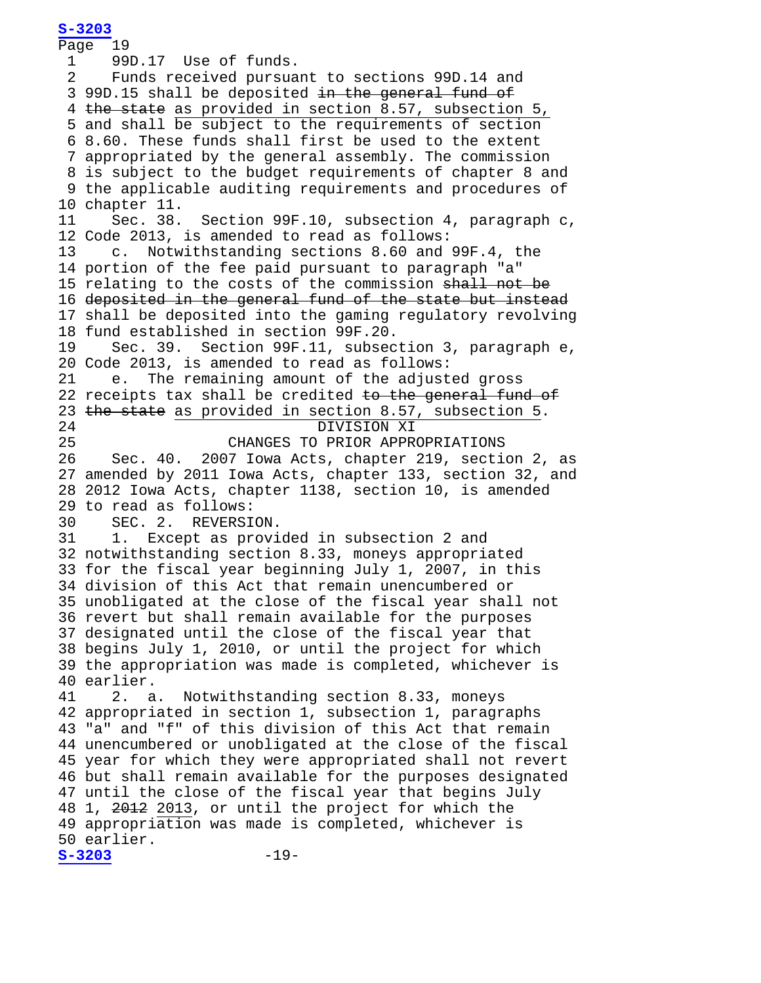Page 19<br>1 99 1 99D.17 Use of funds.<br>2 Funds received pursua Funds received pursuant to sections 99D.14 and 3 99D.15 shall be deposited in the general fund of 4 the state as provided in section 8.57, subsection 5, 5 and shall be subject to the requirements of section 6 8.60. These funds shall first be used to the extent 7 appropriated by the general assembly. The commission 8 is subject to the budget requirements of chapter 8 and 9 the applicable auditing requirements and procedures of 10 chapter 11.<br>11 Sec. 38. Sec. 38. Section 99F.10, subsection 4, paragraph c, 12 Code 2013, is amended to read as follows:<br>13 c. Notwithstanding sections 8.60 and c. Notwithstanding sections 8.60 and 99F.4, the 14 portion of the fee paid pursuant to paragraph "a" 15 relating to the costs of the commission shall not be 16 deposited in the general fund of the state but instead 17 shall be deposited into the gaming regulatory revolving 18 fund established in section 99F.20.<br>19 Sec. 39. Section 99F.11, subsec Sec. 39. Section 99F.11, subsection 3, paragraph e, 20 Code 2013, is amended to read as follows:<br>21 e. The remaining amount of the adjust e. The remaining amount of the adjusted gross 22 receipts tax shall be credited to the general fund of 23 the state as provided in section 8.57, subsection 5.<br>24 DIVISION XI 24 DIVISION XI<br>25 CHANGES TO PRIOR APPR 25 CHANGES TO PRIOR APPROPRIATIONS<br>26 Sec. 40. 2007 Iowa Acts, chapter 219, sectio 2007 Iowa Acts, chapter 219, section 2, as 27 amended by 2011 Iowa Acts, chapter 133, section 32, and 28 2012 Iowa Acts, chapter 1138, section 10, is amended 29 to read as follows:<br>30 SEC. 2. REVERSI 30 SEC. 2. REVERSION.<br>31 1. Except as provi 1. Except as provided in subsection 2 and 32 notwithstanding section 8.33, moneys appropriated 33 for the fiscal year beginning July 1, 2007, in this 34 division of this Act that remain unencumbered or 35 unobligated at the close of the fiscal year shall not 36 revert but shall remain available for the purposes 37 designated until the close of the fiscal year that 38 begins July 1, 2010, or until the project for which 39 the appropriation was made is completed, whichever is 40 earlier. 2. a. Notwithstanding section 8.33, moneys 42 appropriated in section 1, subsection 1, paragraphs 43 "a" and "f" of this division of this Act that remain 44 unencumbered or unobligated at the close of the fiscal 45 year for which they were appropriated shall not revert 46 but shall remain available for the purposes designated 47 until the close of the fiscal year that begins July 48 1, 2012 2013, or until the project for which the 49 appropriation was made is completed, whichever is 50 earlier. **[S-3203](http://coolice.legis.iowa.gov/Cool-ICE/default.asp?Category=billinfo&Service=Billbook&frame=1&GA=85&hbill=S3203)** -19-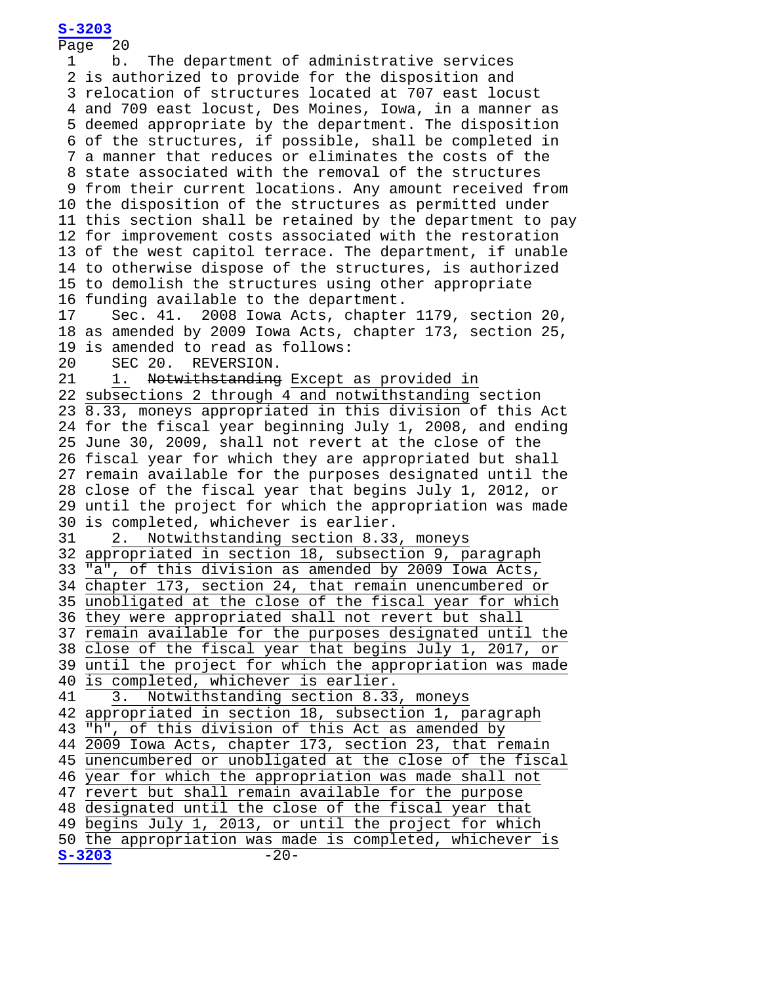Page 20<br>1 b. The department of administrative services 2 is authorized to provide for the disposition and 3 relocation of structures located at 707 east locust 4 and 709 east locust, Des Moines, Iowa, in a manner as 5 deemed appropriate by the department. The disposition 6 of the structures, if possible, shall be completed in 7 a manner that reduces or eliminates the costs of the 8 state associated with the removal of the structures 9 from their current locations. Any amount received from 10 the disposition of the structures as permitted under 11 this section shall be retained by the department to pay 12 for improvement costs associated with the restoration 13 of the west capitol terrace. The department, if unable 14 to otherwise dispose of the structures, is authorized 15 to demolish the structures using other appropriate 16 funding available to the department.<br>17 Sec. 41. 2008 Iowa Acts, chapter Sec. 41. 2008 Iowa Acts, chapter 1179, section 20, 18 as amended by 2009 Iowa Acts, chapter 173, section 25, 19 is amended to read as follows:<br>20 SEC 20. REVERSION. 20 SEC 20. REVERSION.<br>21 1. <del>Notwithstanding</del> 1. Notwithstanding Except as provided in 22 subsections 2 through 4 and notwithstanding section 23 8.33, moneys appropriated in this division of this Act 24 for the fiscal year beginning July 1, 2008, and ending 25 June 30, 2009, shall not revert at the close of the 26 fiscal year for which they are appropriated but shall 27 remain available for the purposes designated until the 28 close of the fiscal year that begins July 1, 2012, or 29 until the project for which the appropriation was made 30 is completed, whichever is earlier.<br>31 2. Notwithstanding section 8.33 2. Notwithstanding section 8.33, moneys 32 appropriated in section 18, subsection 9, paragraph 33 "a", of this division as amended by 2009 Iowa Acts, 34 chapter 173, section 24, that remain unencumbered or 35 unobligated at the close of the fiscal year for which 36 they were appropriated shall not revert but shall 37 remain available for the purposes designated until the 38 close of the fiscal year that begins July 1, 2017, or 39 until the project for which the appropriation was made 40 is completed, whichever is earlier.<br>41 3. Notwithstanding section 8.33 3. Notwithstanding section 8.33, moneys 42 appropriated in section 18, subsection 1, paragraph 43 "h", of this division of this Act as amended by 44 2009 Iowa Acts, chapter 173, section 23, that remain 45 unencumbered or unobligated at the close of the fiscal 46 year for which the appropriation was made shall not 47 revert but shall remain available for the purpose 48 designated until the close of the fiscal year that 49 begins July 1, 2013, or until the project for which 50 the appropriation was made is completed, whichever is<br> $s = 3203$   $-20-$ **[S-3203](http://coolice.legis.iowa.gov/Cool-ICE/default.asp?Category=billinfo&Service=Billbook&frame=1&GA=85&hbill=S3203)** -20-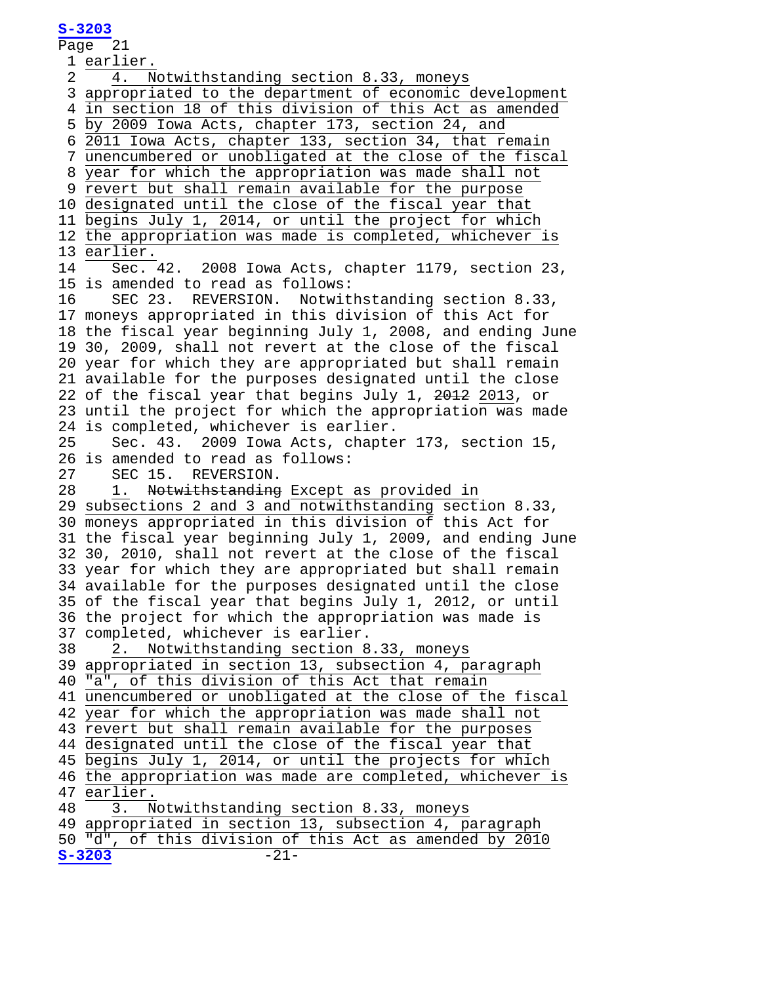Page 21  $\frac{1}{2}$  earlier.<br>4. N 4. Notwithstanding section 8.33, moneys 3 appropriated to the department of economic development 4 in section 18 of this division of this Act as amended 5 by 2009 Iowa Acts, chapter 173, section 24, and 6 2011 Iowa Acts, chapter 133, section 34, that remain 7 unencumbered or unobligated at the close of the fiscal 8 year for which the appropriation was made shall not 9 revert but shall remain available for the purpose 10 designated until the close of the fiscal year that 11 begins July 1, 2014, or until the project for which 12 the appropriation was made is completed, whichever is 13 earlier.<br>14 Sec.  $Sec.$  42. 2008 Iowa Acts, chapter 1179, section 23, 15 is amended to read as follows:<br>16 SEC 23. REVERSION. Notwit SEC 23. REVERSION. Notwithstanding section 8.33, 17 moneys appropriated in this division of this Act for 18 the fiscal year beginning July 1, 2008, and ending June 19 30, 2009, shall not revert at the close of the fiscal 20 year for which they are appropriated but shall remain 21 available for the purposes designated until the close 22 of the fiscal year that begins July 1, 2012 2013, or 23 until the project for which the appropriation was made 24 is completed, whichever is earlier.<br>25 Sec. 43. 2009 Iowa Acts, chapte Sec. 43. 2009 Iowa Acts, chapter 173, section 15, 26 is amended to read as follows:<br>27 SEC 15. REVERSION. 27 SEC 15. REVERSION.<br>28 1. <del>Notwithstanding</del> 1. Notwithstanding Except as provided in 29 subsections 2 and 3 and notwithstanding section 8.33, 30 moneys appropriated in this division of this Act for 31 the fiscal year beginning July 1, 2009, and ending June 32 30, 2010, shall not revert at the close of the fiscal 33 year for which they are appropriated but shall remain 34 available for the purposes designated until the close 35 of the fiscal year that begins July 1, 2012, or until 36 the project for which the appropriation was made is 37 completed, whichever is earlier.<br>38 2. Notwithstanding section 8 2. Notwithstanding section 8.33, moneys 39 appropriated in section 13, subsection 4, paragraph 40 "a", of this division of this Act that remain 41 unencumbered or unobligated at the close of the fiscal 42 year for which the appropriation was made shall not 43 revert but shall remain available for the purposes 44 designated until the close of the fiscal year that 45 begins July 1, 2014, or until the projects for which 46 the appropriation was made are completed, whichever is 47 earlier.<br>48  $\frac{1}{3}$ . 3. Notwithstanding section 8.33, moneys 49 appropriated in section 13, subsection 4, paragraph 50  $\frac{\pi d\pi}{s}$ , of this division of this Act as amended by 2010<br> $s = 3203$ **[S-3203](http://coolice.legis.iowa.gov/Cool-ICE/default.asp?Category=billinfo&Service=Billbook&frame=1&GA=85&hbill=S3203)** -21-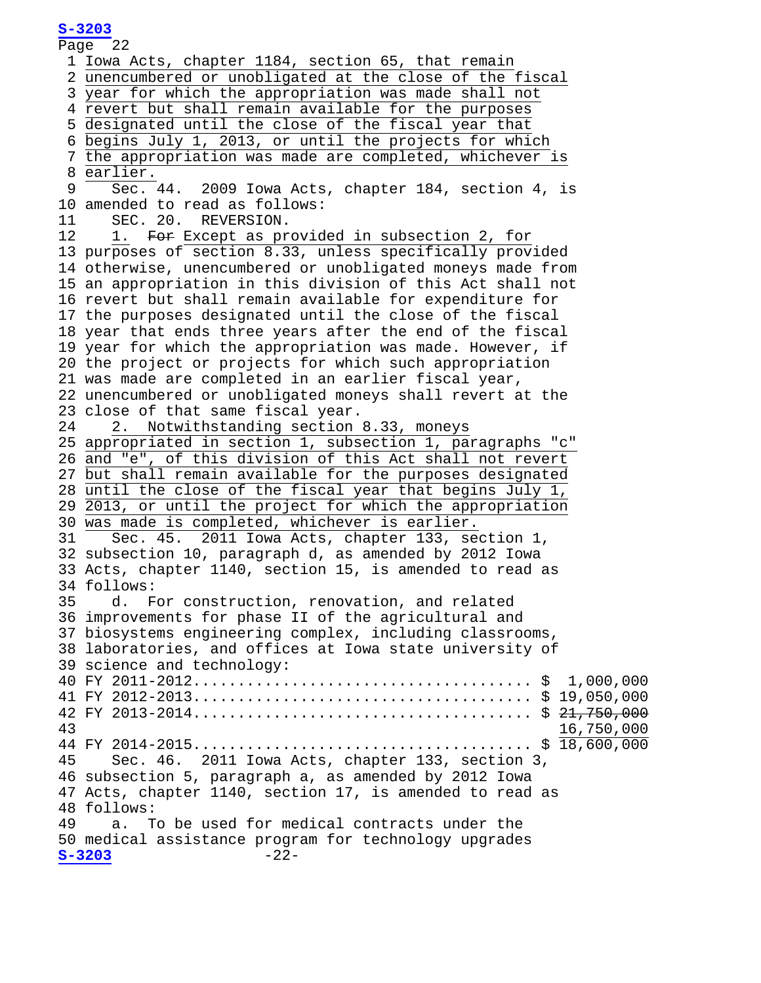Page 22 1 Iowa Acts, chapter 1184, section 65, that remain 2 unencumbered or unobligated at the close of the fiscal 3 year for which the appropriation was made shall not 4 revert but shall remain available for the purposes 5 designated until the close of the fiscal year that 6 begins July 1, 2013, or until the projects for which 7 the appropriation was made are completed, whichever is 8 earlier. 9 Sec. 44. 2009 Iowa Acts, chapter 184, section 4, is 10 amended to read as follows:<br>11 SEC. 20. REVERSION. 11 SEC. 20. REVERSION.<br>12 1. <del>For</del> Except as pr 1. For Except as provided in subsection 2, for 13 purposes of section 8.33, unless specifically provided 14 otherwise, unencumbered or unobligated moneys made from 15 an appropriation in this division of this Act shall not 16 revert but shall remain available for expenditure for 17 the purposes designated until the close of the fiscal 18 year that ends three years after the end of the fiscal 19 year for which the appropriation was made. However, if 20 the project or projects for which such appropriation 21 was made are completed in an earlier fiscal year, 22 unencumbered or unobligated moneys shall revert at the 23 close of that same fiscal year.<br>24 2. Notwithstanding section 2. Notwithstanding section 8.33, moneys 25 appropriated in section 1, subsection 1, paragraphs "c" 26 and "e", of this division of this Act shall not revert 27 but shall remain available for the purposes designated 28 until the close of the fiscal year that begins July 1, 29 2013, or until the project for which the appropriation 30 was made is completed, whichever is earlier. 31 Sec. 45. 2011 Iowa Acts, chapter 133, section 1, 32 subsection 10, paragraph d, as amended by 2012 Iowa 33 Acts, chapter 1140, section 15, is amended to read as 34 follows:<br>35 d. F d. For construction, renovation, and related 36 improvements for phase II of the agricultural and 37 biosystems engineering complex, including classrooms, 38 laboratories, and offices at Iowa state university of 39 science and technology: 40 FY 2011-2012...................................... \$ 1,000,000 41 FY 2012-2013...................................... \$ 19,050,000 42 FY 2013-2014...................................... \$ 21,750,000 43 16,750,000 44 FY 2014-2015...................................... \$ 18,600,000 45 Sec. 46. 2011 Iowa Acts, chapter 133, section 3, 46 subsection 5, paragraph a, as amended by 2012 Iowa 47 Acts, chapter 1140, section 17, is amended to read as 48 follows:<br>49 a. T a. To be used for medical contracts under the 50 medical assistance program for technology upgrades<br> $-22$ -<br>22-**[S-3203](http://coolice.legis.iowa.gov/Cool-ICE/default.asp?Category=billinfo&Service=Billbook&frame=1&GA=85&hbill=S3203)** -22-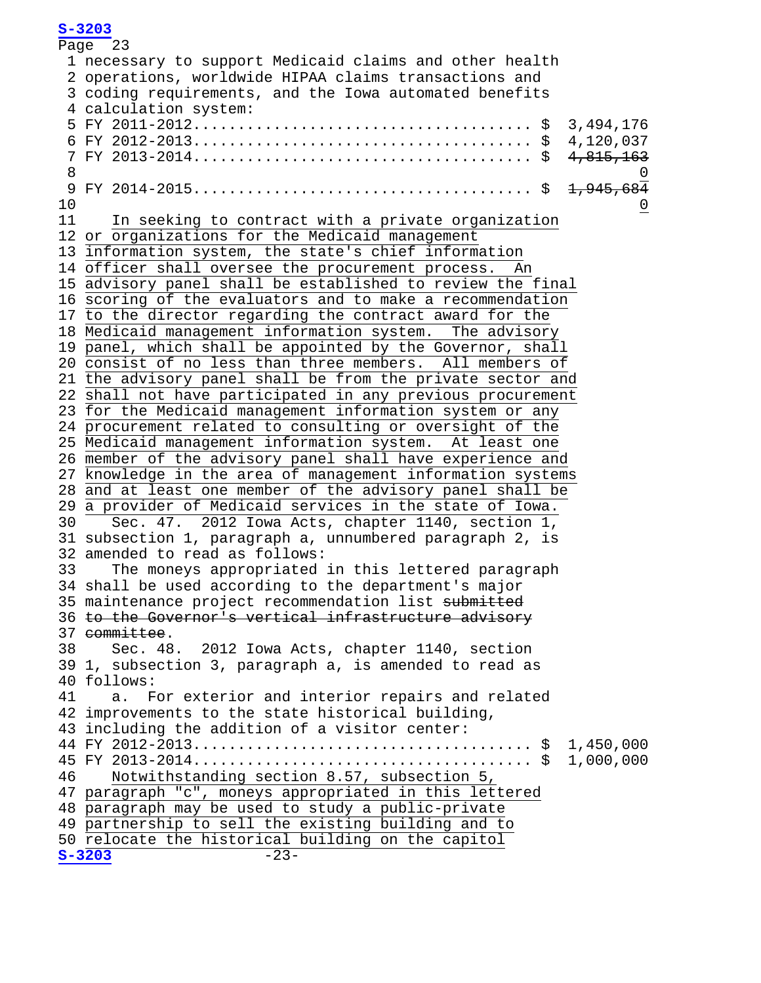```
 Page 23
      1 necessary to support Medicaid claims and other health 
      2 operations, worldwide HIPAA claims transactions and 
      3 coding requirements, and the Iowa automated benefits 
     4 calculation system:
     5 FY 2011-2012...................................... $ 3,494,176
     6 FY 2012-2013...................................... $ 4,120,037
     7 FY 2013-2014...................................... $ 4,815,163
8 <u>0</u>
 9 FY 2014-2015...................................... $ 1,945,684
 10 0
    11 In seeking to contract with a private organization 
    12 or organizations for the Medicaid management 
    13 information system, the state's chief information 
   14 officer shall oversee the procurement process. An
    15 advisory panel shall be established to review the final 
    16 scoring of the evaluators and to make a recommendation 
   17 to the director regarding the contract award for the
    18 Medicaid management information system. The advisory 
   19 panel, which shall be appointed by the Governor, shall
    20 consist of no less than three members. All members of 
    21 the advisory panel shall be from the private sector and 
    22 shall not have participated in any previous procurement 
    23 for the Medicaid management information system or any 
    24 procurement related to consulting or oversight of the 
    25 Medicaid management information system. At least one 
    26 member of the advisory panel shall have experience and 
    27 knowledge in the area of management information systems 
    28 and at least one member of the advisory panel shall be 
   29 a provider of Medicaid services in the state of Iowa.<br>30 Sec. 47. 2012 Iowa Acts, chapter 1140, section 1,
          Sec. 47. 2012 Iowa Acts, chapter 1140, section 1,
    31 subsection 1, paragraph a, unnumbered paragraph 2, is 
   32 amended to read as follows:<br>33 The moneys appropriated
          The moneys appropriated in this lettered paragraph
    34 shall be used according to the department's major 
   35 maintenance project recommendation list submitted
    36 to the Governor's vertical infrastructure advisory 
    37 committee.
    38 Sec. 48. 2012 Iowa Acts, chapter 1140, section 
    39 1, subsection 3, paragraph a, is amended to read as 
   40 follows:<br>41 a. F
         a. For exterior and interior repairs and related
    42 improvements to the state historical building, 
    43 including the addition of a visitor center:
    44 FY 2012-2013...................................... $ 1,450,000
    45 FY 2013-2014...................................... $ 1,000,000
         Notwithstanding section 8.57, subsection 5,
    47 paragraph "c", moneys appropriated in this lettered 
    48 paragraph may be used to study a public-private 
    49 partnership to sell the existing building and to 
   50 relocate the historical building on the capitol<br>S-3203 -23-
    S-3203 -23-
```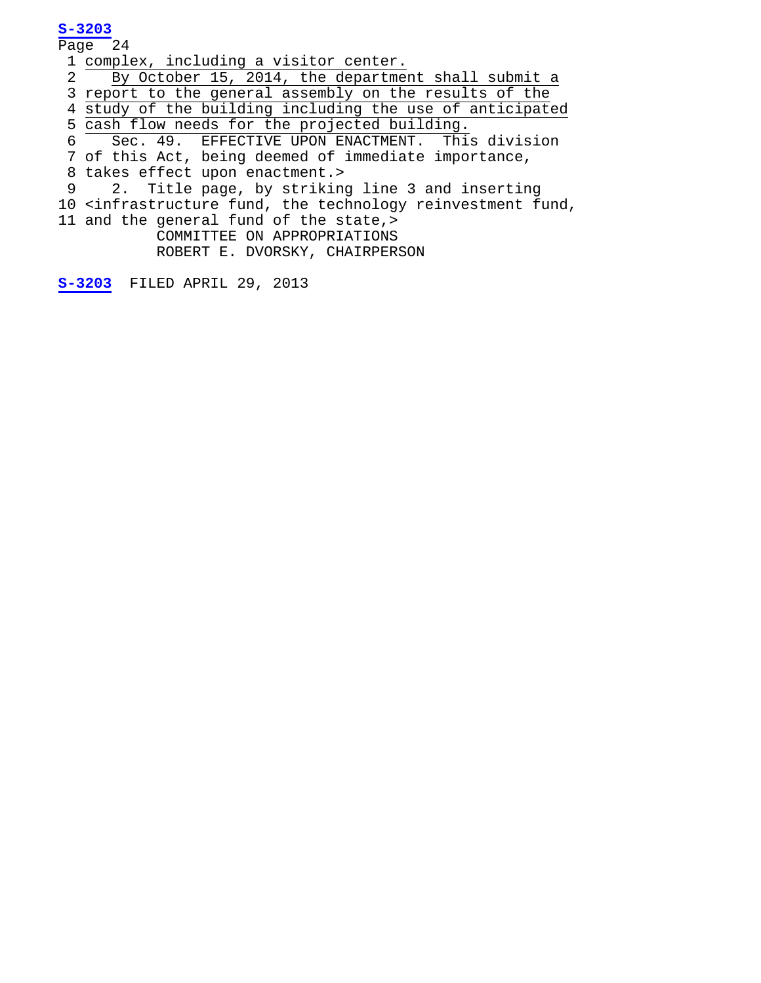Page 24 1 complex, including a visitor center.<br>2 By October 15, 2014, the department By October 15, 2014, the department shall submit a 3 report to the general assembly on the results of the 4 study of the building including the use of anticipated 5 cash flow needs for the projected building. 6 Sec. 49. EFFECTIVE UPON ENACTMENT. This division 7 of this Act, being deemed of immediate importance, 8 takes effect upon enactment.> 9 2. Title page, by striking line 3 and inserting 10 <infrastructure fund, the technology reinvestment fund, 11 and the general fund of the state,> COMMITTEE ON APPROPRIATIONS ROBERT E. DVORSKY, CHAIRPERSON

**[S-3203](http://coolice.legis.iowa.gov/Cool-ICE/default.asp?Category=billinfo&Service=Billbook&frame=1&GA=85&hbill=S3203)** FILED APRIL 29, 2013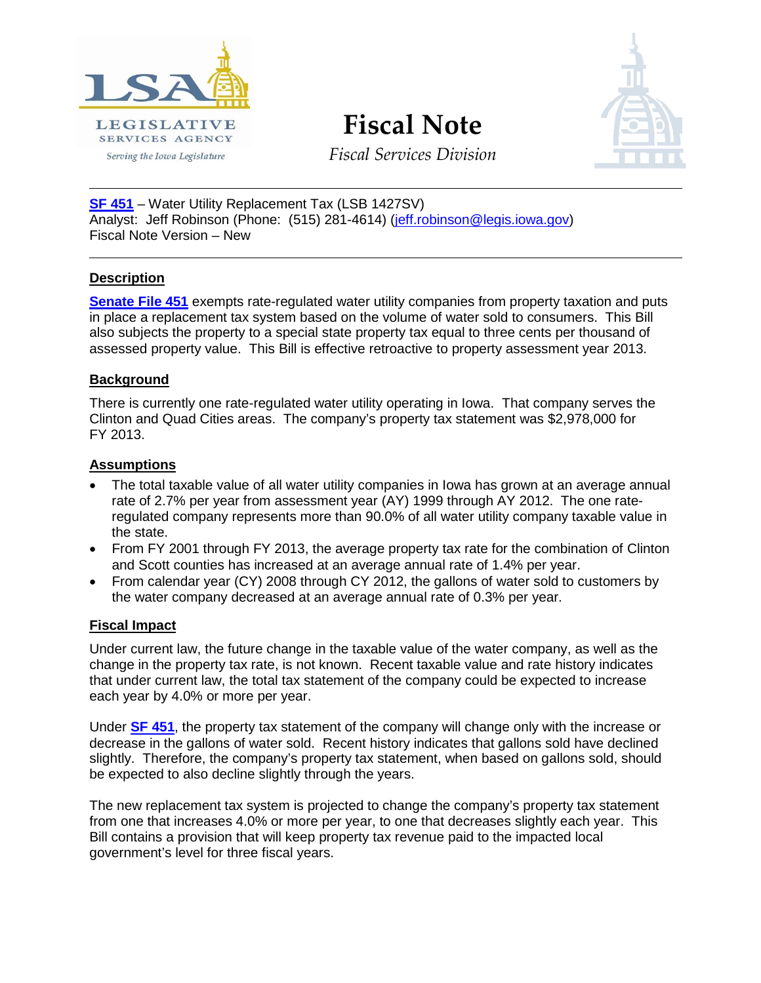

# **Fiscal Note**



*Fiscal Services Division*

**SF [451](http://coolice.legis.state.ia.us/Cool-ICE/default.asp?category=billinfo&service=billbook&GA=85&hbill=SF451)** – Water Utility Replacement Tax (LSB 1427SV) Analyst: Jeff Robinson (Phone: (515) 281-4614) [\(jeff.robinson@legis.iowa.gov\)](mailto:jeff.robinson@legis.iowa.gov) Fiscal Note Version – New

# **Description**

**[Senate File](http://coolice.legis.state.ia.us/Cool-ICE/default.asp?category=billinfo&service=billbook&GA=85&hbill=SF451) 451** exempts rate-regulated water utility companies from property taxation and puts in place a replacement tax system based on the volume of water sold to consumers. This Bill also subjects the property to a special state property tax equal to three cents per thousand of assessed property value. This Bill is effective retroactive to property assessment year 2013.

# **Background**

There is currently one rate-regulated water utility operating in Iowa. That company serves the Clinton and Quad Cities areas. The company's property tax statement was \$2,978,000 for FY 2013.

# **Assumptions**

- The total taxable value of all water utility companies in Iowa has grown at an average annual rate of 2.7% per year from assessment year (AY) 1999 through AY 2012. The one rateregulated company represents more than 90.0% of all water utility company taxable value in the state.
- From FY 2001 through FY 2013, the average property tax rate for the combination of Clinton and Scott counties has increased at an average annual rate of 1.4% per year.
- From calendar year (CY) 2008 through CY 2012, the gallons of water sold to customers by the water company decreased at an average annual rate of 0.3% per year.

# **Fiscal Impact**

Under current law, the future change in the taxable value of the water company, as well as the change in the property tax rate, is not known. Recent taxable value and rate history indicates that under current law, the total tax statement of the company could be expected to increase each year by 4.0% or more per year.

Under **SF [451](http://coolice.legis.state.ia.us/Cool-ICE/default.asp?category=billinfo&service=billbook&GA=85&hbill=SF451)**, the property tax statement of the company will change only with the increase or decrease in the gallons of water sold. Recent history indicates that gallons sold have declined slightly. Therefore, the company's property tax statement, when based on gallons sold, should be expected to also decline slightly through the years.

The new replacement tax system is projected to change the company's property tax statement from one that increases 4.0% or more per year, to one that decreases slightly each year. This Bill contains a provision that will keep property tax revenue paid to the impacted local government's level for three fiscal years.